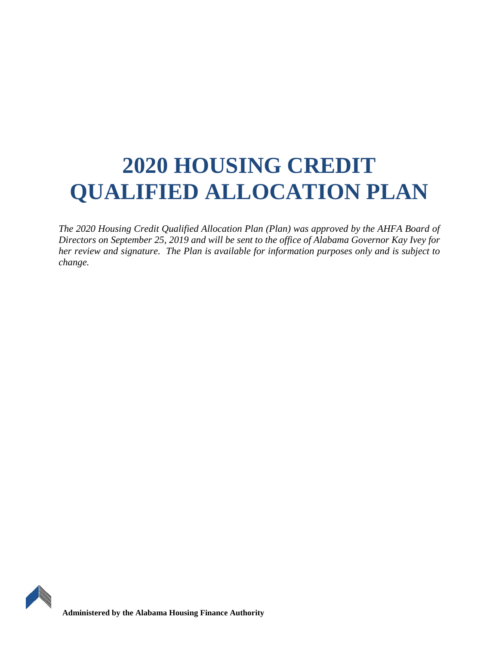# **2020 HOUSING CREDIT QUALIFIED ALLOCATION PLAN**

*The 2020 Housing Credit Qualified Allocation Plan (Plan) was approved by the AHFA Board of Directors on September 25, 2019 and will be sent to the office of Alabama Governor Kay Ivey for her review and signature. The Plan is available for information purposes only and is subject to change.* 

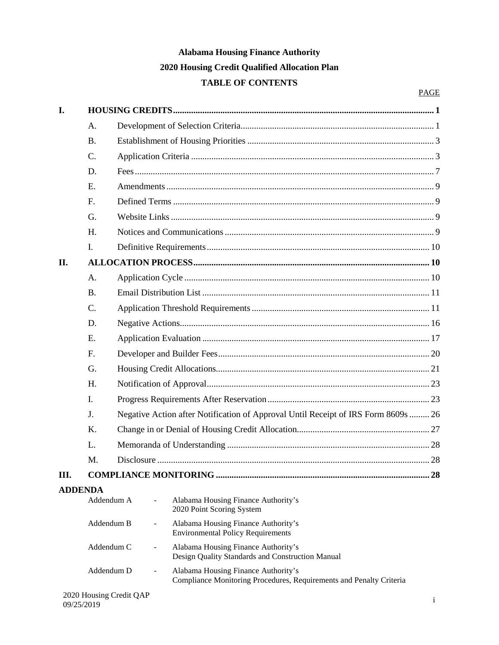## **Alabama Housing Finance Authority 2020 Housing Credit Qualified Allocation Plan TABLE OF CONTENTS**

| I.             |             |                                                                                                             |    |  |  |  |
|----------------|-------------|-------------------------------------------------------------------------------------------------------------|----|--|--|--|
|                | A.          |                                                                                                             |    |  |  |  |
|                | <b>B.</b>   |                                                                                                             |    |  |  |  |
|                | C.          |                                                                                                             |    |  |  |  |
|                | D.          |                                                                                                             |    |  |  |  |
|                | E.          |                                                                                                             |    |  |  |  |
|                | F.          |                                                                                                             |    |  |  |  |
|                | G.          |                                                                                                             |    |  |  |  |
|                | H.          |                                                                                                             |    |  |  |  |
|                | I.          |                                                                                                             |    |  |  |  |
| II.            |             |                                                                                                             |    |  |  |  |
|                | A.          |                                                                                                             |    |  |  |  |
|                | <b>B.</b>   |                                                                                                             |    |  |  |  |
|                | $C_{\cdot}$ |                                                                                                             |    |  |  |  |
|                | D.          |                                                                                                             |    |  |  |  |
|                | E.          |                                                                                                             |    |  |  |  |
|                | F.          |                                                                                                             |    |  |  |  |
|                | G.          |                                                                                                             |    |  |  |  |
|                | H.          |                                                                                                             |    |  |  |  |
|                | I.          |                                                                                                             |    |  |  |  |
|                | J.          | Negative Action after Notification of Approval Until Receipt of IRS Form 8609s  26                          |    |  |  |  |
|                | K.          |                                                                                                             |    |  |  |  |
|                | L.          |                                                                                                             |    |  |  |  |
|                | M.          |                                                                                                             |    |  |  |  |
| III.           |             |                                                                                                             | 28 |  |  |  |
| <b>ADDENDA</b> |             |                                                                                                             |    |  |  |  |
|                | Addendum A  | Alabama Housing Finance Authority's<br>2020 Point Scoring System                                            |    |  |  |  |
|                | Addendum B  | Alabama Housing Finance Authority's<br>$\overline{\phantom{a}}$<br><b>Environmental Policy Requirements</b> |    |  |  |  |
|                | Addendum C  | Alabama Housing Finance Authority's<br>Design Quality Standards and Construction Manual                     |    |  |  |  |
|                | Addendum D  | Alabama Housing Finance Authority's<br>Compliance Monitoring Procedures, Requirements and Penalty Criteria  |    |  |  |  |
|                |             | 2020 Housing Credit OAP                                                                                     |    |  |  |  |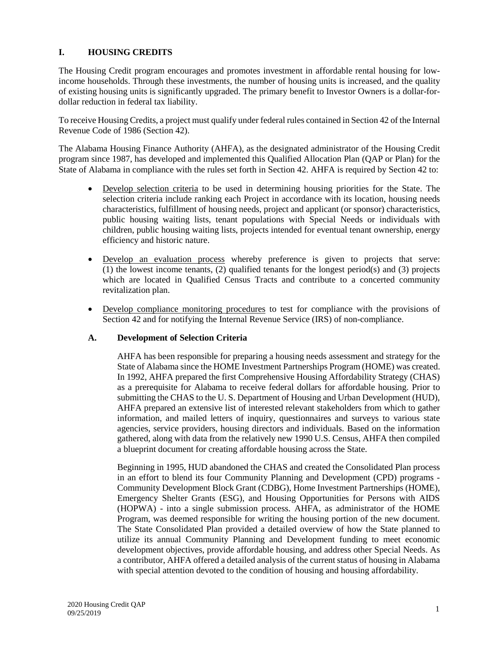## <span id="page-2-0"></span>**I. HOUSING CREDITS**

The Housing Credit program encourages and promotes investment in affordable rental housing for lowincome households. Through these investments, the number of housing units is increased, and the quality of existing housing units is significantly upgraded. The primary benefit to Investor Owners is a dollar-fordollar reduction in federal tax liability.

To receive Housing Credits, a project must qualify under federal rules contained in Section 42 of the Internal Revenue Code of 1986 (Section 42).

The Alabama Housing Finance Authority (AHFA), as the designated administrator of the Housing Credit program since 1987, has developed and implemented this Qualified Allocation Plan (QAP or Plan) for the State of Alabama in compliance with the rules set forth in Section 42. AHFA is required by Section 42 to:

- Develop selection criteria to be used in determining housing priorities for the State. The selection criteria include ranking each Project in accordance with its location, housing needs characteristics, fulfillment of housing needs, project and applicant (or sponsor) characteristics, public housing waiting lists, tenant populations with Special Needs or individuals with children, public housing waiting lists, projects intended for eventual tenant ownership, energy efficiency and historic nature.
- Develop an evaluation process whereby preference is given to projects that serve: (1) the lowest income tenants, (2) qualified tenants for the longest period(s) and (3) projects which are located in Qualified Census Tracts and contribute to a concerted community revitalization plan.
- Develop compliance monitoring procedures to test for compliance with the provisions of Section 42 and for notifying the Internal Revenue Service (IRS) of non-compliance.

#### <span id="page-2-1"></span>**A. Development of Selection Criteria**

AHFA has been responsible for preparing a housing needs assessment and strategy for the State of Alabama since the HOME Investment Partnerships Program (HOME) was created. In 1992, AHFA prepared the first Comprehensive Housing Affordability Strategy (CHAS) as a prerequisite for Alabama to receive federal dollars for affordable housing. Prior to submitting the CHAS to the U. S. Department of Housing and Urban Development (HUD), AHFA prepared an extensive list of interested relevant stakeholders from which to gather information, and mailed letters of inquiry, questionnaires and surveys to various state agencies, service providers, housing directors and individuals. Based on the information gathered, along with data from the relatively new 1990 U.S. Census, AHFA then compiled a blueprint document for creating affordable housing across the State.

Beginning in 1995, HUD abandoned the CHAS and created the Consolidated Plan process in an effort to blend its four Community Planning and Development (CPD) programs - Community Development Block Grant (CDBG), Home Investment Partnerships (HOME), Emergency Shelter Grants (ESG), and Housing Opportunities for Persons with AIDS (HOPWA) - into a single submission process. AHFA, as administrator of the HOME Program, was deemed responsible for writing the housing portion of the new document. The State Consolidated Plan provided a detailed overview of how the State planned to utilize its annual Community Planning and Development funding to meet economic development objectives, provide affordable housing, and address other Special Needs. As a contributor, AHFA offered a detailed analysis of the current status of housing in Alabama with special attention devoted to the condition of housing and housing affordability.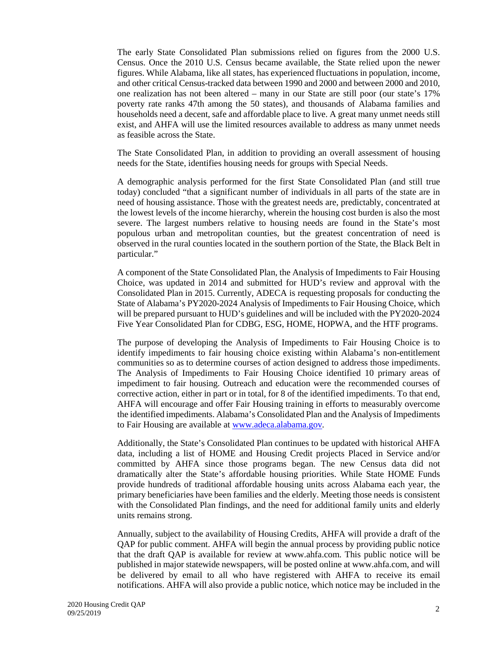The early State Consolidated Plan submissions relied on figures from the 2000 U.S. Census. Once the 2010 U.S. Census became available, the State relied upon the newer figures. While Alabama, like all states, has experienced fluctuations in population, income, and other critical Census-tracked data between 1990 and 2000 and between 2000 and 2010, one realization has not been altered – many in our State are still poor (our state's 17% poverty rate ranks 47th among the 50 states), and thousands of Alabama families and households need a decent, safe and affordable place to live. A great many unmet needs still exist, and AHFA will use the limited resources available to address as many unmet needs as feasible across the State.

The State Consolidated Plan, in addition to providing an overall assessment of housing needs for the State, identifies housing needs for groups with Special Needs.

A demographic analysis performed for the first State Consolidated Plan (and still true today) concluded "that a significant number of individuals in all parts of the state are in need of housing assistance. Those with the greatest needs are, predictably, concentrated at the lowest levels of the income hierarchy, wherein the housing cost burden is also the most severe. The largest numbers relative to housing needs are found in the State's most populous urban and metropolitan counties, but the greatest concentration of need is observed in the rural counties located in the southern portion of the State, the Black Belt in particular."

A component of the State Consolidated Plan, the Analysis of Impediments to Fair Housing Choice, was updated in 2014 and submitted for HUD's review and approval with the Consolidated Plan in 2015. Currently, ADECA is requesting proposals for conducting the State of Alabama's PY2020-2024 Analysis of Impediments to Fair Housing Choice, which will be prepared pursuant to HUD's guidelines and will be included with the PY2020-2024 Five Year Consolidated Plan for CDBG, ESG, HOME, HOPWA, and the HTF programs.

The purpose of developing the Analysis of Impediments to Fair Housing Choice is to identify impediments to fair housing choice existing within Alabama's non-entitlement communities so as to determine courses of action designed to address those impediments. The Analysis of Impediments to Fair Housing Choice identified 10 primary areas of impediment to fair housing. Outreach and education were the recommended courses of corrective action, either in part or in total, for 8 of the identified impediments. To that end, AHFA will encourage and offer Fair Housing training in efforts to measurably overcome the identified impediments. Alabama's Consolidated Plan and the Analysis of Impediments to Fair Housing are available at www.adeca.alabama.gov.

Additionally, the State's Consolidated Plan continues to be updated with historical AHFA data, including a list of HOME and Housing Credit projects Placed in Service and/or committed by AHFA since those programs began. The new Census data did not dramatically alter the State's affordable housing priorities. While State HOME Funds provide hundreds of traditional affordable housing units across Alabama each year, the primary beneficiaries have been families and the elderly. Meeting those needs is consistent with the Consolidated Plan findings, and the need for additional family units and elderly units remains strong.

Annually, subject to the availability of Housing Credits, AHFA will provide a draft of the QAP for public comment. AHFA will begin the annual process by providing public notice that the draft QAP is available for review at www.ahfa.com. This public notice will be published in major statewide newspapers, will be posted online at www.ahfa.com, and will be delivered by email to all who have registered with AHFA to receive its email notifications. AHFA will also provide a public notice, which notice may be included in the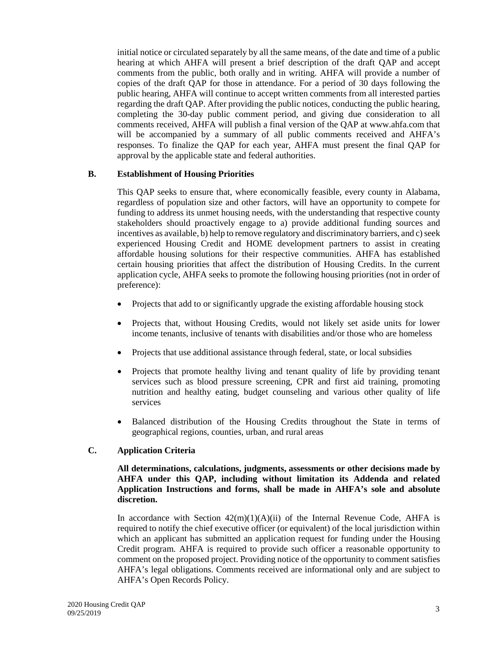initial notice or circulated separately by all the same means, of the date and time of a public hearing at which AHFA will present a brief description of the draft QAP and accept comments from the public, both orally and in writing. AHFA will provide a number of copies of the draft QAP for those in attendance. For a period of 30 days following the public hearing, AHFA will continue to accept written comments from all interested parties regarding the draft QAP. After providing the public notices, conducting the public hearing, completing the 30-day public comment period, and giving due consideration to all comments received, AHFA will publish a final version of the QAP at www.ahfa.com that will be accompanied by a summary of all public comments received and AHFA's responses. To finalize the QAP for each year, AHFA must present the final QAP for approval by the applicable state and federal authorities.

#### <span id="page-4-0"></span>**B. Establishment of Housing Priorities**

This QAP seeks to ensure that, where economically feasible, every county in Alabama, regardless of population size and other factors, will have an opportunity to compete for funding to address its unmet housing needs, with the understanding that respective county stakeholders should proactively engage to a) provide additional funding sources and incentives as available, b) help to remove regulatory and discriminatory barriers, and c) seek experienced Housing Credit and HOME development partners to assist in creating affordable housing solutions for their respective communities. AHFA has established certain housing priorities that affect the distribution of Housing Credits. In the current application cycle, AHFA seeks to promote the following housing priorities (not in order of preference):

- Projects that add to or significantly upgrade the existing affordable housing stock
- Projects that, without Housing Credits, would not likely set aside units for lower income tenants, inclusive of tenants with disabilities and/or those who are homeless
- Projects that use additional assistance through federal, state, or local subsidies
- Projects that promote healthy living and tenant quality of life by providing tenant services such as blood pressure screening, CPR and first aid training, promoting nutrition and healthy eating, budget counseling and various other quality of life services
- Balanced distribution of the Housing Credits throughout the State in terms of geographical regions, counties, urban, and rural areas

## <span id="page-4-1"></span>**C. Application Criteria**

#### **All determinations, calculations, judgments, assessments or other decisions made by AHFA under this QAP, including without limitation its Addenda and related Application Instructions and forms, shall be made in AHFA's sole and absolute discretion.**

In accordance with Section  $42(m)(1)(A)(ii)$  of the Internal Revenue Code, AHFA is required to notify the chief executive officer (or equivalent) of the local jurisdiction within which an applicant has submitted an application request for funding under the Housing Credit program. AHFA is required to provide such officer a reasonable opportunity to comment on the proposed project. Providing notice of the opportunity to comment satisfies AHFA's legal obligations. Comments received are informational only and are subject to AHFA's Open Records Policy.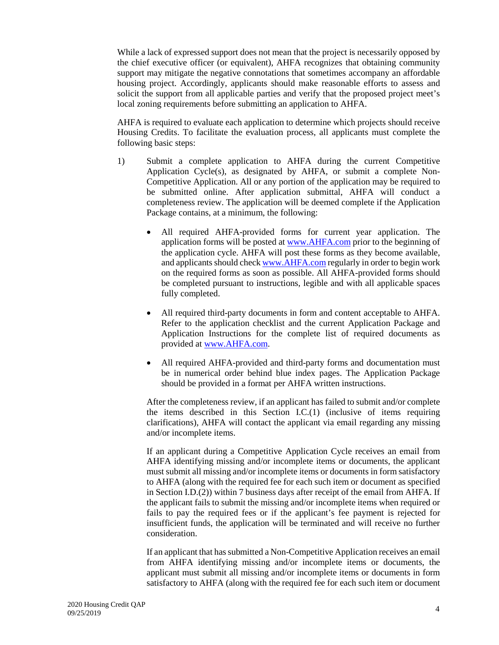While a lack of expressed support does not mean that the project is necessarily opposed by the chief executive officer (or equivalent), AHFA recognizes that obtaining community support may mitigate the negative connotations that sometimes accompany an affordable housing project. Accordingly, applicants should make reasonable efforts to assess and solicit the support from all applicable parties and verify that the proposed project meet's local zoning requirements before submitting an application to AHFA.

AHFA is required to evaluate each application to determine which projects should receive Housing Credits. To facilitate the evaluation process, all applicants must complete the following basic steps:

- 1) Submit a complete application to AHFA during the current Competitive Application Cycle(s), as designated by AHFA, or submit a complete Non-Competitive Application. All or any portion of the application may be required to be submitted online. After application submittal, AHFA will conduct a completeness review. The application will be deemed complete if the Application Package contains, at a minimum, the following:
	- All required AHFA-provided forms for current year application. The application forms will be posted at www.AHFA.com prior to the beginning of the application cycle. AHFA will post these forms as they become available, and applicants should check www.AHFA.com regularly in order to begin work on the required forms as soon as possible. All AHFA-provided forms should be completed pursuant to instructions, legible and with all applicable spaces fully completed.
	- All required third-party documents in form and content acceptable to AHFA. Refer to the application checklist and the current Application Package and Application Instructions for the complete list of required documents as provided at www.AHFA.com.
	- All required AHFA-provided and third-party forms and documentation must be in numerical order behind blue index pages. The Application Package should be provided in a format per AHFA written instructions.

After the completeness review, if an applicant has failed to submit and/or complete the items described in this Section I.C.(1) (inclusive of items requiring clarifications), AHFA will contact the applicant via email regarding any missing and/or incomplete items.

If an applicant during a Competitive Application Cycle receives an email from AHFA identifying missing and/or incomplete items or documents, the applicant must submit all missing and/or incomplete items or documents in form satisfactory to AHFA (along with the required fee for each such item or document as specified in Section I.D.(2)) within 7 business days after receipt of the email from AHFA. If the applicant fails to submit the missing and/or incomplete items when required or fails to pay the required fees or if the applicant's fee payment is rejected for insufficient funds, the application will be terminated and will receive no further consideration.

If an applicant that has submitted a Non-Competitive Application receives an email from AHFA identifying missing and/or incomplete items or documents, the applicant must submit all missing and/or incomplete items or documents in form satisfactory to AHFA (along with the required fee for each such item or document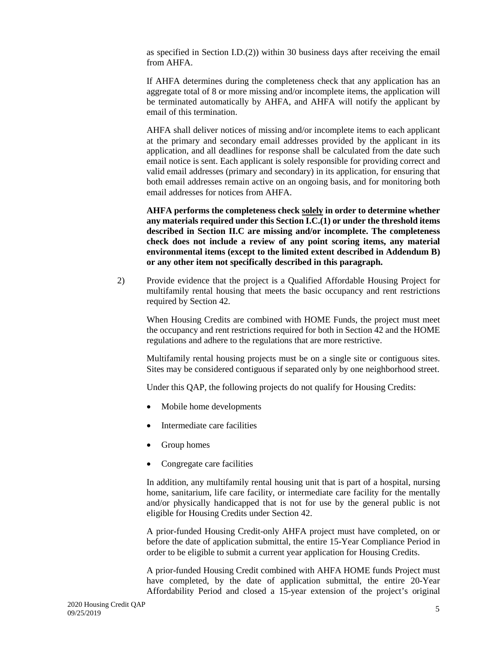as specified in Section I.D.(2)) within 30 business days after receiving the email from AHFA.

If AHFA determines during the completeness check that any application has an aggregate total of 8 or more missing and/or incomplete items, the application will be terminated automatically by AHFA, and AHFA will notify the applicant by email of this termination.

AHFA shall deliver notices of missing and/or incomplete items to each applicant at the primary and secondary email addresses provided by the applicant in its application, and all deadlines for response shall be calculated from the date such email notice is sent. Each applicant is solely responsible for providing correct and valid email addresses (primary and secondary) in its application, for ensuring that both email addresses remain active on an ongoing basis, and for monitoring both email addresses for notices from AHFA.

**AHFA performs the completeness check solely in order to determine whether any materials required under this Section I.C.(1) or under the threshold items described in Section II.C are missing and/or incomplete. The completeness check does not include a review of any point scoring items, any material environmental items (except to the limited extent described in Addendum B) or any other item not specifically described in this paragraph.**

2) Provide evidence that the project is a Qualified Affordable Housing Project for multifamily rental housing that meets the basic occupancy and rent restrictions required by Section 42.

When Housing Credits are combined with HOME Funds, the project must meet the occupancy and rent restrictions required for both in Section 42 and the HOME regulations and adhere to the regulations that are more restrictive.

Multifamily rental housing projects must be on a single site or contiguous sites. Sites may be considered contiguous if separated only by one neighborhood street.

Under this QAP, the following projects do not qualify for Housing Credits:

- Mobile home developments
- Intermediate care facilities
- Group homes
- Congregate care facilities

In addition, any multifamily rental housing unit that is part of a hospital, nursing home, sanitarium, life care facility, or intermediate care facility for the mentally and/or physically handicapped that is not for use by the general public is not eligible for Housing Credits under Section 42.

A prior-funded Housing Credit-only AHFA project must have completed, on or before the date of application submittal, the entire 15-Year Compliance Period in order to be eligible to submit a current year application for Housing Credits.

A prior-funded Housing Credit combined with AHFA HOME funds Project must have completed, by the date of application submittal, the entire 20-Year Affordability Period and closed a 15-year extension of the project's original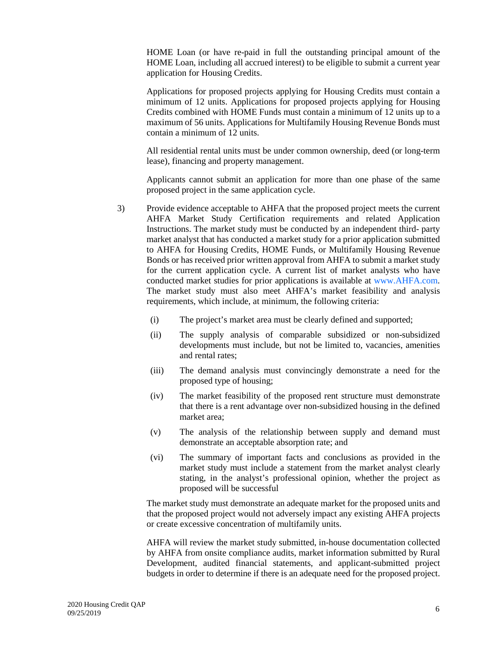HOME Loan (or have re-paid in full the outstanding principal amount of the HOME Loan, including all accrued interest) to be eligible to submit a current year application for Housing Credits.

Applications for proposed projects applying for Housing Credits must contain a minimum of 12 units. Applications for proposed projects applying for Housing Credits combined with HOME Funds must contain a minimum of 12 units up to a maximum of 56 units. Applications for Multifamily Housing Revenue Bonds must contain a minimum of 12 units.

All residential rental units must be under common ownership, deed (or long-term lease), financing and property management.

Applicants cannot submit an application for more than one phase of the same proposed project in the same application cycle.

- 3) Provide evidence acceptable to AHFA that the proposed project meets the current AHFA Market Study Certification requirements and related Application Instructions. The market study must be conducted by an independent third- party market analyst that has conducted a market study for a prior application submitted to AHFA for Housing Credits, HOME Funds, or Multifamily Housing Revenue Bonds or has received prior written approval from AHFA to submit a market study for the current application cycle. A current list of market analysts who have conducted market studies for prior applications is available at www.AHFA.com. The market study must also meet AHFA's market feasibility and analysis requirements, which include, at minimum, the following criteria:
	- (i) The project's market area must be clearly defined and supported;
	- (ii) The supply analysis of comparable subsidized or non-subsidized developments must include, but not be limited to, vacancies, amenities and rental rates;
	- (iii) The demand analysis must convincingly demonstrate a need for the proposed type of housing;
	- (iv) The market feasibility of the proposed rent structure must demonstrate that there is a rent advantage over non-subsidized housing in the defined market area;
	- (v) The analysis of the relationship between supply and demand must demonstrate an acceptable absorption rate; and
	- (vi) The summary of important facts and conclusions as provided in the market study must include a statement from the market analyst clearly stating, in the analyst's professional opinion, whether the project as proposed will be successful

The market study must demonstrate an adequate market for the proposed units and that the proposed project would not adversely impact any existing AHFA projects or create excessive concentration of multifamily units.

AHFA will review the market study submitted, in-house documentation collected by AHFA from onsite compliance audits, market information submitted by Rural Development, audited financial statements, and applicant-submitted project budgets in order to determine if there is an adequate need for the proposed project.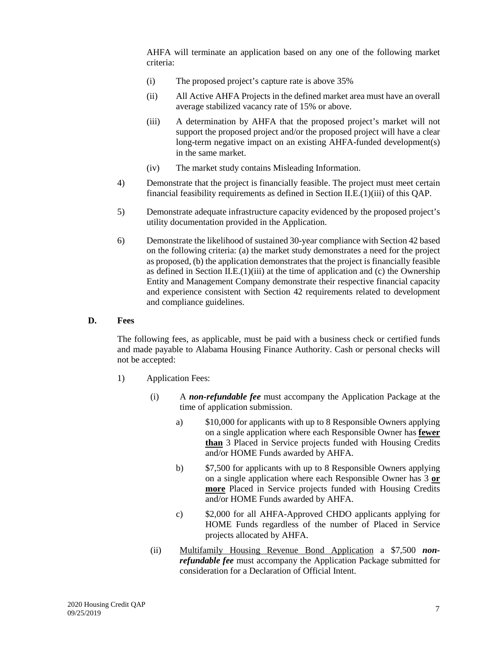AHFA will terminate an application based on any one of the following market criteria:

- (i) The proposed project's capture rate is above 35%
- (ii) All Active AHFA Projects in the defined market area must have an overall average stabilized vacancy rate of 15% or above.
- (iii) A determination by AHFA that the proposed project's market will not support the proposed project and/or the proposed project will have a clear long-term negative impact on an existing AHFA-funded development(s) in the same market.
- (iv) The market study contains Misleading Information.
- 4) Demonstrate that the project is financially feasible. The project must meet certain financial feasibility requirements as defined in Section II.E.(1)(iii) of this QAP.
- 5) Demonstrate adequate infrastructure capacity evidenced by the proposed project's utility documentation provided in the Application.
- 6) Demonstrate the likelihood of sustained 30-year compliance with Section 42 based on the following criteria: (a) the market study demonstrates a need for the project as proposed, (b) the application demonstrates that the project is financially feasible as defined in Section II.E. $(1)(iii)$  at the time of application and (c) the Ownership Entity and Management Company demonstrate their respective financial capacity and experience consistent with Section 42 requirements related to development and compliance guidelines.

#### <span id="page-8-0"></span>**D. Fees**

The following fees, as applicable, must be paid with a business check or certified funds and made payable to Alabama Housing Finance Authority. Cash or personal checks will not be accepted:

- 1) Application Fees:
	- (i) A *non-refundable fee* must accompany the Application Package at the time of application submission.
		- a) \$10,000 for applicants with up to 8 Responsible Owners applying on a single application where each Responsible Owner has **fewer than** 3 Placed in Service projects funded with Housing Credits and/or HOME Funds awarded by AHFA.
		- b) \$7,500 for applicants with up to 8 Responsible Owners applying on a single application where each Responsible Owner has 3 **or more** Placed in Service projects funded with Housing Credits and/or HOME Funds awarded by AHFA.
		- c) \$2,000 for all AHFA-Approved CHDO applicants applying for HOME Funds regardless of the number of Placed in Service projects allocated by AHFA.
	- (ii) Multifamily Housing Revenue Bond Application a \$7,500 *nonrefundable fee* must accompany the Application Package submitted for consideration for a Declaration of Official Intent.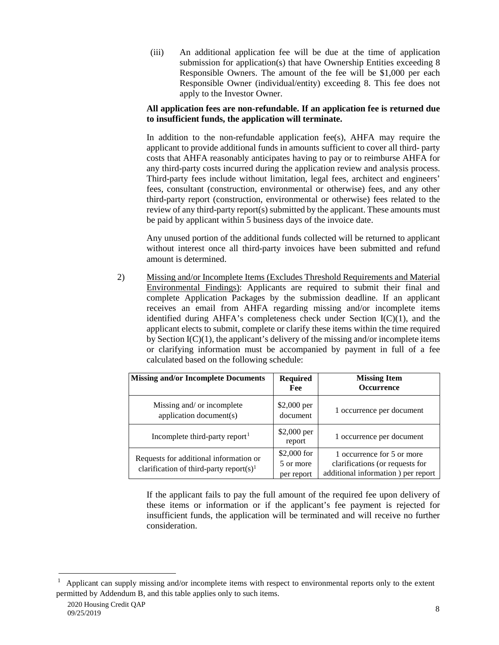(iii) An additional application fee will be due at the time of application submission for application(s) that have Ownership Entities exceeding 8 Responsible Owners. The amount of the fee will be \$1,000 per each Responsible Owner (individual/entity) exceeding 8. This fee does not apply to the Investor Owner.

## **All application fees are non-refundable. If an application fee is returned due to insufficient funds, the application will terminate.**

In addition to the non-refundable application fee(s), AHFA may require the applicant to provide additional funds in amounts sufficient to cover all third- party costs that AHFA reasonably anticipates having to pay or to reimburse AHFA for any third-party costs incurred during the application review and analysis process. Third-party fees include without limitation, legal fees, architect and engineers' fees, consultant (construction, environmental or otherwise) fees, and any other third-party report (construction, environmental or otherwise) fees related to the review of any third-party report(s) submitted by the applicant. These amounts must be paid by applicant within 5 business days of the invoice date.

Any unused portion of the additional funds collected will be returned to applicant without interest once all third-party invoices have been submitted and refund amount is determined.

2) Missing and/or Incomplete Items (Excludes Threshold Requirements and Material Environmental Findings): Applicants are required to submit their final and complete Application Packages by the submission deadline. If an applicant receives an email from AHFA regarding missing and/or incomplete items identified during AHFA's completeness check under Section I(C)(1), and the applicant elects to submit, complete or clarify these items within the time required by Section  $I(C)(1)$ , the applicant's delivery of the missing and/or incomplete items or clarifying information must be accompanied by payment in full of a fee calculated based on the following schedule:

| <b>Missing and/or Incomplete Documents</b>                                                    | <b>Required</b><br>Fee                  | <b>Missing Item</b><br><b>Occurrence</b>                                                            |
|-----------------------------------------------------------------------------------------------|-----------------------------------------|-----------------------------------------------------------------------------------------------------|
| Missing and/ or incomplete<br>application document(s)                                         | \$2,000 per<br>document                 | 1 occurrence per document                                                                           |
| Incomplete third-party report <sup>1</sup>                                                    | \$2,000 per<br>report                   | 1 occurrence per document                                                                           |
| Requests for additional information or<br>clarification of third-party report(s) <sup>1</sup> | $$2,000$ for<br>5 or more<br>per report | 1 occurrence for 5 or more<br>clarifications (or requests for<br>additional information) per report |

If the applicant fails to pay the full amount of the required fee upon delivery of these items or information or if the applicant's fee payment is rejected for insufficient funds, the application will be terminated and will receive no further consideration.

<span id="page-9-0"></span> $\frac{1}{1}$  Applicant can supply missing and/or incomplete items with respect to environmental reports only to the extent permitted by Addendum B, and this table applies only to such items.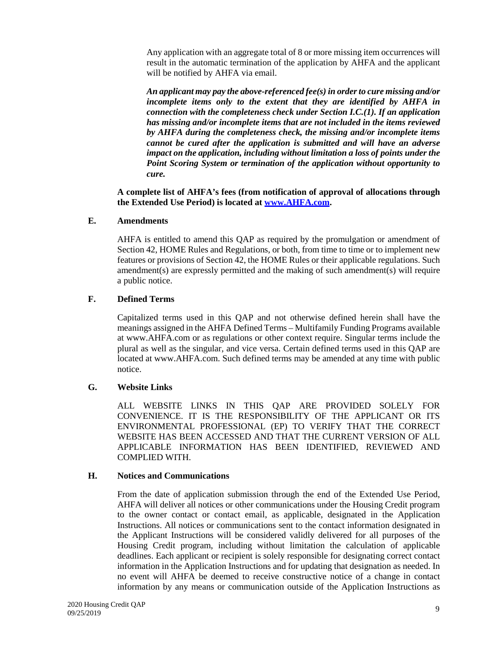Any application with an aggregate total of 8 or more missing item occurrences will result in the automatic termination of the application by AHFA and the applicant will be notified by AHFA via email.

*An applicant may pay the above-referenced fee(s) in order to cure missing and/or incomplete items only to the extent that they are identified by AHFA in connection with the completeness check under Section I.C.(1). If an application has missing and/or incomplete items that are not included in the items reviewed by AHFA during the completeness check, the missing and/or incomplete items cannot be cured after the application is submitted and will have an adverse impact on the application, including without limitation a loss of points under the Point Scoring System or termination of the application without opportunity to cure.*

**A complete list of AHFA's fees (from notification of approval of allocations through the Extended Use Period) is located at www.AHFA.com.**

#### <span id="page-10-0"></span>**E. Amendments**

AHFA is entitled to amend this QAP as required by the promulgation or amendment of Section 42, HOME Rules and Regulations, or both, from time to time or to implement new features or provisions of Section 42, the HOME Rules or their applicable regulations. Such amendment(s) are expressly permitted and the making of such amendment(s) will require a public notice.

#### <span id="page-10-1"></span>**F. Defined Terms**

Capitalized terms used in this QAP and not otherwise defined herein shall have the meanings assigned in the AHFA Defined Terms – Multifamily Funding Programs available at www.AHFA.com or as regulations or other context require. Singular terms include the plural as well as the singular, and vice versa. Certain defined terms used in this QAP are located at www.AHFA.com. Such defined terms may be amended at any time with public notice.

#### <span id="page-10-2"></span>**G. Website Links**

ALL WEBSITE LINKS IN THIS QAP ARE PROVIDED SOLELY FOR CONVENIENCE. IT IS THE RESPONSIBILITY OF THE APPLICANT OR ITS ENVIRONMENTAL PROFESSIONAL (EP) TO VERIFY THAT THE CORRECT WEBSITE HAS BEEN ACCESSED AND THAT THE CURRENT VERSION OF ALL APPLICABLE INFORMATION HAS BEEN IDENTIFIED, REVIEWED AND COMPLIED WITH.

#### <span id="page-10-3"></span>**H. Notices and Communications**

From the date of application submission through the end of the Extended Use Period, AHFA will deliver all notices or other communications under the Housing Credit program to the owner contact or contact email, as applicable, designated in the Application Instructions. All notices or communications sent to the contact information designated in the Applicant Instructions will be considered validly delivered for all purposes of the Housing Credit program, including without limitation the calculation of applicable deadlines. Each applicant or recipient is solely responsible for designating correct contact information in the Application Instructions and for updating that designation as needed. In no event will AHFA be deemed to receive constructive notice of a change in contact information by any means or communication outside of the Application Instructions as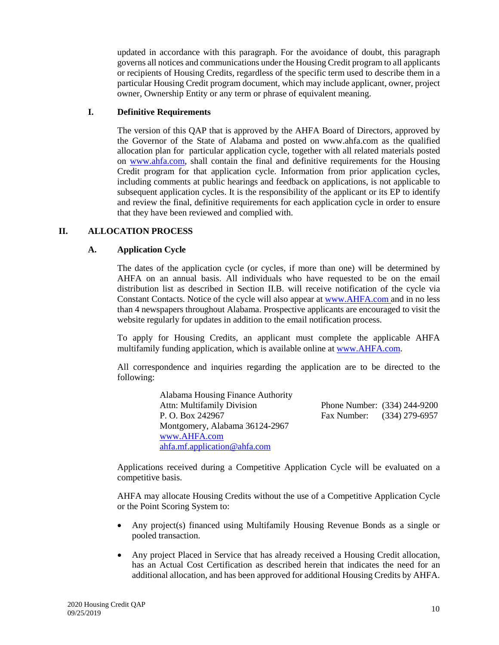updated in accordance with this paragraph. For the avoidance of doubt, this paragraph governs all notices and communications under the Housing Credit program to all applicants or recipients of Housing Credits, regardless of the specific term used to describe them in a particular Housing Credit program document, which may include applicant, owner, project owner, Ownership Entity or any term or phrase of equivalent meaning.

## <span id="page-11-0"></span>**I. Definitive Requirements**

The version of this QAP that is approved by the AHFA Board of Directors, approved by the Governor of the State of Alabama and posted on www.ahfa.com as the qualified allocation plan for particular application cycle, together with all related materials posted on www.ahfa.com, shall contain the final and definitive requirements for the Housing Credit program for that application cycle. Information from prior application cycles, including comments at public hearings and feedback on applications, is not applicable to subsequent application cycles. It is the responsibility of the applicant or its EP to identify and review the final, definitive requirements for each application cycle in order to ensure that they have been reviewed and complied with.

## <span id="page-11-2"></span><span id="page-11-1"></span>**II. ALLOCATION PROCESS**

## **A. Application Cycle**

The dates of the application cycle (or cycles, if more than one) will be determined by AHFA on an annual basis. All individuals who have requested to be on the email distribution list as described in Section II.B. will receive notification of the cycle via Constant Contacts. Notice of the cycle will also appear at www.AHFA.com and in no less than 4 newspapers throughout Alabama. Prospective applicants are encouraged to visit the website regularly for updates in addition to the email notification process.

To apply for Housing Credits, an applicant must complete the applicable AHFA multifamily funding application, which is available online at www.AHFA.com.

All correspondence and inquiries regarding the application are to be directed to the following:

| <b>Alabama Housing Finance Authority</b> |                              |  |
|------------------------------------------|------------------------------|--|
| <b>Attn: Multifamily Division</b>        | Phone Number: (334) 244-9200 |  |
| P. O. Box 242967                         | Fax Number: (334) 279-6957   |  |
| Montgomery, Alabama 36124-2967           |                              |  |
| www.AHFA.com                             |                              |  |
| ahfa.mf. application @ ahfa.com          |                              |  |

Applications received during a Competitive Application Cycle will be evaluated on a competitive basis.

AHFA may allocate Housing Credits without the use of a Competitive Application Cycle or the Point Scoring System to:

- Any project(s) financed using Multifamily Housing Revenue Bonds as a single or pooled transaction.
- Any project Placed in Service that has already received a Housing Credit allocation, has an Actual Cost Certification as described herein that indicates the need for an additional allocation, and has been approved for additional Housing Credits by AHFA.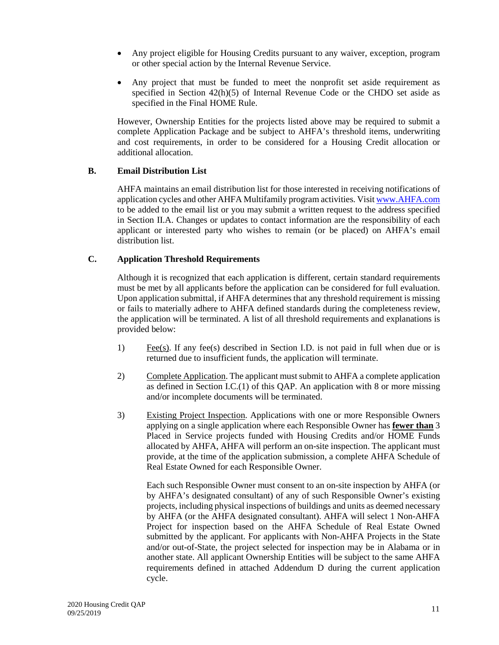- Any project eligible for Housing Credits pursuant to any waiver, exception, program or other special action by the Internal Revenue Service.
- Any project that must be funded to meet the nonprofit set aside requirement as specified in Section 42(h)(5) of Internal Revenue Code or the CHDO set aside as specified in the Final HOME Rule.

However, Ownership Entities for the projects listed above may be required to submit a complete Application Package and be subject to AHFA's threshold items, underwriting and cost requirements, in order to be considered for a Housing Credit allocation or additional allocation.

## <span id="page-12-0"></span>**B. Email Distribution List**

AHFA maintains an email distribution list for those interested in receiving notifications of application cycles and other AHFA Multifamily program activities. Visit www.AHFA.com to be added to the email list or you may submit a written request to the address specified in Section II.A. Changes or updates to contact information are the responsibility of each applicant or interested party who wishes to remain (or be placed) on AHFA's email distribution list.

## <span id="page-12-1"></span>**C. Application Threshold Requirements**

Although it is recognized that each application is different, certain standard requirements must be met by all applicants before the application can be considered for full evaluation. Upon application submittal, if AHFA determines that any threshold requirement is missing or fails to materially adhere to AHFA defined standards during the completeness review, the application will be terminated. A list of all threshold requirements and explanations is provided below:

- 1) Fee(s). If any fee(s) described in Section I.D. is not paid in full when due or is returned due to insufficient funds, the application will terminate.
- 2) Complete Application. The applicant must submit to AHFA a complete application as defined in Section I.C.(1) of this QAP. An application with 8 or more missing and/or incomplete documents will be terminated.
- 3) Existing Project Inspection. Applications with one or more Responsible Owners applying on a single application where each Responsible Owner has **fewer than** 3 Placed in Service projects funded with Housing Credits and/or HOME Funds allocated by AHFA, AHFA will perform an on-site inspection. The applicant must provide, at the time of the application submission, a complete AHFA Schedule of Real Estate Owned for each Responsible Owner.

Each such Responsible Owner must consent to an on-site inspection by AHFA (or by AHFA's designated consultant) of any of such Responsible Owner's existing projects, including physical inspections of buildings and units as deemed necessary by AHFA (or the AHFA designated consultant). AHFA will select 1 Non-AHFA Project for inspection based on the AHFA Schedule of Real Estate Owned submitted by the applicant. For applicants with Non-AHFA Projects in the State and/or out-of-State, the project selected for inspection may be in Alabama or in another state. All applicant Ownership Entities will be subject to the same AHFA requirements defined in attached Addendum D during the current application cycle.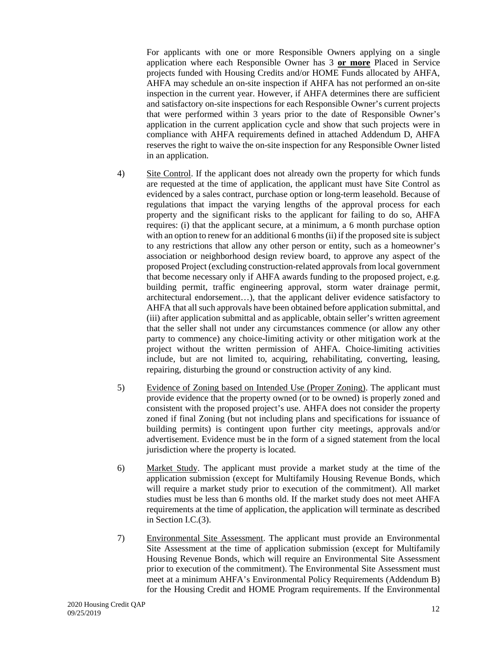For applicants with one or more Responsible Owners applying on a single application where each Responsible Owner has 3 **or more** Placed in Service projects funded with Housing Credits and/or HOME Funds allocated by AHFA, AHFA may schedule an on-site inspection if AHFA has not performed an on-site inspection in the current year. However, if AHFA determines there are sufficient and satisfactory on-site inspections for each Responsible Owner's current projects that were performed within 3 years prior to the date of Responsible Owner's application in the current application cycle and show that such projects were in compliance with AHFA requirements defined in attached Addendum D, AHFA reserves the right to waive the on-site inspection for any Responsible Owner listed in an application.

- 4) Site Control. If the applicant does not already own the property for which funds are requested at the time of application, the applicant must have Site Control as evidenced by a sales contract, purchase option or long-term leasehold. Because of regulations that impact the varying lengths of the approval process for each property and the significant risks to the applicant for failing to do so, AHFA requires: (i) that the applicant secure, at a minimum, a 6 month purchase option with an option to renew for an additional 6 months (ii) if the proposed site is subject to any restrictions that allow any other person or entity, such as a homeowner's association or neighborhood design review board, to approve any aspect of the proposed Project (excluding construction-related approvals from local government that become necessary only if AHFA awards funding to the proposed project, e.g. building permit, traffic engineering approval, storm water drainage permit, architectural endorsement…), that the applicant deliver evidence satisfactory to AHFA that all such approvals have been obtained before application submittal, and (iii) after application submittal and as applicable, obtain seller's written agreement that the seller shall not under any circumstances commence (or allow any other party to commence) any choice-limiting activity or other mitigation work at the project without the written permission of AHFA. Choice-limiting activities include, but are not limited to, acquiring, rehabilitating, converting, leasing, repairing, disturbing the ground or construction activity of any kind.
- 5) Evidence of Zoning based on Intended Use (Proper Zoning). The applicant must provide evidence that the property owned (or to be owned) is properly zoned and consistent with the proposed project's use. AHFA does not consider the property zoned if final Zoning (but not including plans and specifications for issuance of building permits) is contingent upon further city meetings, approvals and/or advertisement. Evidence must be in the form of a signed statement from the local jurisdiction where the property is located.
- 6) Market Study. The applicant must provide a market study at the time of the application submission (except for Multifamily Housing Revenue Bonds, which will require a market study prior to execution of the commitment). All market studies must be less than 6 months old. If the market study does not meet AHFA requirements at the time of application, the application will terminate as described in Section I.C.(3).
- 7) Environmental Site Assessment. The applicant must provide an Environmental Site Assessment at the time of application submission (except for Multifamily Housing Revenue Bonds, which will require an Environmental Site Assessment prior to execution of the commitment). The Environmental Site Assessment must meet at a minimum AHFA's Environmental Policy Requirements (Addendum B) for the Housing Credit and HOME Program requirements. If the Environmental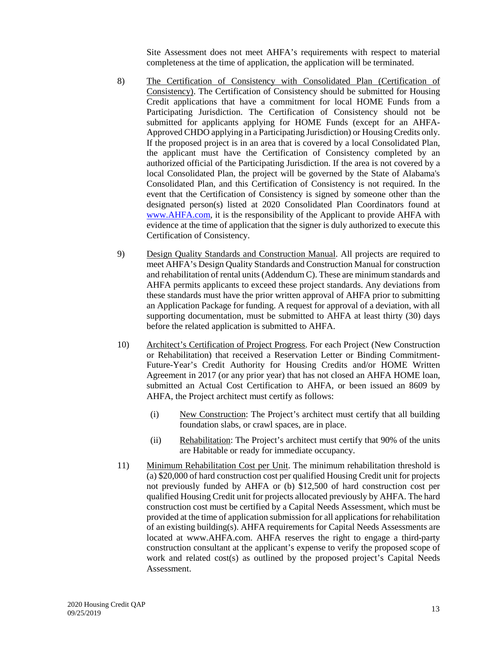Site Assessment does not meet AHFA's requirements with respect to material completeness at the time of application, the application will be terminated.

- 8) The Certification of Consistency with Consolidated Plan (Certification of Consistency). The Certification of Consistency should be submitted for Housing Credit applications that have a commitment for local HOME Funds from a Participating Jurisdiction. The Certification of Consistency should not be submitted for applicants applying for HOME Funds (except for an AHFA-Approved CHDO applying in a Participating Jurisdiction) or Housing Credits only. If the proposed project is in an area that is covered by a local Consolidated Plan, the applicant must have the Certification of Consistency completed by an authorized official of the Participating Jurisdiction. If the area is not covered by a local Consolidated Plan, the project will be governed by the State of Alabama's Consolidated Plan, and this Certification of Consistency is not required. In the event that the Certification of Consistency is signed by someone other than the designated person(s) listed at 2020 Consolidated Plan Coordinators found at www.AHFA.com, it is the responsibility of the Applicant to provide AHFA with evidence at the time of application that the signer is duly authorized to execute this Certification of Consistency.
- 9) Design Quality Standards and Construction Manual. All projects are required to meet AHFA's Design Quality Standards and Construction Manual for construction and rehabilitation of rental units (Addendum C). These are minimum standards and AHFA permits applicants to exceed these project standards. Any deviations from these standards must have the prior written approval of AHFA prior to submitting an Application Package for funding. A request for approval of a deviation, with all supporting documentation, must be submitted to AHFA at least thirty (30) days before the related application is submitted to AHFA.
- 10) Architect's Certification of Project Progress. For each Project (New Construction or Rehabilitation) that received a Reservation Letter or Binding Commitment-Future-Year's Credit Authority for Housing Credits and/or HOME Written Agreement in 2017 (or any prior year) that has not closed an AHFA HOME loan, submitted an Actual Cost Certification to AHFA, or been issued an 8609 by AHFA, the Project architect must certify as follows:
	- (i) New Construction: The Project's architect must certify that all building foundation slabs, or crawl spaces, are in place.
	- (ii) Rehabilitation: The Project's architect must certify that 90% of the units are Habitable or ready for immediate occupancy.
- 11) Minimum Rehabilitation Cost per Unit. The minimum rehabilitation threshold is (a) \$20,000 of hard construction cost per qualified Housing Credit unit for projects not previously funded by AHFA or (b) \$12,500 of hard construction cost per qualified Housing Credit unit for projects allocated previously by AHFA. The hard construction cost must be certified by a Capital Needs Assessment, which must be provided at the time of application submission for all applications for rehabilitation of an existing building(s). AHFA requirements for Capital Needs Assessments are located at www.AHFA.com. AHFA reserves the right to engage a third-party construction consultant at the applicant's expense to verify the proposed scope of work and related cost(s) as outlined by the proposed project's Capital Needs Assessment.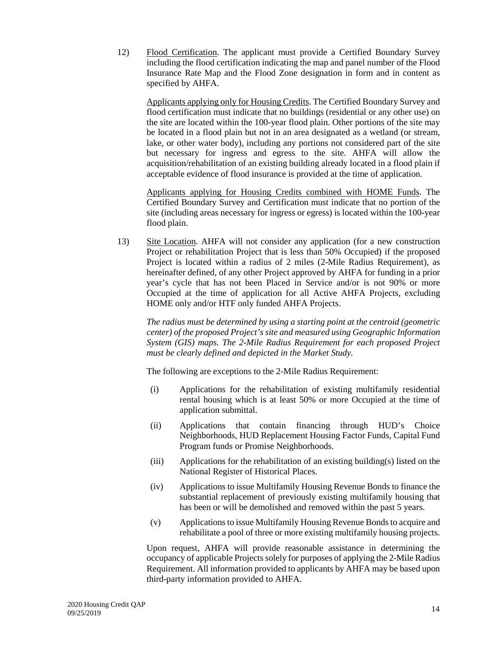12) Flood Certification. The applicant must provide a Certified Boundary Survey including the flood certification indicating the map and panel number of the Flood Insurance Rate Map and the Flood Zone designation in form and in content as specified by AHFA.

Applicants applying only for Housing Credits. The Certified Boundary Survey and flood certification must indicate that no buildings (residential or any other use) on the site are located within the 100-year flood plain. Other portions of the site may be located in a flood plain but not in an area designated as a wetland (or stream, lake, or other water body), including any portions not considered part of the site but necessary for ingress and egress to the site. AHFA will allow the acquisition/rehabilitation of an existing building already located in a flood plain if acceptable evidence of flood insurance is provided at the time of application.

Applicants applying for Housing Credits combined with HOME Funds. The Certified Boundary Survey and Certification must indicate that no portion of the site (including areas necessary for ingress or egress) is located within the 100-year flood plain.

13) Site Location. AHFA will not consider any application (for a new construction Project or rehabilitation Project that is less than 50% Occupied) if the proposed Project is located within a radius of 2 miles (2-Mile Radius Requirement), as hereinafter defined, of any other Project approved by AHFA for funding in a prior year's cycle that has not been Placed in Service and/or is not 90% or more Occupied at the time of application for all Active AHFA Projects, excluding HOME only and/or HTF only funded AHFA Projects.

*The radius must be determined by using a starting point at the centroid (geometric center) of the proposed Project's site and measured using Geographic Information System (GIS) maps. The 2-Mile Radius Requirement for each proposed Project must be clearly defined and depicted in the Market Study.*

The following are exceptions to the 2-Mile Radius Requirement:

- (i) Applications for the rehabilitation of existing multifamily residential rental housing which is at least 50% or more Occupied at the time of application submittal.
- (ii) Applications that contain financing through HUD's Choice Neighborhoods, HUD Replacement Housing Factor Funds, Capital Fund Program funds or Promise Neighborhoods.
- (iii) Applications for the rehabilitation of an existing building(s) listed on the National Register of Historical Places.
- (iv) Applications to issue Multifamily Housing Revenue Bonds to finance the substantial replacement of previously existing multifamily housing that has been or will be demolished and removed within the past 5 years.
- (v) Applications to issue Multifamily Housing Revenue Bonds to acquire and rehabilitate a pool of three or more existing multifamily housing projects.

Upon request, AHFA will provide reasonable assistance in determining the occupancy of applicable Projects solely for purposes of applying the 2-Mile Radius Requirement. All information provided to applicants by AHFA may be based upon third-party information provided to AHFA.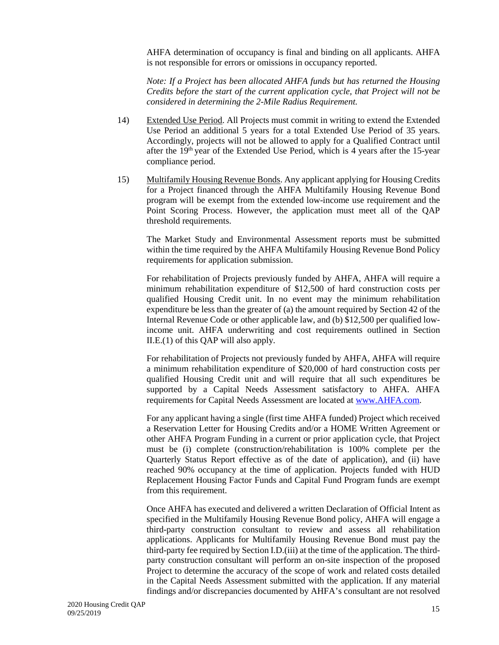AHFA determination of occupancy is final and binding on all applicants. AHFA is not responsible for errors or omissions in occupancy reported.

*Note: If a Project has been allocated AHFA funds but has returned the Housing Credits before the start of the current application cycle, that Project will not be considered in determining the 2-Mile Radius Requirement.*

- 14) Extended Use Period. All Projects must commit in writing to extend the Extended Use Period an additional 5 years for a total Extended Use Period of 35 years. Accordingly, projects will not be allowed to apply for a Qualified Contract until after the  $19<sup>th</sup>$  year of the Extended Use Period, which is 4 years after the 15-year compliance period.
- 15) Multifamily Housing Revenue Bonds. Any applicant applying for Housing Credits for a Project financed through the AHFA Multifamily Housing Revenue Bond program will be exempt from the extended low-income use requirement and the Point Scoring Process. However, the application must meet all of the QAP threshold requirements.

The Market Study and Environmental Assessment reports must be submitted within the time required by the AHFA Multifamily Housing Revenue Bond Policy requirements for application submission.

For rehabilitation of Projects previously funded by AHFA, AHFA will require a minimum rehabilitation expenditure of \$12,500 of hard construction costs per qualified Housing Credit unit. In no event may the minimum rehabilitation expenditure be less than the greater of (a) the amount required by Section 42 of the Internal Revenue Code or other applicable law, and (b) \$12,500 per qualified lowincome unit. AHFA underwriting and cost requirements outlined in Section II.E.(1) of this QAP will also apply.

For rehabilitation of Projects not previously funded by AHFA, AHFA will require a minimum rehabilitation expenditure of \$20,000 of hard construction costs per qualified Housing Credit unit and will require that all such expenditures be supported by a Capital Needs Assessment satisfactory to AHFA. AHFA requirements for Capital Needs Assessment are located at www.AHFA.com.

For any applicant having a single (first time AHFA funded) Project which received a Reservation Letter for Housing Credits and/or a HOME Written Agreement or other AHFA Program Funding in a current or prior application cycle, that Project must be (i) complete (construction/rehabilitation is 100% complete per the Quarterly Status Report effective as of the date of application), and (ii) have reached 90% occupancy at the time of application. Projects funded with HUD Replacement Housing Factor Funds and Capital Fund Program funds are exempt from this requirement.

Once AHFA has executed and delivered a written Declaration of Official Intent as specified in the Multifamily Housing Revenue Bond policy, AHFA will engage a third-party construction consultant to review and assess all rehabilitation applications. Applicants for Multifamily Housing Revenue Bond must pay the third-party fee required by Section I.D.(iii) at the time of the application. The thirdparty construction consultant will perform an on-site inspection of the proposed Project to determine the accuracy of the scope of work and related costs detailed in the Capital Needs Assessment submitted with the application. If any material findings and/or discrepancies documented by AHFA's consultant are not resolved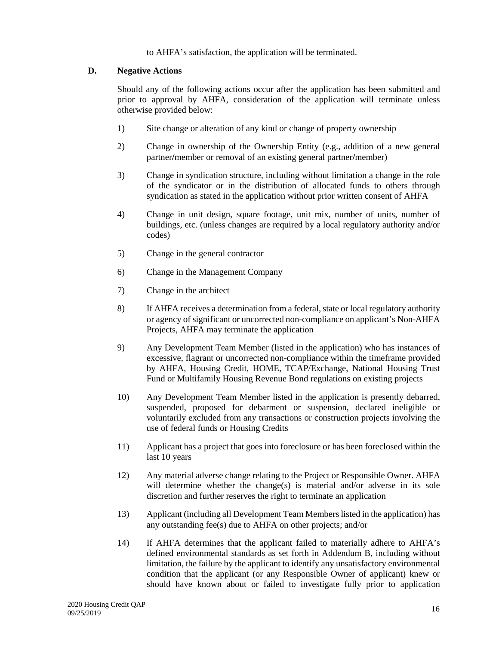to AHFA's satisfaction, the application will be terminated.

#### <span id="page-17-0"></span>**D. Negative Actions**

Should any of the following actions occur after the application has been submitted and prior to approval by AHFA, consideration of the application will terminate unless otherwise provided below:

- 1) Site change or alteration of any kind or change of property ownership
- 2) Change in ownership of the Ownership Entity (e.g., addition of a new general partner**/**member or removal of an existing general partner**/**member)
- 3) Change in syndication structure, including without limitation a change in the role of the syndicator or in the distribution of allocated funds to others through syndication as stated in the application without prior written consent of AHFA
- 4) Change in unit design, square footage, unit mix, number of units, number of buildings, etc. (unless changes are required by a local regulatory authority and/or codes)
- 5) Change in the general contractor
- 6) Change in the Management Company
- 7) Change in the architect
- 8) If AHFA receives a determination from a federal, state or local regulatory authority or agency of significant or uncorrected non-compliance on applicant's Non-AHFA Projects, AHFA may terminate the application
- 9) Any Development Team Member (listed in the application) who has instances of excessive, flagrant or uncorrected non-compliance within the timeframe provided by AHFA, Housing Credit, HOME, TCAP/Exchange, National Housing Trust Fund or Multifamily Housing Revenue Bond regulations on existing projects
- 10) Any Development Team Member listed in the application is presently debarred, suspended, proposed for debarment or suspension, declared ineligible or voluntarily excluded from any transactions or construction projects involving the use of federal funds or Housing Credits
- 11) Applicant has a project that goes into foreclosure or has been foreclosed within the last 10 years
- 12) Any material adverse change relating to the Project or Responsible Owner. AHFA will determine whether the change(s) is material and/or adverse in its sole discretion and further reserves the right to terminate an application
- 13) Applicant (including all Development Team Members listed in the application) has any outstanding fee(s) due to AHFA on other projects; and/or
- 14) If AHFA determines that the applicant failed to materially adhere to AHFA's defined environmental standards as set forth in Addendum B, including without limitation, the failure by the applicant to identify any unsatisfactory environmental condition that the applicant (or any Responsible Owner of applicant) knew or should have known about or failed to investigate fully prior to application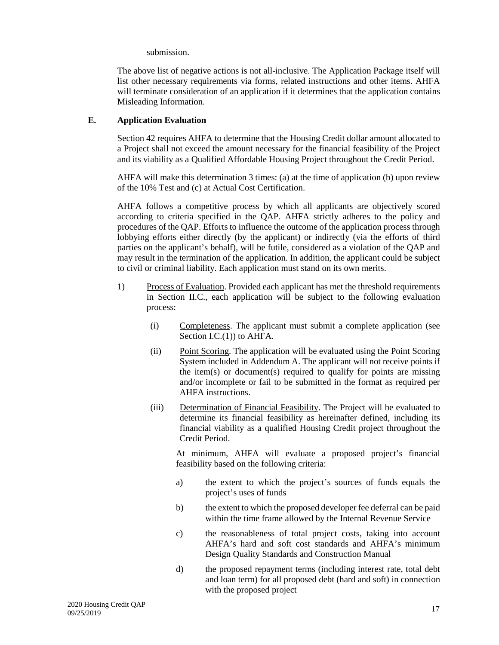submission.

The above list of negative actions is not all-inclusive. The Application Package itself will list other necessary requirements via forms, related instructions and other items. AHFA will terminate consideration of an application if it determines that the application contains Misleading Information.

## <span id="page-18-0"></span>**E. Application Evaluation**

Section 42 requires AHFA to determine that the Housing Credit dollar amount allocated to a Project shall not exceed the amount necessary for the financial feasibility of the Project and its viability as a Qualified Affordable Housing Project throughout the Credit Period.

AHFA will make this determination 3 times: (a) at the time of application (b) upon review of the 10% Test and (c) at Actual Cost Certification.

AHFA follows a competitive process by which all applicants are objectively scored according to criteria specified in the QAP. AHFA strictly adheres to the policy and procedures of the QAP. Efforts to influence the outcome of the application process through lobbying efforts either directly (by the applicant) or indirectly (via the efforts of third parties on the applicant's behalf), will be futile, considered as a violation of the QAP and may result in the termination of the application. In addition, the applicant could be subject to civil or criminal liability. Each application must stand on its own merits.

- 1) Process of Evaluation. Provided each applicant has met the threshold requirements in Section II.C., each application will be subject to the following evaluation process:
	- (i) Completeness. The applicant must submit a complete application (see Section I.C.(1)) to AHFA.
	- (ii) Point Scoring. The application will be evaluated using the Point Scoring System included in Addendum A. The applicant will not receive points if the item(s) or document(s) required to qualify for points are missing and/or incomplete or fail to be submitted in the format as required per AHFA instructions.
	- (iii) Determination of Financial Feasibility. The Project will be evaluated to determine its financial feasibility as hereinafter defined, including its financial viability as a qualified Housing Credit project throughout the Credit Period.

At minimum, AHFA will evaluate a proposed project's financial feasibility based on the following criteria:

- a) the extent to which the project's sources of funds equals the project's uses of funds
- b) the extent to which the proposed developer fee deferral can be paid within the time frame allowed by the Internal Revenue Service
- c) the reasonableness of total project costs, taking into account AHFA's hard and soft cost standards and AHFA's minimum Design Quality Standards and Construction Manual
- d) the proposed repayment terms (including interest rate, total debt and loan term) for all proposed debt (hard and soft) in connection with the proposed project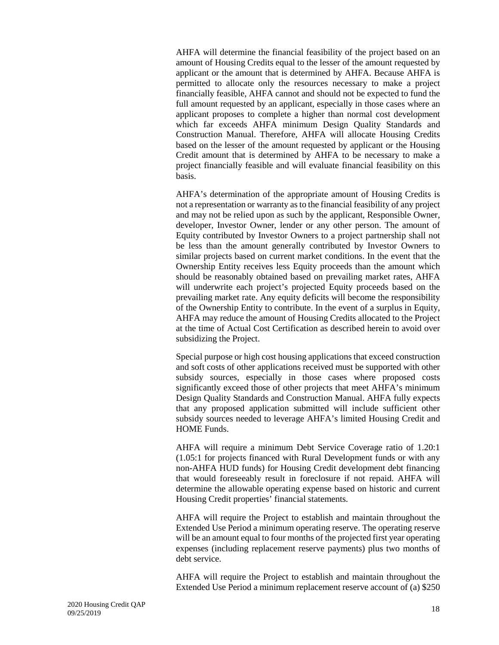AHFA will determine the financial feasibility of the project based on an amount of Housing Credits equal to the lesser of the amount requested by applicant or the amount that is determined by AHFA. Because AHFA is permitted to allocate only the resources necessary to make a project financially feasible, AHFA cannot and should not be expected to fund the full amount requested by an applicant, especially in those cases where an applicant proposes to complete a higher than normal cost development which far exceeds AHFA minimum Design Quality Standards and Construction Manual. Therefore, AHFA will allocate Housing Credits based on the lesser of the amount requested by applicant or the Housing Credit amount that is determined by AHFA to be necessary to make a project financially feasible and will evaluate financial feasibility on this basis.

AHFA's determination of the appropriate amount of Housing Credits is not a representation or warranty as to the financial feasibility of any project and may not be relied upon as such by the applicant, Responsible Owner, developer, Investor Owner, lender or any other person. The amount of Equity contributed by Investor Owners to a project partnership shall not be less than the amount generally contributed by Investor Owners to similar projects based on current market conditions. In the event that the Ownership Entity receives less Equity proceeds than the amount which should be reasonably obtained based on prevailing market rates, AHFA will underwrite each project's projected Equity proceeds based on the prevailing market rate. Any equity deficits will become the responsibility of the Ownership Entity to contribute. In the event of a surplus in Equity, AHFA may reduce the amount of Housing Credits allocated to the Project at the time of Actual Cost Certification as described herein to avoid over subsidizing the Project.

Special purpose or high cost housing applications that exceed construction and soft costs of other applications received must be supported with other subsidy sources, especially in those cases where proposed costs significantly exceed those of other projects that meet AHFA's minimum Design Quality Standards and Construction Manual. AHFA fully expects that any proposed application submitted will include sufficient other subsidy sources needed to leverage AHFA's limited Housing Credit and HOME Funds.

AHFA will require a minimum Debt Service Coverage ratio of 1.20:1 (1.05:1 for projects financed with Rural Development funds or with any non-AHFA HUD funds) for Housing Credit development debt financing that would foreseeably result in foreclosure if not repaid. AHFA will determine the allowable operating expense based on historic and current Housing Credit properties' financial statements.

AHFA will require the Project to establish and maintain throughout the Extended Use Period a minimum operating reserve. The operating reserve will be an amount equal to four months of the projected first year operating expenses (including replacement reserve payments) plus two months of debt service.

AHFA will require the Project to establish and maintain throughout the Extended Use Period a minimum replacement reserve account of (a) \$250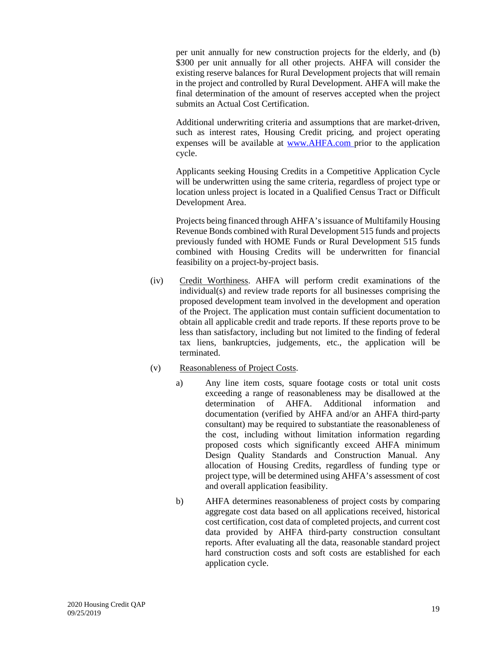per unit annually for new construction projects for the elderly, and (b) \$300 per unit annually for all other projects. AHFA will consider the existing reserve balances for Rural Development projects that will remain in the project and controlled by Rural Development. AHFA will make the final determination of the amount of reserves accepted when the project submits an Actual Cost Certification.

Additional underwriting criteria and assumptions that are market-driven, such as interest rates, Housing Credit pricing, and project operating expenses will be available at www.AHFA.com prior to the application cycle.

Applicants seeking Housing Credits in a Competitive Application Cycle will be underwritten using the same criteria, regardless of project type or location unless project is located in a Qualified Census Tract or Difficult Development Area.

Projects being financed through AHFA's issuance of Multifamily Housing Revenue Bonds combined with Rural Development 515 funds and projects previously funded with HOME Funds or Rural Development 515 funds combined with Housing Credits will be underwritten for financial feasibility on a project-by-project basis.

(iv) Credit Worthiness. AHFA will perform credit examinations of the individual(s) and review trade reports for all businesses comprising the proposed development team involved in the development and operation of the Project. The application must contain sufficient documentation to obtain all applicable credit and trade reports. If these reports prove to be less than satisfactory, including but not limited to the finding of federal tax liens, bankruptcies, judgements, etc., the application will be terminated.

## (v) Reasonableness of Project Costs.

- a) Any line item costs, square footage costs or total unit costs exceeding a range of reasonableness may be disallowed at the determination of AHFA. Additional information and documentation (verified by AHFA and/or an AHFA third-party consultant) may be required to substantiate the reasonableness of the cost, including without limitation information regarding proposed costs which significantly exceed AHFA minimum Design Quality Standards and Construction Manual. Any allocation of Housing Credits, regardless of funding type or project type, will be determined using AHFA's assessment of cost and overall application feasibility.
- b) AHFA determines reasonableness of project costs by comparing aggregate cost data based on all applications received, historical cost certification, cost data of completed projects, and current cost data provided by AHFA third-party construction consultant reports. After evaluating all the data, reasonable standard project hard construction costs and soft costs are established for each application cycle.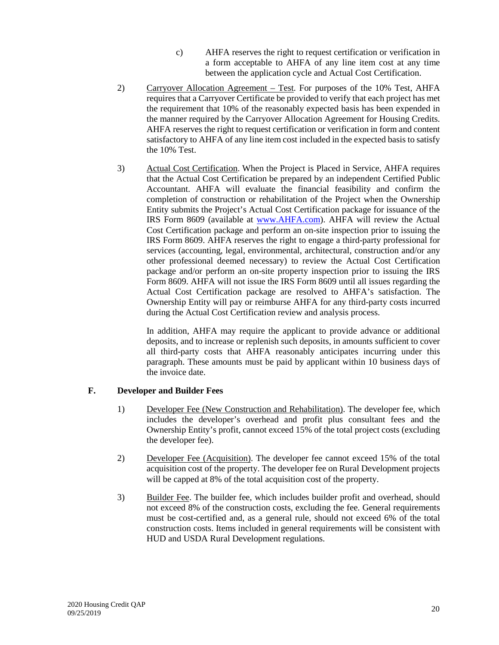- c) AHFA reserves the right to request certification or verification in a form acceptable to AHFA of any line item cost at any time between the application cycle and Actual Cost Certification.
- 2) Carryover Allocation Agreement Test. For purposes of the 10% Test, AHFA requires that a Carryover Certificate be provided to verify that each project has met the requirement that 10% of the reasonably expected basis has been expended in the manner required by the Carryover Allocation Agreement for Housing Credits. AHFA reserves the right to request certification or verification in form and content satisfactory to AHFA of any line item cost included in the expected basis to satisfy the 10% Test.
- 3) Actual Cost Certification. When the Project is Placed in Service, AHFA requires that the Actual Cost Certification be prepared by an independent Certified Public Accountant. AHFA will evaluate the financial feasibility and confirm the completion of construction or rehabilitation of the Project when the Ownership Entity submits the Project's Actual Cost Certification package for issuance of the IRS Form 8609 (available at www.AHFA.com). AHFA will review the Actual Cost Certification package and perform an on-site inspection prior to issuing the IRS Form 8609. AHFA reserves the right to engage a third-party professional for services (accounting, legal, environmental, architectural, construction and/or any other professional deemed necessary) to review the Actual Cost Certification package and/or perform an on-site property inspection prior to issuing the IRS Form 8609. AHFA will not issue the IRS Form 8609 until all issues regarding the Actual Cost Certification package are resolved to AHFA's satisfaction. The Ownership Entity will pay or reimburse AHFA for any third-party costs incurred during the Actual Cost Certification review and analysis process.

In addition, AHFA may require the applicant to provide advance or additional deposits, and to increase or replenish such deposits, in amounts sufficient to cover all third-party costs that AHFA reasonably anticipates incurring under this paragraph. These amounts must be paid by applicant within 10 business days of the invoice date.

## <span id="page-21-0"></span>**F. Developer and Builder Fees**

- 1) Developer Fee (New Construction and Rehabilitation). The developer fee, which includes the developer's overhead and profit plus consultant fees and the Ownership Entity's profit, cannot exceed 15% of the total project costs (excluding the developer fee).
- 2) Developer Fee (Acquisition). The developer fee cannot exceed 15% of the total acquisition cost of the property. The developer fee on Rural Development projects will be capped at 8% of the total acquisition cost of the property.
- 3) Builder Fee. The builder fee, which includes builder profit and overhead, should not exceed 8% of the construction costs, excluding the fee. General requirements must be cost-certified and, as a general rule, should not exceed 6% of the total construction costs. Items included in general requirements will be consistent with HUD and USDA Rural Development regulations.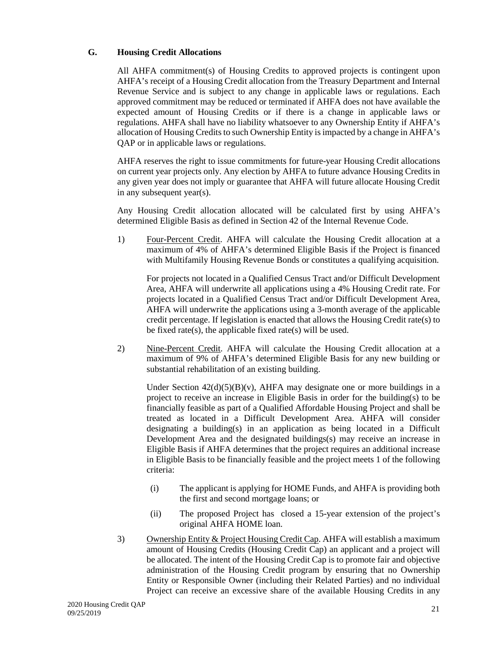## <span id="page-22-0"></span>**G. Housing Credit Allocations**

All AHFA commitment(s) of Housing Credits to approved projects is contingent upon AHFA's receipt of a Housing Credit allocation from the Treasury Department and Internal Revenue Service and is subject to any change in applicable laws or regulations. Each approved commitment may be reduced or terminated if AHFA does not have available the expected amount of Housing Credits or if there is a change in applicable laws or regulations. AHFA shall have no liability whatsoever to any Ownership Entity if AHFA's allocation of Housing Credits to such Ownership Entity is impacted by a change in AHFA's QAP or in applicable laws or regulations.

AHFA reserves the right to issue commitments for future-year Housing Credit allocations on current year projects only. Any election by AHFA to future advance Housing Credits in any given year does not imply or guarantee that AHFA will future allocate Housing Credit in any subsequent year(s).

Any Housing Credit allocation allocated will be calculated first by using AHFA's determined Eligible Basis as defined in Section 42 of the Internal Revenue Code.

1) Four-Percent Credit. AHFA will calculate the Housing Credit allocation at a maximum of 4% of AHFA's determined Eligible Basis if the Project is financed with Multifamily Housing Revenue Bonds or constitutes a qualifying acquisition.

For projects not located in a Qualified Census Tract and/or Difficult Development Area, AHFA will underwrite all applications using a 4% Housing Credit rate. For projects located in a Qualified Census Tract and/or Difficult Development Area, AHFA will underwrite the applications using a 3-month average of the applicable credit percentage. If legislation is enacted that allows the Housing Credit rate(s) to be fixed rate(s), the applicable fixed rate(s) will be used.

2) Nine-Percent Credit. AHFA will calculate the Housing Credit allocation at a maximum of 9% of AHFA's determined Eligible Basis for any new building or substantial rehabilitation of an existing building.

Under Section  $42(d)(5)(B)(v)$ , AHFA may designate one or more buildings in a project to receive an increase in Eligible Basis in order for the building(s) to be financially feasible as part of a Qualified Affordable Housing Project and shall be treated as located in a Difficult Development Area. AHFA will consider designating a building(s) in an application as being located in a Difficult Development Area and the designated buildings(s) may receive an increase in Eligible Basis if AHFA determines that the project requires an additional increase in Eligible Basis to be financially feasible and the project meets 1 of the following criteria:

- (i) The applicant is applying for HOME Funds, and AHFA is providing both the first and second mortgage loans; or
- (ii) The proposed Project has closed a 15-year extension of the project's original AHFA HOME loan.
- 3) Ownership Entity & Project Housing Credit Cap. AHFA will establish a maximum amount of Housing Credits (Housing Credit Cap) an applicant and a project will be allocated. The intent of the Housing Credit Cap is to promote fair and objective administration of the Housing Credit program by ensuring that no Ownership Entity or Responsible Owner (including their Related Parties) and no individual Project can receive an excessive share of the available Housing Credits in any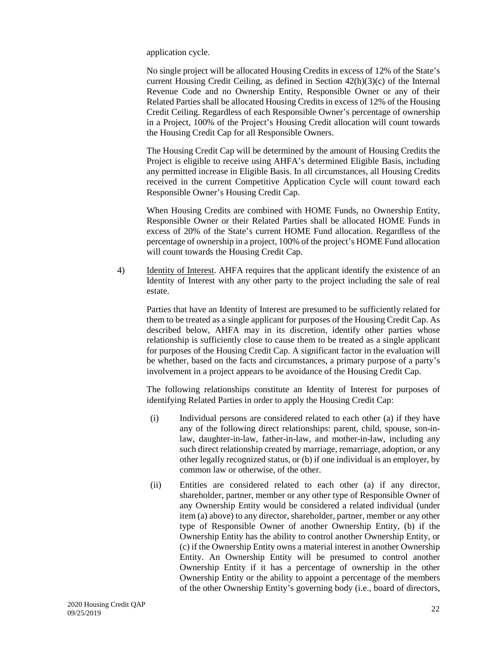application cycle.

No single project will be allocated Housing Credits in excess of 12% of the State's current Housing Credit Ceiling, as defined in Section 42(h)(3)(c) of the Internal Revenue Code and no Ownership Entity, Responsible Owner or any of their Related Parties shall be allocated Housing Credits in excess of 12% of the Housing Credit Ceiling. Regardless of each Responsible Owner's percentage of ownership in a Project, 100% of the Project's Housing Credit allocation will count towards the Housing Credit Cap for all Responsible Owners.

The Housing Credit Cap will be determined by the amount of Housing Credits the Project is eligible to receive using AHFA's determined Eligible Basis, including any permitted increase in Eligible Basis. In all circumstances, all Housing Credits received in the current Competitive Application Cycle will count toward each Responsible Owner's Housing Credit Cap.

When Housing Credits are combined with HOME Funds, no Ownership Entity, Responsible Owner or their Related Parties shall be allocated HOME Funds in excess of 20% of the State's current HOME Fund allocation. Regardless of the percentage of ownership in a project, 100% of the project's HOME Fund allocation will count towards the Housing Credit Cap.

4) Identity of Interest. AHFA requires that the applicant identify the existence of an Identity of Interest with any other party to the project including the sale of real estate.

Parties that have an Identity of Interest are presumed to be sufficiently related for them to be treated as a single applicant for purposes of the Housing Credit Cap. As described below, AHFA may in its discretion, identify other parties whose relationship is sufficiently close to cause them to be treated as a single applicant for purposes of the Housing Credit Cap. A significant factor in the evaluation will be whether, based on the facts and circumstances, a primary purpose of a party's involvement in a project appears to be avoidance of the Housing Credit Cap.

The following relationships constitute an Identity of Interest for purposes of identifying Related Parties in order to apply the Housing Credit Cap:

- (i) Individual persons are considered related to each other (a) if they have any of the following direct relationships: parent, child, spouse, son-inlaw, daughter-in-law, father-in-law, and mother-in-law, including any such direct relationship created by marriage, remarriage, adoption, or any other legally recognized status, or (b) if one individual is an employer, by common law or otherwise, of the other.
- (ii) Entities are considered related to each other (a) if any director, shareholder, partner, member or any other type of Responsible Owner of any Ownership Entity would be considered a related individual (under item (a) above) to any director, shareholder, partner, member or any other type of Responsible Owner of another Ownership Entity, (b) if the Ownership Entity has the ability to control another Ownership Entity, or (c) if the Ownership Entity owns a material interest in another Ownership Entity. An Ownership Entity will be presumed to control another Ownership Entity if it has a percentage of ownership in the other Ownership Entity or the ability to appoint a percentage of the members of the other Ownership Entity's governing body (i.e., board of directors,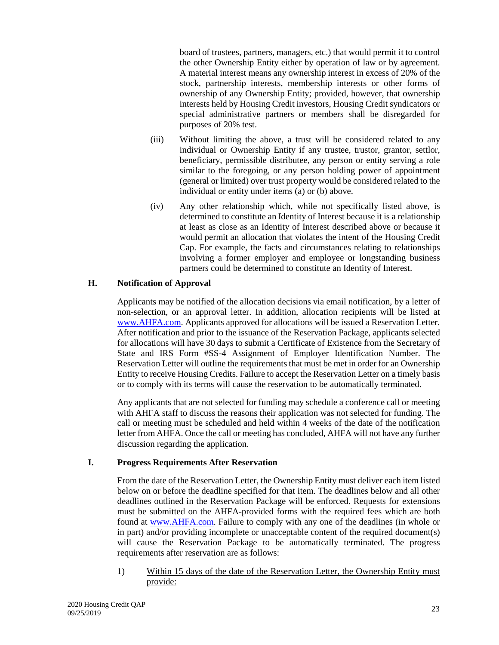board of trustees, partners, managers, etc.) that would permit it to control the other Ownership Entity either by operation of law or by agreement. A material interest means any ownership interest in excess of 20% of the stock, partnership interests, membership interests or other forms of ownership of any Ownership Entity; provided, however, that ownership interests held by Housing Credit investors, Housing Credit syndicators or special administrative partners or members shall be disregarded for purposes of 20% test.

- (iii) Without limiting the above, a trust will be considered related to any individual or Ownership Entity if any trustee, trustor, grantor, settlor, beneficiary, permissible distributee, any person or entity serving a role similar to the foregoing, or any person holding power of appointment (general or limited) over trust property would be considered related to the individual or entity under items (a) or (b) above.
- (iv) Any other relationship which, while not specifically listed above, is determined to constitute an Identity of Interest because it is a relationship at least as close as an Identity of Interest described above or because it would permit an allocation that violates the intent of the Housing Credit Cap. For example, the facts and circumstances relating to relationships involving a former employer and employee or longstanding business partners could be determined to constitute an Identity of Interest.

## <span id="page-24-0"></span>**H. Notification of Approval**

Applicants may be notified of the allocation decisions via email notification, by a letter of non-selection, or an approval letter. In addition, allocation recipients will be listed at www.AHFA.com. Applicants approved for allocations will be issued a Reservation Letter. After notification and prior to the issuance of the Reservation Package, applicants selected for allocations will have 30 days to submit a Certificate of Existence from the Secretary of State and IRS Form #SS-4 Assignment of Employer Identification Number. The Reservation Letter will outline the requirements that must be met in order for an Ownership Entity to receive Housing Credits. Failure to accept the Reservation Letter on a timely basis or to comply with its terms will cause the reservation to be automatically terminated.

Any applicants that are not selected for funding may schedule a conference call or meeting with AHFA staff to discuss the reasons their application was not selected for funding. The call or meeting must be scheduled and held within 4 weeks of the date of the notification letter from AHFA. Once the call or meeting has concluded, AHFA will not have any further discussion regarding the application.

## <span id="page-24-1"></span>**I. Progress Requirements After Reservation**

From the date of the Reservation Letter, the Ownership Entity must deliver each item listed below on or before the deadline specified for that item. The deadlines below and all other deadlines outlined in the Reservation Package will be enforced. Requests for extensions must be submitted on the AHFA-provided forms with the required fees which are both found at www.AHFA.com. Failure to comply with any one of the deadlines (in whole or in part) and/or providing incomplete or unacceptable content of the required document(s) will cause the Reservation Package to be automatically terminated. The progress requirements after reservation are as follows:

1) Within 15 days of the date of the Reservation Letter, the Ownership Entity must provide: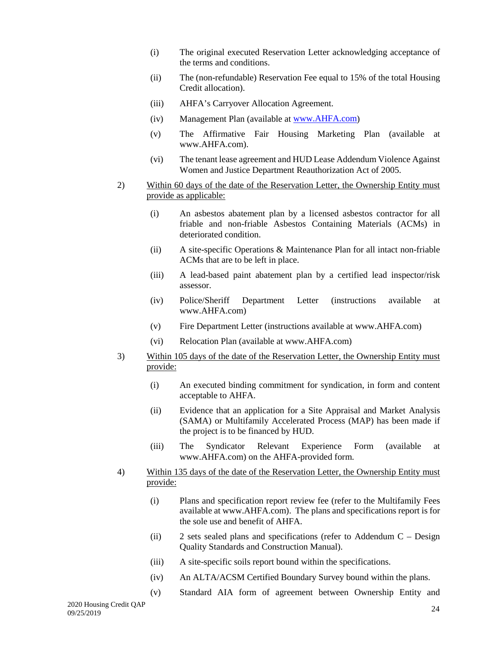- (i) The original executed Reservation Letter acknowledging acceptance of the terms and conditions.
- (ii) The (non-refundable) Reservation Fee equal to 15% of the total Housing Credit allocation).
- (iii) AHFA's Carryover Allocation Agreement.
- (iv) Management Plan (available at www.AHFA.com)
- (v) The Affirmative Fair Housing Marketing Plan (available at www.AHFA.com).
- (vi) The tenant lease agreement and HUD Lease Addendum Violence Against Women and Justice Department Reauthorization Act of 2005.
- 2) Within 60 days of the date of the Reservation Letter, the Ownership Entity must provide as applicable:
	- (i) An asbestos abatement plan by a licensed asbestos contractor for all friable and non-friable Asbestos Containing Materials (ACMs) in deteriorated condition.
	- (ii) A site-specific Operations & Maintenance Plan for all intact non-friable ACMs that are to be left in place.
	- (iii) A lead-based paint abatement plan by a certified lead inspector/risk assessor.
	- (iv) Police/Sheriff Department Letter (instructions available at www.AHFA.com)
	- (v) Fire Department Letter (instructions available at www.AHFA.com)
	- (vi) Relocation Plan (available at www.AHFA.com)
- 3) Within 105 days of the date of the Reservation Letter, the Ownership Entity must provide:
	- (i) An executed binding commitment for syndication, in form and content acceptable to AHFA.
	- (ii) Evidence that an application for a Site Appraisal and Market Analysis (SAMA) or Multifamily Accelerated Process (MAP) has been made if the project is to be financed by HUD.
	- (iii) The Syndicator Relevant Experience Form (available at www.AHFA.com) on the AHFA-provided form.
- 4) Within 135 days of the date of the Reservation Letter, the Ownership Entity must provide:
	- (i) Plans and specification report review fee (refer to the Multifamily Fees available at www.AHFA.com). The plans and specifications report is for the sole use and benefit of AHFA.
	- (ii) 2 sets sealed plans and specifications (refer to Addendum C Design Quality Standards and Construction Manual).
	- (iii) A site-specific soils report bound within the specifications.
	- (iv) An ALTA/ACSM Certified Boundary Survey bound within the plans.
	- (v) Standard AIA form of agreement between Ownership Entity and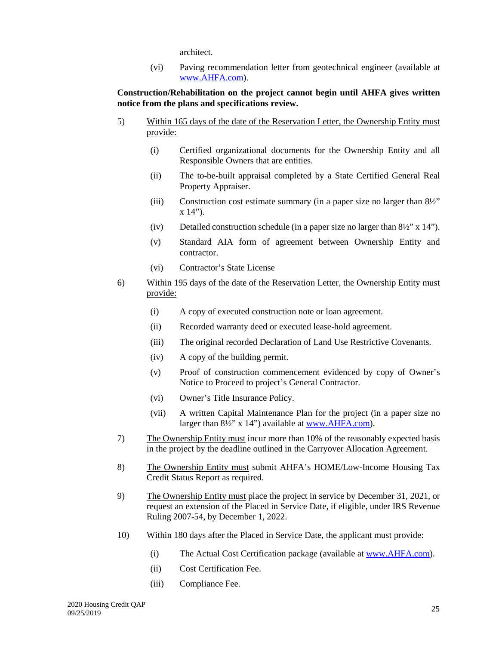architect.

(vi) Paving recommendation letter from geotechnical engineer (available at www.AHFA.com).

## **Construction/Rehabilitation on the project cannot begin until AHFA gives written notice from the plans and specifications review.**

- 5) Within 165 days of the date of the Reservation Letter, the Ownership Entity must provide:
	- (i) Certified organizational documents for the Ownership Entity and all Responsible Owners that are entities.
	- (ii) The to-be-built appraisal completed by a State Certified General Real Property Appraiser.
	- (iii) Construction cost estimate summary (in a paper size no larger than 8½"  $x 14$ ").
	- (iv) Detailed construction schedule (in a paper size no larger than  $8\frac{1}{2}$ " x 14").
	- (v) Standard AIA form of agreement between Ownership Entity and contractor.
	- (vi) Contractor's State License
- 6) Within 195 days of the date of the Reservation Letter, the Ownership Entity must provide:
	- (i) A copy of executed construction note or loan agreement.
	- (ii) Recorded warranty deed or executed lease-hold agreement.
	- (iii) The original recorded Declaration of Land Use Restrictive Covenants.
	- (iv) A copy of the building permit.
	- (v) Proof of construction commencement evidenced by copy of Owner's Notice to Proceed to project's General Contractor.
	- (vi) Owner's Title Insurance Policy.
	- (vii) A written Capital Maintenance Plan for the project (in a paper size no larger than 8½" x 14") available at www.AHFA.com).
- 7) The Ownership Entity must incur more than 10% of the reasonably expected basis in the project by the deadline outlined in the Carryover Allocation Agreement.
- 8) The Ownership Entity must submit AHFA's HOME/Low-Income Housing Tax Credit Status Report as required.
- 9) The Ownership Entity must place the project in service by December 31, 2021, or request an extension of the Placed in Service Date, if eligible, under IRS Revenue Ruling 2007-54, by December 1, 2022.
- 10) Within 180 days after the Placed in Service Date, the applicant must provide:
	- (i) The Actual Cost Certification package (available at www.AHFA.com).
	- (ii) Cost Certification Fee.
	- (iii) Compliance Fee.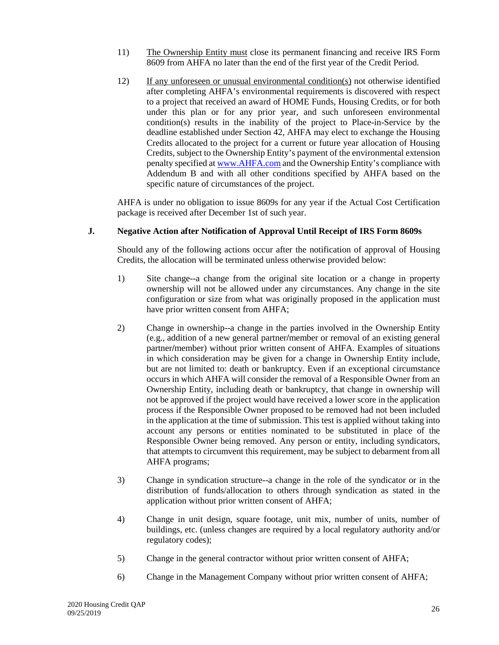- 11) The Ownership Entity must close its permanent financing and receive IRS Form 8609 from AHFA no later than the end of the first year of the Credit Period.
- 12) If any unforeseen or unusual environmental condition(s) not otherwise identified after completing AHFA's environmental requirements is discovered with respect to a project that received an award of HOME Funds, Housing Credits, or for both under this plan or for any prior year, and such unforeseen environmental condition(s) results in the inability of the project to Place-in-Service by the deadline established under Section 42, AHFA may elect to exchange the Housing Credits allocated to the project for a current or future year allocation of Housing Credits, subject to the Ownership Entity's payment of the environmental extension penalty specified at www.AHFA.com and the Ownership Entity's compliance with Addendum B and with all other conditions specified by AHFA based on the specific nature of circumstances of the project.

AHFA is under no obligation to issue 8609s for any year if the Actual Cost Certification package is received after December 1st of such year.

## <span id="page-27-0"></span>**J. Negative Action after Notification of Approval Until Receipt of IRS Form 8609s**

Should any of the following actions occur after the notification of approval of Housing Credits, the allocation will be terminated unless otherwise provided below:

- 1) Site change--a change from the original site location or a change in property ownership will not be allowed under any circumstances. Any change in the site configuration or size from what was originally proposed in the application must have prior written consent from AHFA;
- 2) Change in ownership--a change in the parties involved in the Ownership Entity (e.g., addition of a new general partner**/**member or removal of an existing general partner**/**member) without prior written consent of AHFA. Examples of situations in which consideration may be given for a change in Ownership Entity include, but are not limited to: death or bankruptcy. Even if an exceptional circumstance occurs in which AHFA will consider the removal of a Responsible Owner from an Ownership Entity, including death or bankruptcy, that change in ownership will not be approved if the project would have received a lower score in the application process if the Responsible Owner proposed to be removed had not been included in the application at the time of submission. This test is applied without taking into account any persons or entities nominated to be substituted in place of the Responsible Owner being removed. Any person or entity, including syndicators, that attempts to circumvent this requirement, may be subject to debarment from all AHFA programs;
- 3) Change in syndication structure--a change in the role of the syndicator or in the distribution of funds/allocation to others through syndication as stated in the application without prior written consent of AHFA;
- 4) Change in unit design, square footage, unit mix, number of units, number of buildings, etc. (unless changes are required by a local regulatory authority and/or regulatory codes);
- 5) Change in the general contractor without prior written consent of AHFA;
- 6) Change in the Management Company without prior written consent of AHFA;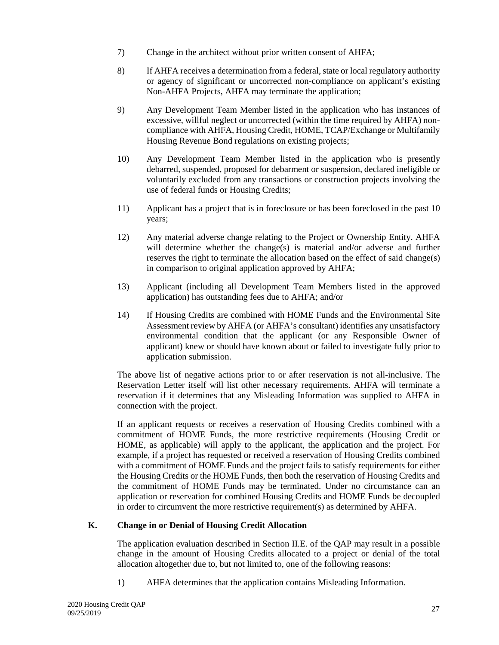- 7) Change in the architect without prior written consent of AHFA;
- 8) If AHFA receives a determination from a federal, state or local regulatory authority or agency of significant or uncorrected non-compliance on applicant's existing Non-AHFA Projects, AHFA may terminate the application;
- 9) Any Development Team Member listed in the application who has instances of excessive, willful neglect or uncorrected (within the time required by AHFA) noncompliance with AHFA, Housing Credit, HOME, TCAP/Exchange or Multifamily Housing Revenue Bond regulations on existing projects;
- 10) Any Development Team Member listed in the application who is presently debarred, suspended, proposed for debarment or suspension, declared ineligible or voluntarily excluded from any transactions or construction projects involving the use of federal funds or Housing Credits;
- 11) Applicant has a project that is in foreclosure or has been foreclosed in the past 10 years;
- 12) Any material adverse change relating to the Project or Ownership Entity. AHFA will determine whether the change(s) is material and/or adverse and further reserves the right to terminate the allocation based on the effect of said change(s) in comparison to original application approved by AHFA;
- 13) Applicant (including all Development Team Members listed in the approved application) has outstanding fees due to AHFA; and/or
- 14) If Housing Credits are combined with HOME Funds and the Environmental Site Assessment review by AHFA (or AHFA's consultant) identifies any unsatisfactory environmental condition that the applicant (or any Responsible Owner of applicant) knew or should have known about or failed to investigate fully prior to application submission.

The above list of negative actions prior to or after reservation is not all-inclusive. The Reservation Letter itself will list other necessary requirements. AHFA will terminate a reservation if it determines that any Misleading Information was supplied to AHFA in connection with the project.

If an applicant requests or receives a reservation of Housing Credits combined with a commitment of HOME Funds, the more restrictive requirements (Housing Credit or HOME, as applicable) will apply to the applicant, the application and the project. For example, if a project has requested or received a reservation of Housing Credits combined with a commitment of HOME Funds and the project fails to satisfy requirements for either the Housing Credits or the HOME Funds, then both the reservation of Housing Credits and the commitment of HOME Funds may be terminated. Under no circumstance can an application or reservation for combined Housing Credits and HOME Funds be decoupled in order to circumvent the more restrictive requirement(s) as determined by AHFA.

#### <span id="page-28-0"></span>**K. Change in or Denial of Housing Credit Allocation**

The application evaluation described in Section II.E. of the QAP may result in a possible change in the amount of Housing Credits allocated to a project or denial of the total allocation altogether due to, but not limited to, one of the following reasons:

1) AHFA determines that the application contains Misleading Information.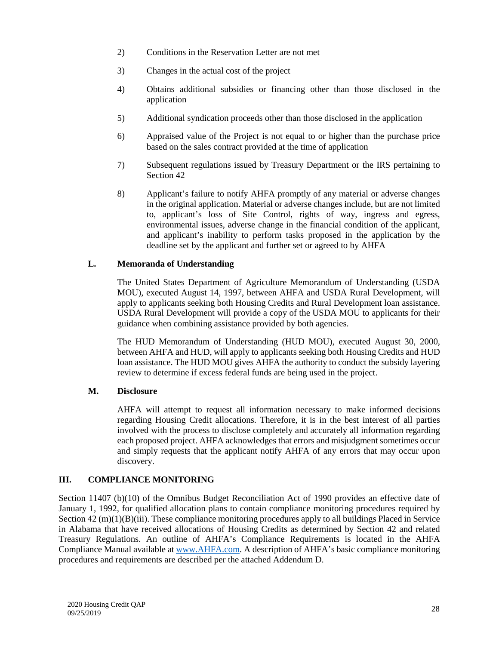- 2) Conditions in the Reservation Letter are not met
- 3) Changes in the actual cost of the project
- 4) Obtains additional subsidies or financing other than those disclosed in the application
- 5) Additional syndication proceeds other than those disclosed in the application
- 6) Appraised value of the Project is not equal to or higher than the purchase price based on the sales contract provided at the time of application
- 7) Subsequent regulations issued by Treasury Department or the IRS pertaining to Section 42
- 8) Applicant's failure to notify AHFA promptly of any material or adverse changes in the original application. Material or adverse changes include, but are not limited to, applicant's loss of Site Control, rights of way, ingress and egress, environmental issues, adverse change in the financial condition of the applicant, and applicant's inability to perform tasks proposed in the application by the deadline set by the applicant and further set or agreed to by AHFA

## <span id="page-29-0"></span>**L. Memoranda of Understanding**

The United States Department of Agriculture Memorandum of Understanding (USDA MOU), executed August 14, 1997, between AHFA and USDA Rural Development, will apply to applicants seeking both Housing Credits and Rural Development loan assistance. USDA Rural Development will provide a copy of the USDA MOU to applicants for their guidance when combining assistance provided by both agencies.

The HUD Memorandum of Understanding (HUD MOU), executed August 30, 2000, between AHFA and HUD, will apply to applicants seeking both Housing Credits and HUD loan assistance. The HUD MOU gives AHFA the authority to conduct the subsidy layering review to determine if excess federal funds are being used in the project.

#### <span id="page-29-1"></span>**M. Disclosure**

AHFA will attempt to request all information necessary to make informed decisions regarding Housing Credit allocations. Therefore, it is in the best interest of all parties involved with the process to disclose completely and accurately all information regarding each proposed project. AHFA acknowledges that errors and misjudgment sometimes occur and simply requests that the applicant notify AHFA of any errors that may occur upon discovery.

## <span id="page-29-2"></span>**III. COMPLIANCE MONITORING**

Section 11407 (b)(10) of the Omnibus Budget Reconciliation Act of 1990 provides an effective date of January 1, 1992, for qualified allocation plans to contain compliance monitoring procedures required by Section 42 (m)(1)(B)(iii). These compliance monitoring procedures apply to all buildings Placed in Service in Alabama that have received allocations of Housing Credits as determined by Section 42 and related Treasury Regulations. An outline of AHFA's Compliance Requirements is located in the AHFA Compliance Manual available at www.AHFA.com. A description of AHFA's basic compliance monitoring procedures and requirements are described per the attached Addendum D.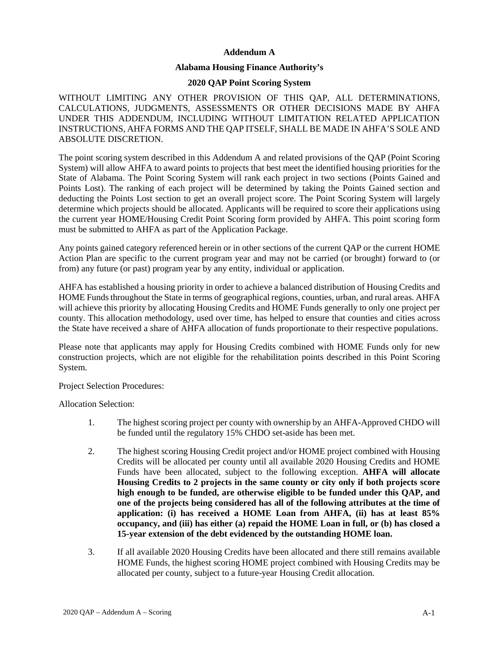#### **Addendum A**

#### **Alabama Housing Finance Authority's**

#### **2020 QAP Point Scoring System**

WITHOUT LIMITING ANY OTHER PROVISION OF THIS QAP, ALL DETERMINATIONS, CALCULATIONS, JUDGMENTS, ASSESSMENTS OR OTHER DECISIONS MADE BY AHFA UNDER THIS ADDENDUM, INCLUDING WITHOUT LIMITATION RELATED APPLICATION INSTRUCTIONS, AHFA FORMS AND THE QAP ITSELF, SHALL BE MADE IN AHFA'S SOLE AND ABSOLUTE DISCRETION.

The point scoring system described in this Addendum A and related provisions of the QAP (Point Scoring System) will allow AHFA to award points to projects that best meet the identified housing priorities for the State of Alabama. The Point Scoring System will rank each project in two sections (Points Gained and Points Lost). The ranking of each project will be determined by taking the Points Gained section and deducting the Points Lost section to get an overall project score. The Point Scoring System will largely determine which projects should be allocated. Applicants will be required to score their applications using the current year HOME/Housing Credit Point Scoring form provided by AHFA. This point scoring form must be submitted to AHFA as part of the Application Package.

Any points gained category referenced herein or in other sections of the current QAP or the current HOME Action Plan are specific to the current program year and may not be carried (or brought) forward to (or from) any future (or past) program year by any entity, individual or application.

AHFA has established a housing priority in order to achieve a balanced distribution of Housing Credits and HOME Funds throughout the State in terms of geographical regions, counties, urban, and rural areas. AHFA will achieve this priority by allocating Housing Credits and HOME Funds generally to only one project per county. This allocation methodology, used over time, has helped to ensure that counties and cities across the State have received a share of AHFA allocation of funds proportionate to their respective populations.

Please note that applicants may apply for Housing Credits combined with HOME Funds only for new construction projects, which are not eligible for the rehabilitation points described in this Point Scoring System.

Project Selection Procedures:

Allocation Selection:

- 1. The highest scoring project per county with ownership by an AHFA-Approved CHDO will be funded until the regulatory 15% CHDO set-aside has been met.
- 2. The highest scoring Housing Credit project and/or HOME project combined with Housing Credits will be allocated per county until all available 2020 Housing Credits and HOME Funds have been allocated, subject to the following exception. **AHFA will allocate Housing Credits to 2 projects in the same county or city only if both projects score high enough to be funded, are otherwise eligible to be funded under this QAP, and one of the projects being considered has all of the following attributes at the time of application: (i) has received a HOME Loan from AHFA, (ii) has at least 85% occupancy, and (iii) has either (a) repaid the HOME Loan in full, or (b) has closed a 15-year extension of the debt evidenced by the outstanding HOME loan.**
- 3. If all available 2020 Housing Credits have been allocated and there still remains available HOME Funds, the highest scoring HOME project combined with Housing Credits may be allocated per county, subject to a future-year Housing Credit allocation.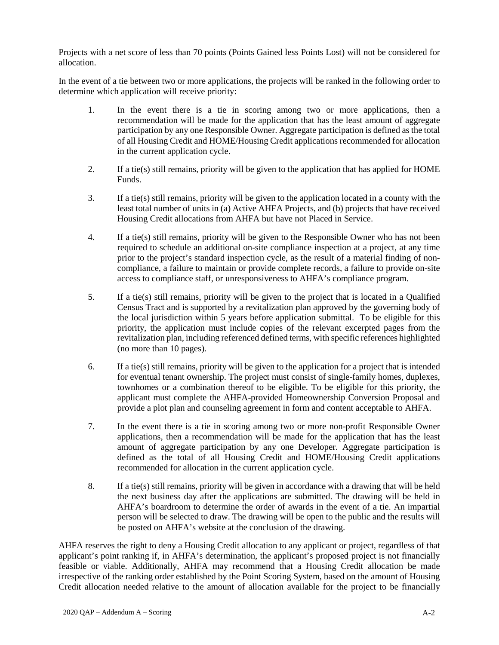Projects with a net score of less than 70 points (Points Gained less Points Lost) will not be considered for allocation.

In the event of a tie between two or more applications, the projects will be ranked in the following order to determine which application will receive priority:

- 1. In the event there is a tie in scoring among two or more applications, then a recommendation will be made for the application that has the least amount of aggregate participation by any one Responsible Owner. Aggregate participation is defined as the total of all Housing Credit and HOME/Housing Credit applications recommended for allocation in the current application cycle.
- 2. If a tie(s) still remains, priority will be given to the application that has applied for HOME Funds.
- 3. If a tie(s) still remains, priority will be given to the application located in a county with the least total number of units in (a) Active AHFA Projects, and (b) projects that have received Housing Credit allocations from AHFA but have not Placed in Service.
- 4. If a tie(s) still remains, priority will be given to the Responsible Owner who has not been required to schedule an additional on-site compliance inspection at a project, at any time prior to the project's standard inspection cycle, as the result of a material finding of noncompliance, a failure to maintain or provide complete records, a failure to provide on-site access to compliance staff, or unresponsiveness to AHFA's compliance program.
- 5. If a tie(s) still remains, priority will be given to the project that is located in a Qualified Census Tract and is supported by a revitalization plan approved by the governing body of the local jurisdiction within 5 years before application submittal. To be eligible for this priority, the application must include copies of the relevant excerpted pages from the revitalization plan, including referenced defined terms, with specific references highlighted (no more than 10 pages).
- 6. If a tie(s) still remains, priority will be given to the application for a project that is intended for eventual tenant ownership. The project must consist of single-family homes, duplexes, townhomes or a combination thereof to be eligible. To be eligible for this priority, the applicant must complete the AHFA-provided Homeownership Conversion Proposal and provide a plot plan and counseling agreement in form and content acceptable to AHFA.
- 7. In the event there is a tie in scoring among two or more non-profit Responsible Owner applications, then a recommendation will be made for the application that has the least amount of aggregate participation by any one Developer. Aggregate participation is defined as the total of all Housing Credit and HOME/Housing Credit applications recommended for allocation in the current application cycle.
- 8. If a tie(s) still remains, priority will be given in accordance with a drawing that will be held the next business day after the applications are submitted. The drawing will be held in AHFA's boardroom to determine the order of awards in the event of a tie. An impartial person will be selected to draw. The drawing will be open to the public and the results will be posted on AHFA's website at the conclusion of the drawing.

AHFA reserves the right to deny a Housing Credit allocation to any applicant or project, regardless of that applicant's point ranking if, in AHFA's determination, the applicant's proposed project is not financially feasible or viable. Additionally, AHFA may recommend that a Housing Credit allocation be made irrespective of the ranking order established by the Point Scoring System, based on the amount of Housing Credit allocation needed relative to the amount of allocation available for the project to be financially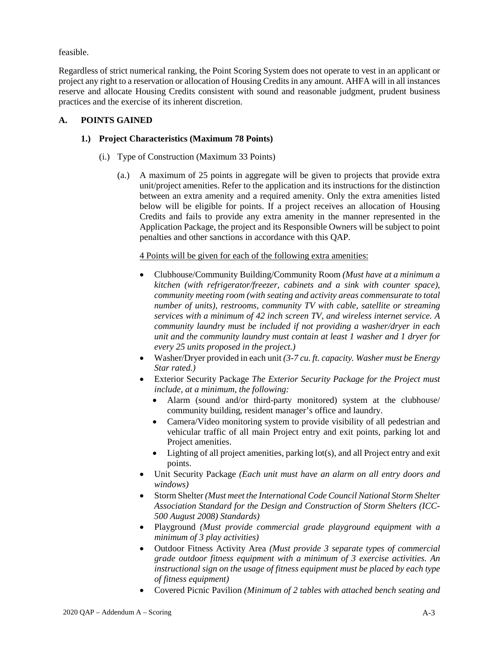feasible.

Regardless of strict numerical ranking, the Point Scoring System does not operate to vest in an applicant or project any right to a reservation or allocation of Housing Credits in any amount. AHFA will in all instances reserve and allocate Housing Credits consistent with sound and reasonable judgment, prudent business practices and the exercise of its inherent discretion.

## **A. POINTS GAINED**

## **1.) Project Characteristics (Maximum 78 Points)**

- (i.) Type of Construction (Maximum 33 Points)
	- (a.) A maximum of 25 points in aggregate will be given to projects that provide extra unit/project amenities. Refer to the application and its instructions for the distinction between an extra amenity and a required amenity. Only the extra amenities listed below will be eligible for points. If a project receives an allocation of Housing Credits and fails to provide any extra amenity in the manner represented in the Application Package, the project and its Responsible Owners will be subject to point penalties and other sanctions in accordance with this QAP.

## 4 Points will be given for each of the following extra amenities:

- Clubhouse/Community Building/Community Room *(Must have at a minimum a kitchen (with refrigerator/freezer, cabinets and a sink with counter space), community meeting room (with seating and activity areas commensurate to total number of units), restrooms, community TV with cable, satellite or streaming services with a minimum of 42 inch screen TV, and wireless internet service. A community laundry must be included if not providing a washer/dryer in each unit and the community laundry must contain at least 1 washer and 1 dryer for every 25 units proposed in the project.)*
- Washer/Dryer provided in each unit *(3-7 cu. ft. capacity. Washer must be Energy Star rated.)*
- Exterior Security Package *The Exterior Security Package for the Project must include, at a minimum, the following:*
	- Alarm (sound and/or third-party monitored) system at the clubhouse/ community building, resident manager's office and laundry.
	- Camera/Video monitoring system to provide visibility of all pedestrian and vehicular traffic of all main Project entry and exit points, parking lot and Project amenities.
	- Lighting of all project amenities, parking lot(s), and all Project entry and exit points.
- Unit Security Package *(Each unit must have an alarm on all entry doors and windows)*
- Storm Shelter *(Must meet the International Code Council National Storm Shelter Association Standard for the Design and Construction of Storm Shelters (ICC-500 August 2008) Standards)*
- Playground *(Must provide commercial grade playground equipment with a minimum of 3 play activities)*
- Outdoor Fitness Activity Area *(Must provide 3 separate types of commercial grade outdoor fitness equipment with a minimum of 3 exercise activities. An instructional sign on the usage of fitness equipment must be placed by each type of fitness equipment)*
- Covered Picnic Pavilion *(Minimum of 2 tables with attached bench seating and*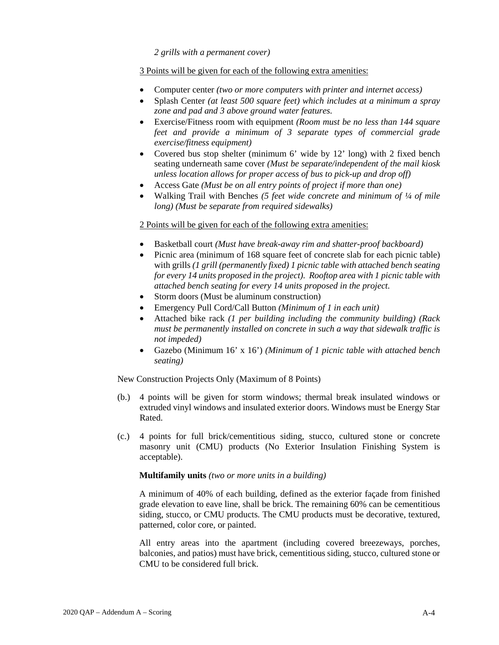*2 grills with a permanent cover)*

#### 3 Points will be given for each of the following extra amenities:

- Computer center *(two or more computers with printer and internet access)*
- Splash Center *(at least 500 square feet) which includes at a minimum a spray zone and pad and 3 above ground water features.*
- Exercise/Fitness room with equipment *(Room must be no less than 144 square feet and provide a minimum of 3 separate types of commercial grade exercise/fitness equipment)*
- Covered bus stop shelter (minimum 6' wide by 12' long) with 2 fixed bench seating underneath same cover *(Must be separate/independent of the mail kiosk unless location allows for proper access of bus to pick-up and drop off)*
- Access Gate *(Must be on all entry points of project if more than one)*
- Walking Trail with Benches *(5 feet wide concrete and minimum of ¼ of mile long) (Must be separate from required sidewalks)*

#### 2 Points will be given for each of the following extra amenities:

- Basketball court *(Must have break-away rim and shatter-proof backboard)*
- Picnic area (minimum of 168 square feet of concrete slab for each picnic table) with grills *(1 grill (permanently fixed) 1 picnic table with attached bench seating for every 14 units proposed in the project). Rooftop area with 1 picnic table with attached bench seating for every 14 units proposed in the project.*
- Storm doors (Must be aluminum construction)
- Emergency Pull Cord/Call Button *(Minimum of 1 in each unit)*
- Attached bike rack *(1 per building including the community building) (Rack must be permanently installed on concrete in such a way that sidewalk traffic is not impeded)*
- Gazebo (Minimum 16' x 16') *(Minimum of 1 picnic table with attached bench seating)*

New Construction Projects Only (Maximum of 8 Points)

- (b.) 4 points will be given for storm windows; thermal break insulated windows or extruded vinyl windows and insulated exterior doors. Windows must be Energy Star Rated.
- (c.) 4 points for full brick/cementitious siding, stucco, cultured stone or concrete masonry unit (CMU) products (No Exterior Insulation Finishing System is acceptable).

#### **Multifamily units** *(two or more units in a building)*

A minimum of 40% of each building, defined as the exterior façade from finished grade elevation to eave line, shall be brick. The remaining 60% can be cementitious siding, stucco, or CMU products. The CMU products must be decorative, textured, patterned, color core, or painted.

All entry areas into the apartment (including covered breezeways, porches, balconies, and patios) must have brick, cementitious siding, stucco, cultured stone or CMU to be considered full brick.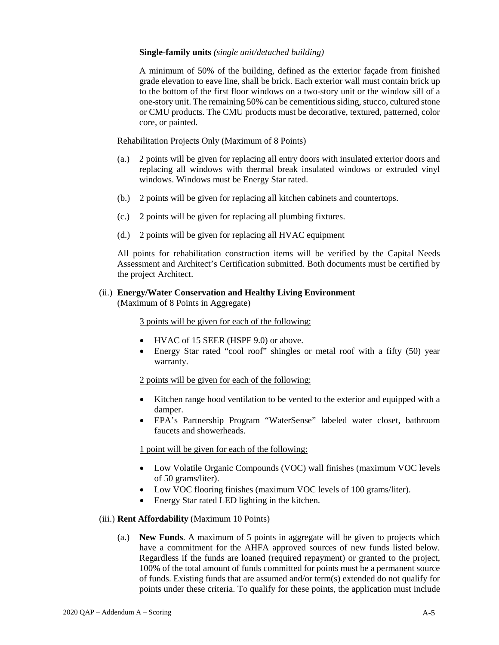#### **Single-family units** *(single unit/detached building)*

A minimum of 50% of the building, defined as the exterior façade from finished grade elevation to eave line, shall be brick. Each exterior wall must contain brick up to the bottom of the first floor windows on a two-story unit or the window sill of a one-story unit. The remaining 50% can be cementitious siding, stucco, cultured stone or CMU products. The CMU products must be decorative, textured, patterned, color core, or painted.

Rehabilitation Projects Only (Maximum of 8 Points)

- (a.) 2 points will be given for replacing all entry doors with insulated exterior doors and replacing all windows with thermal break insulated windows or extruded vinyl windows. Windows must be Energy Star rated.
- (b.) 2 points will be given for replacing all kitchen cabinets and countertops.
- (c.) 2 points will be given for replacing all plumbing fixtures.
- (d.) 2 points will be given for replacing all HVAC equipment

All points for rehabilitation construction items will be verified by the Capital Needs Assessment and Architect's Certification submitted. Both documents must be certified by the project Architect.

#### (ii.) **Energy/Water Conservation and Healthy Living Environment**

(Maximum of 8 Points in Aggregate)

3 points will be given for each of the following:

- HVAC of 15 SEER (HSPF 9.0) or above.
- Energy Star rated "cool roof" shingles or metal roof with a fifty (50) year warranty.

2 points will be given for each of the following:

- Kitchen range hood ventilation to be vented to the exterior and equipped with a damper.
- EPA's Partnership Program "WaterSense" labeled water closet, bathroom faucets and showerheads.

1 point will be given for each of the following:

- Low Volatile Organic Compounds (VOC) wall finishes (maximum VOC levels of 50 grams/liter).
- Low VOC flooring finishes (maximum VOC levels of 100 grams/liter).
- Energy Star rated LED lighting in the kitchen.

#### (iii.) **Rent Affordability** (Maximum 10 Points)

(a.) **New Funds**. A maximum of 5 points in aggregate will be given to projects which have a commitment for the AHFA approved sources of new funds listed below. Regardless if the funds are loaned (required repayment) or granted to the project, 100% of the total amount of funds committed for points must be a permanent source of funds. Existing funds that are assumed and/or term(s) extended do not qualify for points under these criteria. To qualify for these points, the application must include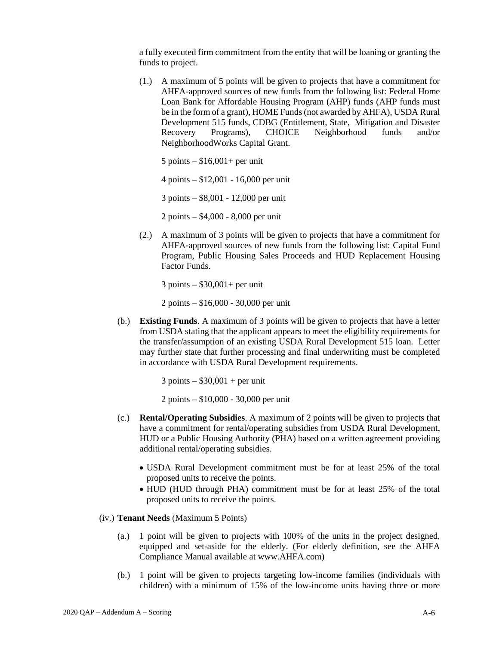a fully executed firm commitment from the entity that will be loaning or granting the funds to project.

(1.) A maximum of 5 points will be given to projects that have a commitment for AHFA-approved sources of new funds from the following list: Federal Home Loan Bank for Affordable Housing Program (AHP) funds (AHP funds must be in the form of a grant), HOME Funds (not awarded by AHFA), USDA Rural Development 515 funds, CDBG (Entitlement, State, Mitigation and Disaster Recovery Programs), CHOICE Neighborhood funds and/or NeighborhoodWorks Capital Grant.

 $5$  points  $-$  \$16,001+ per unit

4 points – \$12,001 - 16,000 per unit

3 points – \$8,001 - 12,000 per unit

2 points – \$4,000 - 8,000 per unit

(2.) A maximum of 3 points will be given to projects that have a commitment for AHFA-approved sources of new funds from the following list: Capital Fund Program, Public Housing Sales Proceeds and HUD Replacement Housing Factor Funds.

3 points – \$30,001+ per unit

2 points – \$16,000 - 30,000 per unit

(b.) **Existing Funds**. A maximum of 3 points will be given to projects that have a letter from USDA stating that the applicant appears to meet the eligibility requirements for the transfer/assumption of an existing USDA Rural Development 515 loan. Letter may further state that further processing and final underwriting must be completed in accordance with USDA Rural Development requirements.

 $3$  points  $-$  \$30,001 + per unit

2 points – \$10,000 - 30,000 per unit

- (c.) **Rental/Operating Subsidies**. A maximum of 2 points will be given to projects that have a commitment for rental/operating subsidies from USDA Rural Development, HUD or a Public Housing Authority (PHA) based on a written agreement providing additional rental/operating subsidies.
	- USDA Rural Development commitment must be for at least 25% of the total proposed units to receive the points.
	- HUD (HUD through PHA) commitment must be for at least 25% of the total proposed units to receive the points.
- (iv.) **Tenant Needs** (Maximum 5 Points)
	- (a.) 1 point will be given to projects with 100% of the units in the project designed, equipped and set-aside for the elderly. (For elderly definition, see the AHFA Compliance Manual available at www.AHFA.com)
	- (b.) 1 point will be given to projects targeting low-income families (individuals with children) with a minimum of 15% of the low-income units having three or more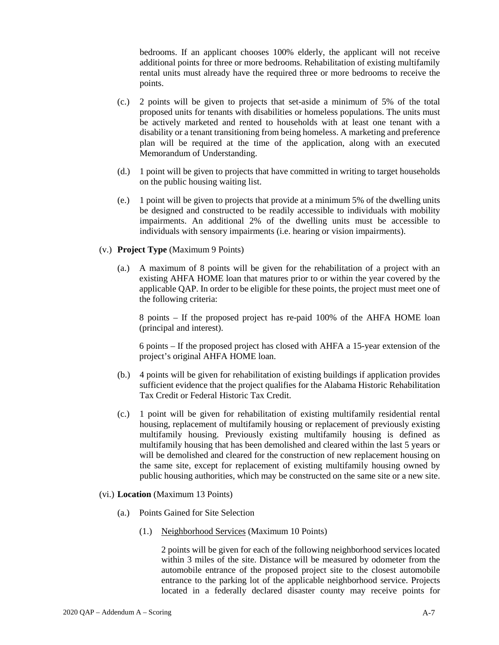bedrooms. If an applicant chooses 100% elderly, the applicant will not receive additional points for three or more bedrooms. Rehabilitation of existing multifamily rental units must already have the required three or more bedrooms to receive the points.

- (c.) 2 points will be given to projects that set-aside a minimum of 5% of the total proposed units for tenants with disabilities or homeless populations. The units must be actively marketed and rented to households with at least one tenant with a disability or a tenant transitioning from being homeless. A marketing and preference plan will be required at the time of the application, along with an executed Memorandum of Understanding.
- (d.) 1 point will be given to projects that have committed in writing to target households on the public housing waiting list.
- (e.) 1 point will be given to projects that provide at a minimum 5% of the dwelling units be designed and constructed to be readily accessible to individuals with mobility impairments. An additional 2% of the dwelling units must be accessible to individuals with sensory impairments (i.e. hearing or vision impairments).
- (v.) **Project Type** (Maximum 9 Points)
	- (a.) A maximum of 8 points will be given for the rehabilitation of a project with an existing AHFA HOME loan that matures prior to or within the year covered by the applicable QAP. In order to be eligible for these points, the project must meet one of the following criteria:

8 points – If the proposed project has re-paid 100% of the AHFA HOME loan (principal and interest).

6 points – If the proposed project has closed with AHFA a 15-year extension of the project's original AHFA HOME loan.

- (b.) 4 points will be given for rehabilitation of existing buildings if application provides sufficient evidence that the project qualifies for the Alabama Historic Rehabilitation Tax Credit or Federal Historic Tax Credit.
- (c.) 1 point will be given for rehabilitation of existing multifamily residential rental housing, replacement of multifamily housing or replacement of previously existing multifamily housing. Previously existing multifamily housing is defined as multifamily housing that has been demolished and cleared within the last 5 years or will be demolished and cleared for the construction of new replacement housing on the same site, except for replacement of existing multifamily housing owned by public housing authorities, which may be constructed on the same site or a new site.
- (vi.) **Location** (Maximum 13 Points)
	- (a.) Points Gained for Site Selection
		- (1.) Neighborhood Services (Maximum 10 Points)

2 points will be given for each of the following neighborhood services located within 3 miles of the site. Distance will be measured by odometer from the automobile entrance of the proposed project site to the closest automobile entrance to the parking lot of the applicable neighborhood service. Projects located in a federally declared disaster county may receive points for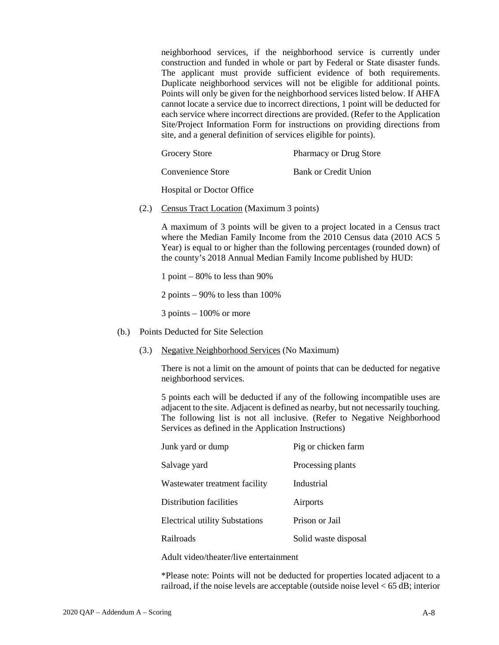neighborhood services, if the neighborhood service is currently under construction and funded in whole or part by Federal or State disaster funds. The applicant must provide sufficient evidence of both requirements. Duplicate neighborhood services will not be eligible for additional points. Points will only be given for the neighborhood services listed below. If AHFA cannot locate a service due to incorrect directions, 1 point will be deducted for each service where incorrect directions are provided. (Refer to the Application Site/Project Information Form for instructions on providing directions from site, and a general definition of services eligible for points).

| Grocery Store | <b>Pharmacy or Drug Store</b> |
|---------------|-------------------------------|
|               |                               |

Convenience Store Bank or Credit Union

Hospital or Doctor Office

(2.) Census Tract Location (Maximum 3 points)

A maximum of 3 points will be given to a project located in a Census tract where the Median Family Income from the 2010 Census data (2010 ACS 5 Year) is equal to or higher than the following percentages (rounded down) of the county's 2018 Annual Median Family Income published by HUD:

1 point  $-80\%$  to less than 90%

2 points – 90% to less than 100%

3 points – 100% or more

- (b.) Points Deducted for Site Selection
	- (3.) Negative Neighborhood Services (No Maximum)

There is not a limit on the amount of points that can be deducted for negative neighborhood services.

5 points each will be deducted if any of the following incompatible uses are adjacent to the site. Adjacent is defined as nearby, but not necessarily touching. The following list is not all inclusive. (Refer to Negative Neighborhood Services as defined in the Application Instructions)

| Junk yard or dump                     | Pig or chicken farm  |
|---------------------------------------|----------------------|
| Salvage yard                          | Processing plants    |
| Wastewater treatment facility         | Industrial           |
| Distribution facilities               | Airports             |
| <b>Electrical utility Substations</b> | Prison or Jail       |
| Railroads                             | Solid waste disposal |

Adult video/theater/live entertainment

\*Please note: Points will not be deducted for properties located adjacent to a railroad, if the noise levels are acceptable (outside noise level < 65 dB; interior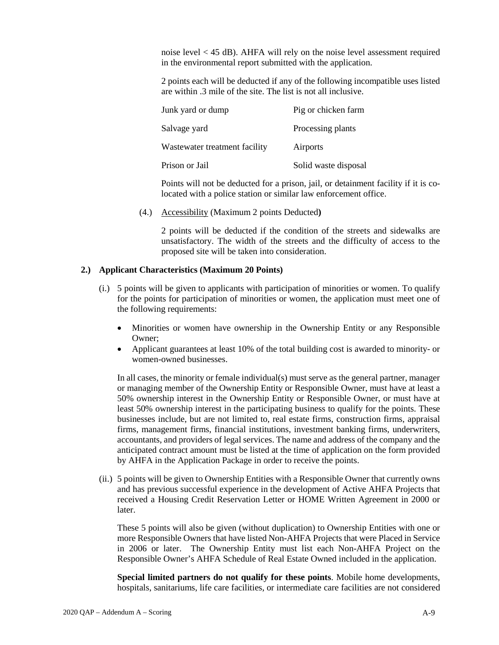noise level < 45 dB). AHFA will rely on the noise level assessment required in the environmental report submitted with the application.

2 points each will be deducted if any of the following incompatible uses listed are within .3 mile of the site. The list is not all inclusive.

| Junk yard or dump             | Pig or chicken farm  |
|-------------------------------|----------------------|
| Salvage yard                  | Processing plants    |
| Wastewater treatment facility | Airports             |
| Prison or Jail                | Solid waste disposal |

Points will not be deducted for a prison, jail, or detainment facility if it is colocated with a police station or similar law enforcement office.

(4.) Accessibility (Maximum 2 points Deducted**)**

2 points will be deducted if the condition of the streets and sidewalks are unsatisfactory. The width of the streets and the difficulty of access to the proposed site will be taken into consideration.

### **2.) Applicant Characteristics (Maximum 20 Points)**

- (i.) 5 points will be given to applicants with participation of minorities or women. To qualify for the points for participation of minorities or women, the application must meet one of the following requirements:
	- Minorities or women have ownership in the Ownership Entity or any Responsible Owner;
	- Applicant guarantees at least 10% of the total building cost is awarded to minority- or women-owned businesses.

In all cases, the minority or female individual(s) must serve as the general partner, manager or managing member of the Ownership Entity or Responsible Owner, must have at least a 50% ownership interest in the Ownership Entity or Responsible Owner, or must have at least 50% ownership interest in the participating business to qualify for the points. These businesses include, but are not limited to, real estate firms, construction firms, appraisal firms, management firms, financial institutions, investment banking firms, underwriters, accountants, and providers of legal services. The name and address of the company and the anticipated contract amount must be listed at the time of application on the form provided by AHFA in the Application Package in order to receive the points.

(ii.) 5 points will be given to Ownership Entities with a Responsible Owner that currently owns and has previous successful experience in the development of Active AHFA Projects that received a Housing Credit Reservation Letter or HOME Written Agreement in 2000 or later.

These 5 points will also be given (without duplication) to Ownership Entities with one or more Responsible Owners that have listed Non-AHFA Projects that were Placed in Service in 2006 or later. The Ownership Entity must list each Non-AHFA Project on the Responsible Owner's AHFA Schedule of Real Estate Owned included in the application.

**Special limited partners do not qualify for these points**. Mobile home developments, hospitals, sanitariums, life care facilities, or intermediate care facilities are not considered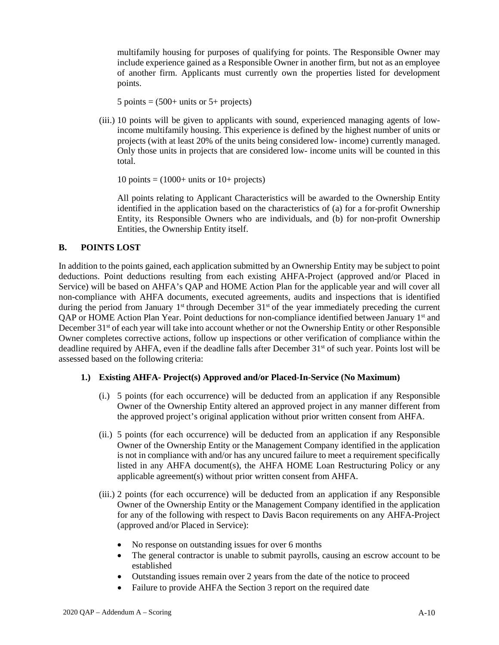multifamily housing for purposes of qualifying for points. The Responsible Owner may include experience gained as a Responsible Owner in another firm, but not as an employee of another firm. Applicants must currently own the properties listed for development points.

5 points  $= (500+$  units or 5+ projects)

(iii.) 10 points will be given to applicants with sound, experienced managing agents of lowincome multifamily housing. This experience is defined by the highest number of units or projects (with at least 20% of the units being considered low- income) currently managed. Only those units in projects that are considered low- income units will be counted in this total.

10 points  $= (1000+$  units or 10+ projects)

All points relating to Applicant Characteristics will be awarded to the Ownership Entity identified in the application based on the characteristics of (a) for a for-profit Ownership Entity, its Responsible Owners who are individuals, and (b) for non-profit Ownership Entities, the Ownership Entity itself.

### **B. POINTS LOST**

In addition to the points gained, each application submitted by an Ownership Entity may be subject to point deductions. Point deductions resulting from each existing AHFA-Project (approved and/or Placed in Service) will be based on AHFA's QAP and HOME Action Plan for the applicable year and will cover all non-compliance with AHFA documents, executed agreements, audits and inspections that is identified during the period from January  $1<sup>st</sup>$  through December 31<sup>st</sup> of the year immediately preceding the current QAP or HOME Action Plan Year. Point deductions for non-compliance identified between January 1<sup>st</sup> and December 31<sup>st</sup> of each year will take into account whether or not the Ownership Entity or other Responsible Owner completes corrective actions, follow up inspections or other verification of compliance within the deadline required by AHFA, even if the deadline falls after December 31<sup>st</sup> of such year. Points lost will be assessed based on the following criteria:

### **1.) Existing AHFA- Project(s) Approved and/or Placed-In-Service (No Maximum)**

- (i.) 5 points (for each occurrence) will be deducted from an application if any Responsible Owner of the Ownership Entity altered an approved project in any manner different from the approved project's original application without prior written consent from AHFA.
- (ii.) 5 points (for each occurrence) will be deducted from an application if any Responsible Owner of the Ownership Entity or the Management Company identified in the application is not in compliance with and/or has any uncured failure to meet a requirement specifically listed in any AHFA document(s), the AHFA HOME Loan Restructuring Policy or any applicable agreement(s) without prior written consent from AHFA.
- (iii.) 2 points (for each occurrence) will be deducted from an application if any Responsible Owner of the Ownership Entity or the Management Company identified in the application for any of the following with respect to Davis Bacon requirements on any AHFA-Project (approved and/or Placed in Service):
	- No response on outstanding issues for over 6 months
	- The general contractor is unable to submit payrolls, causing an escrow account to be established
	- Outstanding issues remain over 2 years from the date of the notice to proceed
	- Failure to provide AHFA the Section 3 report on the required date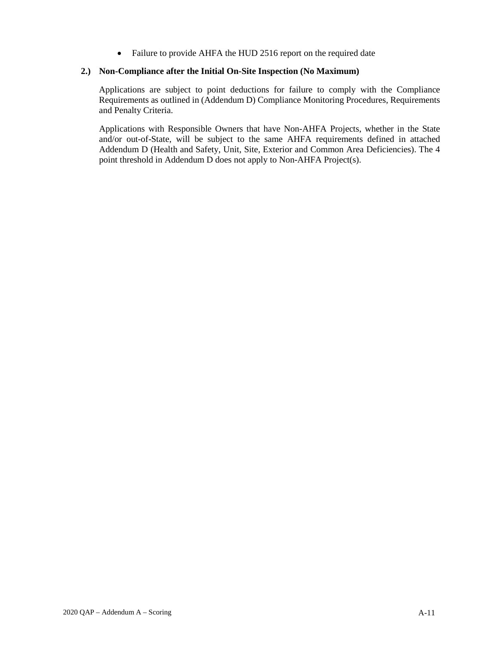• Failure to provide AHFA the HUD 2516 report on the required date

## **2.) Non-Compliance after the Initial On-Site Inspection (No Maximum)**

Applications are subject to point deductions for failure to comply with the Compliance Requirements as outlined in (Addendum D) Compliance Monitoring Procedures, Requirements and Penalty Criteria.

Applications with Responsible Owners that have Non-AHFA Projects, whether in the State and/or out-of-State, will be subject to the same AHFA requirements defined in attached Addendum D (Health and Safety, Unit, Site, Exterior and Common Area Deficiencies). The 4 point threshold in Addendum D does not apply to Non-AHFA Project(s).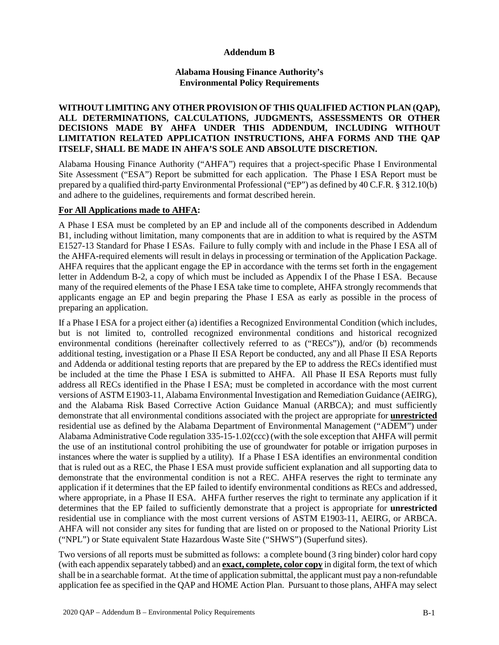### **Addendum B**

### **Alabama Housing Finance Authority's Environmental Policy Requirements**

## **WITHOUT LIMITING ANY OTHER PROVISION OF THIS QUALIFIED ACTION PLAN (QAP), ALL DETERMINATIONS, CALCULATIONS, JUDGMENTS, ASSESSMENTS OR OTHER DECISIONS MADE BY AHFA UNDER THIS ADDENDUM, INCLUDING WITHOUT LIMITATION RELATED APPLICATION INSTRUCTIONS, AHFA FORMS AND THE QAP ITSELF, SHALL BE MADE IN AHFA'S SOLE AND ABSOLUTE DISCRETION.**

Alabama Housing Finance Authority ("AHFA") requires that a project-specific Phase I Environmental Site Assessment ("ESA") Report be submitted for each application. The Phase I ESA Report must be prepared by a qualified third-party Environmental Professional ("EP") as defined by 40 C.F.R. § 312.10(b) and adhere to the guidelines, requirements and format described herein.

### **For All Applications made to AHFA:**

A Phase I ESA must be completed by an EP and include all of the components described in Addendum B1, including without limitation, many components that are in addition to what is required by the ASTM E1527-13 Standard for Phase I ESAs. Failure to fully comply with and include in the Phase I ESA all of the AHFA-required elements will result in delays in processing or termination of the Application Package. AHFA requires that the applicant engage the EP in accordance with the terms set forth in the engagement letter in Addendum B-2, a copy of which must be included as Appendix I of the Phase I ESA. Because many of the required elements of the Phase I ESA take time to complete, AHFA strongly recommends that applicants engage an EP and begin preparing the Phase I ESA as early as possible in the process of preparing an application.

If a Phase I ESA for a project either (a) identifies a Recognized Environmental Condition (which includes, but is not limited to, controlled recognized environmental conditions and historical recognized environmental conditions (hereinafter collectively referred to as ("RECs")), and/or (b) recommends additional testing, investigation or a Phase II ESA Report be conducted, any and all Phase II ESA Reports and Addenda or additional testing reports that are prepared by the EP to address the RECs identified must be included at the time the Phase I ESA is submitted to AHFA. All Phase II ESA Reports must fully address all RECs identified in the Phase I ESA; must be completed in accordance with the most current versions of ASTM E1903-11, Alabama Environmental Investigation and Remediation Guidance (AEIRG), and the Alabama Risk Based Corrective Action Guidance Manual (ARBCA); and must sufficiently demonstrate that all environmental conditions associated with the project are appropriate for **unrestricted** residential use as defined by the Alabama Department of Environmental Management ("ADEM") under Alabama Administrative Code regulation 335-15-1.02(ccc) (with the sole exception that AHFA will permit the use of an institutional control prohibiting the use of groundwater for potable or irrigation purposes in instances where the water is supplied by a utility). If a Phase I ESA identifies an environmental condition that is ruled out as a REC, the Phase I ESA must provide sufficient explanation and all supporting data to demonstrate that the environmental condition is not a REC. AHFA reserves the right to terminate any application if it determines that the EP failed to identify environmental conditions as RECs and addressed, where appropriate, in a Phase II ESA. AHFA further reserves the right to terminate any application if it determines that the EP failed to sufficiently demonstrate that a project is appropriate for **unrestricted** residential use in compliance with the most current versions of ASTM E1903-11, AEIRG, or ARBCA. AHFA will not consider any sites for funding that are listed on or proposed to the National Priority List ("NPL") or State equivalent State Hazardous Waste Site ("SHWS") (Superfund sites).

Two versions of all reports must be submitted as follows: a complete bound (3 ring binder) color hard copy (with each appendix separately tabbed) and an **exact, complete, color copy** in digital form, the text of which shall be in a searchable format. At the time of application submittal, the applicant must pay a non-refundable application fee as specified in the QAP and HOME Action Plan. Pursuant to those plans, AHFA may select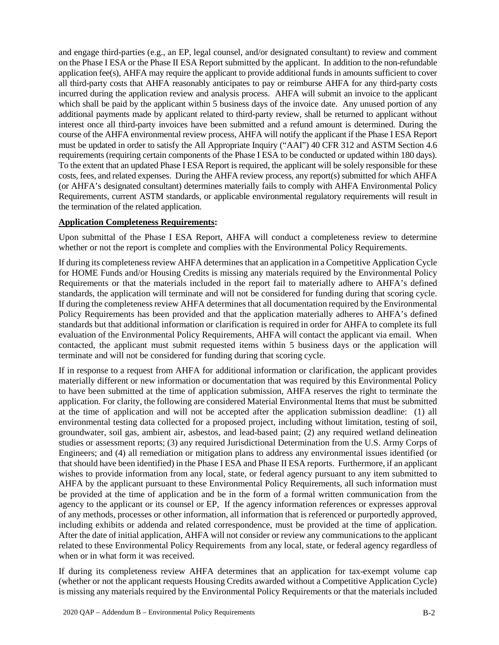and engage third-parties (e.g., an EP, legal counsel, and/or designated consultant) to review and comment on the Phase I ESA or the Phase II ESA Report submitted by the applicant. In addition to the non-refundable application fee(s), AHFA may require the applicant to provide additional funds in amounts sufficient to cover all third-party costs that AHFA reasonably anticipates to pay or reimburse AHFA for any third-party costs incurred during the application review and analysis process. AHFA will submit an invoice to the applicant which shall be paid by the applicant within 5 business days of the invoice date. Any unused portion of any additional payments made by applicant related to third-party review, shall be returned to applicant without interest once all third-party invoices have been submitted and a refund amount is determined. During the course of the AHFA environmental review process, AHFA will notify the applicant if the Phase I ESA Report must be updated in order to satisfy the All Appropriate Inquiry ("AAI") 40 CFR 312 and ASTM Section 4.6 requirements (requiring certain components of the Phase I ESA to be conducted or updated within 180 days). To the extent that an updated Phase I ESA Report is required, the applicant will be solely responsible for these costs, fees, and related expenses. During the AHFA review process, any report(s) submitted for which AHFA (or AHFA's designated consultant) determines materially fails to comply with AHFA Environmental Policy Requirements, current ASTM standards, or applicable environmental regulatory requirements will result in the termination of the related application.

### **Application Completeness Requirements:**

Upon submittal of the Phase I ESA Report, AHFA will conduct a completeness review to determine whether or not the report is complete and complies with the Environmental Policy Requirements.

If during its completeness review AHFA determines that an application in a Competitive Application Cycle for HOME Funds and/or Housing Credits is missing any materials required by the Environmental Policy Requirements or that the materials included in the report fail to materially adhere to AHFA's defined standards, the application will terminate and will not be considered for funding during that scoring cycle. If during the completeness review AHFA determines that all documentation required by the Environmental Policy Requirements has been provided and that the application materially adheres to AHFA's defined standards but that additional information or clarification is required in order for AHFA to complete its full evaluation of the Environmental Policy Requirements, AHFA will contact the applicant via email. When contacted, the applicant must submit requested items within 5 business days or the application will terminate and will not be considered for funding during that scoring cycle.

If in response to a request from AHFA for additional information or clarification, the applicant provides materially different or new information or documentation that was required by this Environmental Policy to have been submitted at the time of application submission, AHFA reserves the right to terminate the application. For clarity, the following are considered Material Environmental Items that must be submitted at the time of application and will not be accepted after the application submission deadline: (1) all environmental testing data collected for a proposed project, including without limitation, testing of soil, groundwater, soil gas, ambient air, asbestos, and lead-based paint; (2) any required wetland delineation studies or assessment reports; (3) any required Jurisdictional Determination from the U.S. Army Corps of Engineers; and (4) all remediation or mitigation plans to address any environmental issues identified (or that should have been identified) in the Phase I ESA and Phase II ESA reports. Furthermore, if an applicant wishes to provide information from any local, state, or federal agency pursuant to any item submitted to AHFA by the applicant pursuant to these Environmental Policy Requirements, all such information must be provided at the time of application and be in the form of a formal written communication from the agency to the applicant or its counsel or EP, If the agency information references or expresses approval of any methods, processes or other information, all information that is referenced or purportedly approved, including exhibits or addenda and related correspondence, must be provided at the time of application. After the date of initial application, AHFA will not consider or review any communications to the applicant related to these Environmental Policy Requirements from any local, state, or federal agency regardless of when or in what form it was received.

If during its completeness review AHFA determines that an application for tax-exempt volume cap (whether or not the applicant requests Housing Credits awarded without a Competitive Application Cycle) is missing any materials required by the Environmental Policy Requirements or that the materials included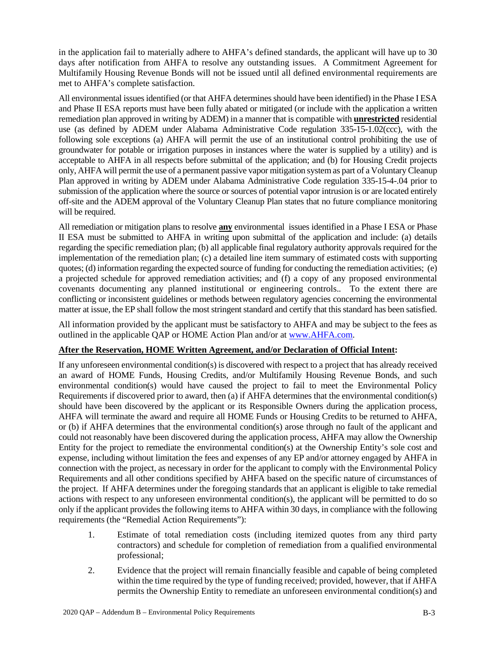in the application fail to materially adhere to AHFA's defined standards, the applicant will have up to 30 days after notification from AHFA to resolve any outstanding issues. A Commitment Agreement for Multifamily Housing Revenue Bonds will not be issued until all defined environmental requirements are met to AHFA's complete satisfaction.

All environmental issues identified (or that AHFA determines should have been identified) in the Phase I ESA and Phase II ESA reports must have been fully abated or mitigated (or include with the application a written remediation plan approved in writing by ADEM) in a manner that is compatible with **unrestricted** residential use (as defined by ADEM under Alabama Administrative Code regulation 335-15-1.02(ccc), with the following sole exceptions (a) AHFA will permit the use of an institutional control prohibiting the use of groundwater for potable or irrigation purposes in instances where the water is supplied by a utility) and is acceptable to AHFA in all respects before submittal of the application; and (b) for Housing Credit projects only, AHFA will permit the use of a permanent passive vapor mitigation system as part of a Voluntary Cleanup Plan approved in writing by ADEM under Alabama Administrative Code regulation 335-15-4-.04 prior to submission of the application where the source or sources of potential vapor intrusion is or are located entirely off-site and the ADEM approval of the Voluntary Cleanup Plan states that no future compliance monitoring will be required.

All remediation or mitigation plans to resolve **any** environmental issues identified in a Phase I ESA or Phase II ESA must be submitted to AHFA in writing upon submittal of the application and include: (a) details regarding the specific remediation plan; (b) all applicable final regulatory authority approvals required for the implementation of the remediation plan; (c) a detailed line item summary of estimated costs with supporting quotes; (d) information regarding the expected source of funding for conducting the remediation activities; (e) a projected schedule for approved remediation activities; and (f) a copy of any proposed environmental covenants documenting any planned institutional or engineering controls.. To the extent there are conflicting or inconsistent guidelines or methods between regulatory agencies concerning the environmental matter at issue, the EP shall follow the most stringent standard and certify that this standard has been satisfied.

All information provided by the applicant must be satisfactory to AHFA and may be subject to the fees as outlined in the applicable QAP or HOME Action Plan and/or at www.AHFA.com.

### **After the Reservation, HOME Written Agreement, and/or Declaration of Official Intent:**

If any unforeseen environmental condition(s) is discovered with respect to a project that has already received an award of HOME Funds, Housing Credits, and/or Multifamily Housing Revenue Bonds, and such environmental condition(s) would have caused the project to fail to meet the Environmental Policy Requirements if discovered prior to award, then (a) if AHFA determines that the environmental condition(s) should have been discovered by the applicant or its Responsible Owners during the application process, AHFA will terminate the award and require all HOME Funds or Housing Credits to be returned to AHFA, or (b) if AHFA determines that the environmental condition(s) arose through no fault of the applicant and could not reasonably have been discovered during the application process, AHFA may allow the Ownership Entity for the project to remediate the environmental condition(s) at the Ownership Entity's sole cost and expense, including without limitation the fees and expenses of any EP and/or attorney engaged by AHFA in connection with the project, as necessary in order for the applicant to comply with the Environmental Policy Requirements and all other conditions specified by AHFA based on the specific nature of circumstances of the project. If AHFA determines under the foregoing standards that an applicant is eligible to take remedial actions with respect to any unforeseen environmental condition(s), the applicant will be permitted to do so only if the applicant provides the following items to AHFA within 30 days, in compliance with the following requirements (the "Remedial Action Requirements"):

- 1. Estimate of total remediation costs (including itemized quotes from any third party contractors) and schedule for completion of remediation from a qualified environmental professional;
- 2. Evidence that the project will remain financially feasible and capable of being completed within the time required by the type of funding received; provided, however, that if AHFA permits the Ownership Entity to remediate an unforeseen environmental condition(s) and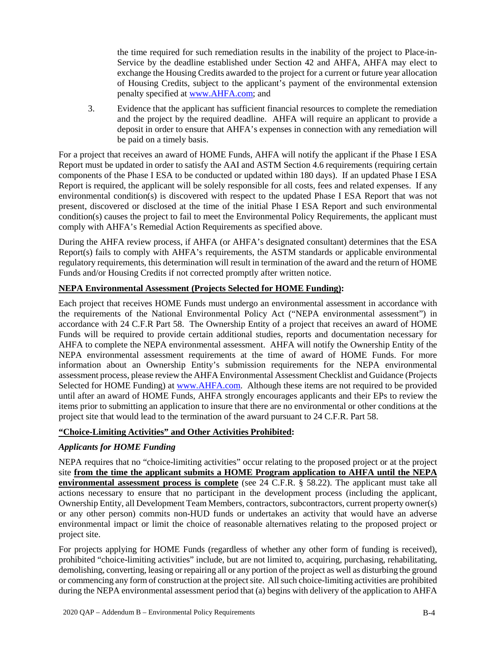the time required for such remediation results in the inability of the project to Place-in-Service by the deadline established under Section 42 and AHFA, AHFA may elect to exchange the Housing Credits awarded to the project for a current or future year allocation of Housing Credits, subject to the applicant's payment of the environmental extension penalty specified at www.AHFA.com; and

3. Evidence that the applicant has sufficient financial resources to complete the remediation and the project by the required deadline. AHFA will require an applicant to provide a deposit in order to ensure that AHFA's expenses in connection with any remediation will be paid on a timely basis.

For a project that receives an award of HOME Funds, AHFA will notify the applicant if the Phase I ESA Report must be updated in order to satisfy the AAI and ASTM Section 4.6 requirements (requiring certain components of the Phase I ESA to be conducted or updated within 180 days). If an updated Phase I ESA Report is required, the applicant will be solely responsible for all costs, fees and related expenses. If any environmental condition(s) is discovered with respect to the updated Phase I ESA Report that was not present, discovered or disclosed at the time of the initial Phase I ESA Report and such environmental condition(s) causes the project to fail to meet the Environmental Policy Requirements, the applicant must comply with AHFA's Remedial Action Requirements as specified above.

During the AHFA review process, if AHFA (or AHFA's designated consultant) determines that the ESA Report(s) fails to comply with AHFA's requirements, the ASTM standards or applicable environmental regulatory requirements, this determination will result in termination of the award and the return of HOME Funds and/or Housing Credits if not corrected promptly after written notice.

## **NEPA Environmental Assessment (Projects Selected for HOME Funding):**

Each project that receives HOME Funds must undergo an environmental assessment in accordance with the requirements of the National Environmental Policy Act ("NEPA environmental assessment") in accordance with 24 C.F.R Part 58. The Ownership Entity of a project that receives an award of HOME Funds will be required to provide certain additional studies, reports and documentation necessary for AHFA to complete the NEPA environmental assessment. AHFA will notify the Ownership Entity of the NEPA environmental assessment requirements at the time of award of HOME Funds. For more information about an Ownership Entity's submission requirements for the NEPA environmental assessment process, please review the AHFA Environmental Assessment Checklist and Guidance (Projects Selected for HOME Funding) at www.AHFA.com. Although these items are not required to be provided until after an award of HOME Funds, AHFA strongly encourages applicants and their EPs to review the items prior to submitting an application to insure that there are no environmental or other conditions at the project site that would lead to the termination of the award pursuant to 24 C.F.R. Part 58.

### **"Choice-Limiting Activities" and Other Activities Prohibited:**

# *Applicants for HOME Funding*

NEPA requires that no "choice-limiting activities" occur relating to the proposed project or at the project site **from the time the applicant submits a HOME Program application to AHFA until the NEPA environmental assessment process is complete** (see 24 C.F.R. § 58.22). The applicant must take all actions necessary to ensure that no participant in the development process (including the applicant, Ownership Entity, all Development Team Members, contractors, subcontractors, current property owner(s) or any other person) commits non-HUD funds or undertakes an activity that would have an adverse environmental impact or limit the choice of reasonable alternatives relating to the proposed project or project site.

For projects applying for HOME Funds (regardless of whether any other form of funding is received), prohibited "choice-limiting activities" include, but are not limited to, acquiring, purchasing, rehabilitating, demolishing, converting, leasing or repairing all or any portion of the project as well as disturbing the ground or commencing any form of construction at the project site. All such choice-limiting activities are prohibited during the NEPA environmental assessment period that (a) begins with delivery of the application to AHFA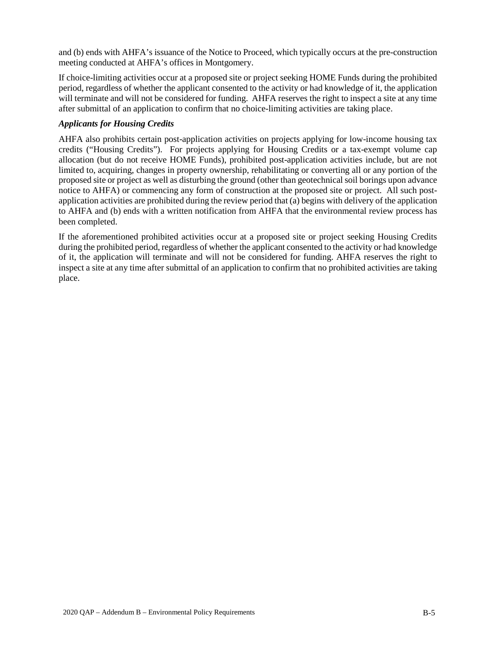and (b) ends with AHFA's issuance of the Notice to Proceed, which typically occurs at the pre-construction meeting conducted at AHFA's offices in Montgomery.

If choice-limiting activities occur at a proposed site or project seeking HOME Funds during the prohibited period, regardless of whether the applicant consented to the activity or had knowledge of it, the application will terminate and will not be considered for funding. AHFA reserves the right to inspect a site at any time after submittal of an application to confirm that no choice-limiting activities are taking place.

## *Applicants for Housing Credits*

AHFA also prohibits certain post-application activities on projects applying for low-income housing tax credits ("Housing Credits"). For projects applying for Housing Credits or a tax-exempt volume cap allocation (but do not receive HOME Funds), prohibited post-application activities include, but are not limited to, acquiring, changes in property ownership, rehabilitating or converting all or any portion of the proposed site or project as well as disturbing the ground (other than geotechnical soil borings upon advance notice to AHFA) or commencing any form of construction at the proposed site or project. All such postapplication activities are prohibited during the review period that (a) begins with delivery of the application to AHFA and (b) ends with a written notification from AHFA that the environmental review process has been completed.

If the aforementioned prohibited activities occur at a proposed site or project seeking Housing Credits during the prohibited period, regardless of whether the applicant consented to the activity or had knowledge of it, the application will terminate and will not be considered for funding. AHFA reserves the right to inspect a site at any time after submittal of an application to confirm that no prohibited activities are taking place.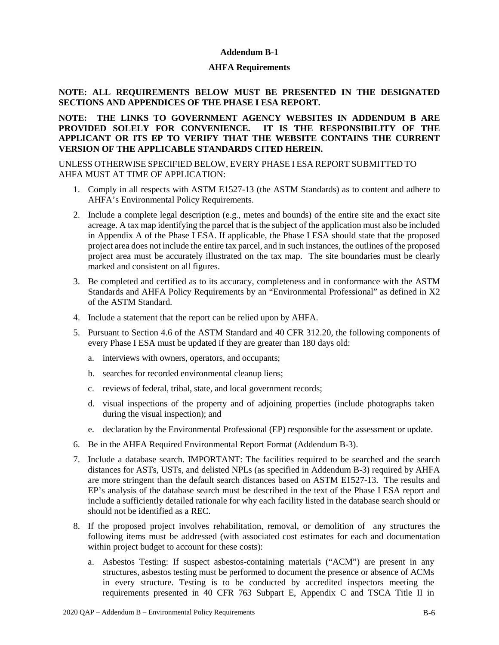### **Addendum B-1**

### **AHFA Requirements**

## **NOTE: ALL REQUIREMENTS BELOW MUST BE PRESENTED IN THE DESIGNATED SECTIONS AND APPENDICES OF THE PHASE I ESA REPORT.**

## **NOTE: THE LINKS TO GOVERNMENT AGENCY WEBSITES IN ADDENDUM B ARE PROVIDED SOLELY FOR CONVENIENCE. IT IS THE RESPONSIBILITY OF THE APPLICANT OR ITS EP TO VERIFY THAT THE WEBSITE CONTAINS THE CURRENT VERSION OF THE APPLICABLE STANDARDS CITED HEREIN.**

## UNLESS OTHERWISE SPECIFIED BELOW, EVERY PHASE I ESA REPORT SUBMITTED TO AHFA MUST AT TIME OF APPLICATION:

- 1. Comply in all respects with ASTM E1527-13 (the ASTM Standards) as to content and adhere to AHFA's Environmental Policy Requirements.
- 2. Include a complete legal description (e.g., metes and bounds) of the entire site and the exact site acreage. A tax map identifying the parcel that is the subject of the application must also be included in Appendix A of the Phase I ESA. If applicable, the Phase I ESA should state that the proposed project area does not include the entire tax parcel, and in such instances, the outlines of the proposed project area must be accurately illustrated on the tax map. The site boundaries must be clearly marked and consistent on all figures.
- 3. Be completed and certified as to its accuracy, completeness and in conformance with the ASTM Standards and AHFA Policy Requirements by an "Environmental Professional" as defined in X2 of the ASTM Standard.
- 4. Include a statement that the report can be relied upon by AHFA.
- 5. Pursuant to Section 4.6 of the ASTM Standard and 40 CFR 312.20, the following components of every Phase I ESA must be updated if they are greater than 180 days old:
	- a. interviews with owners, operators, and occupants;
	- b. searches for recorded environmental cleanup liens;
	- c. reviews of federal, tribal, state, and local government records;
	- d. visual inspections of the property and of adjoining properties (include photographs taken during the visual inspection); and
	- e. declaration by the Environmental Professional (EP) responsible for the assessment or update.
- 6. Be in the AHFA Required Environmental Report Format (Addendum B-3).
- 7. Include a database search. IMPORTANT: The facilities required to be searched and the search distances for ASTs, USTs, and delisted NPLs (as specified in Addendum B-3) required by AHFA are more stringent than the default search distances based on ASTM E1527-13. The results and EP's analysis of the database search must be described in the text of the Phase I ESA report and include a sufficiently detailed rationale for why each facility listed in the database search should or should not be identified as a REC.
- 8. If the proposed project involves rehabilitation, removal, or demolition of any structures the following items must be addressed (with associated cost estimates for each and documentation within project budget to account for these costs):
	- a. Asbestos Testing: If suspect asbestos-containing materials ("ACM") are present in any structures, asbestos testing must be performed to document the presence or absence of ACMs in every structure. Testing is to be conducted by accredited inspectors meeting the requirements presented in 40 CFR 763 Subpart E, Appendix C and TSCA Title II in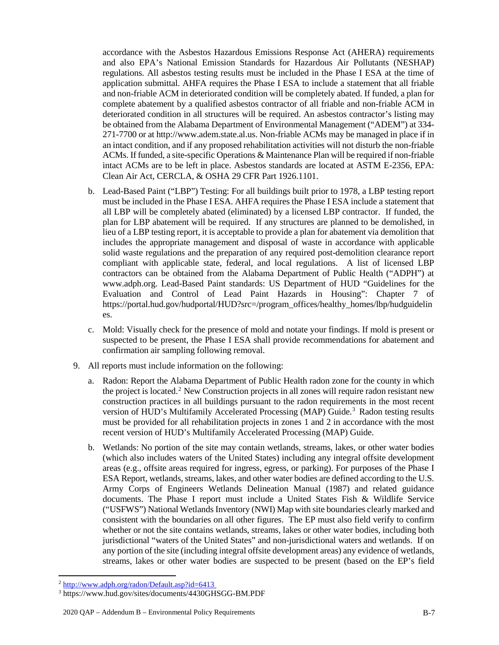accordance with the Asbestos Hazardous Emissions Response Act (AHERA) requirements and also EPA's National Emission Standards for Hazardous Air Pollutants (NESHAP) regulations. All asbestos testing results must be included in the Phase I ESA at the time of application submittal. AHFA requires the Phase I ESA to include a statement that all friable and non-friable ACM in deteriorated condition will be completely abated. If funded, a plan for complete abatement by a qualified asbestos contractor of all friable and non-friable ACM in deteriorated condition in all structures will be required. An asbestos contractor's listing may be obtained from the Alabama Department of Environmental Management ("ADEM") at 334- 271-7700 or at http://www.adem.state.al.us. Non-friable ACMs may be managed in place if in an intact condition, and if any proposed rehabilitation activities will not disturb the non-friable ACMs. If funded, a site-specific Operations & Maintenance Plan will be required if non-friable intact ACMs are to be left in place. Asbestos standards are located at ASTM E-2356, EPA: Clean Air Act, CERCLA, & OSHA 29 CFR Part 1926.1101.

- b. Lead-Based Paint ("LBP") Testing: For all buildings built prior to 1978, a LBP testing report must be included in the Phase I ESA. AHFA requires the Phase I ESA include a statement that all LBP will be completely abated (eliminated) by a licensed LBP contractor. If funded, the plan for LBP abatement will be required. If any structures are planned to be demolished, in lieu of a LBP testing report, it is acceptable to provide a plan for abatement via demolition that includes the appropriate management and disposal of waste in accordance with applicable solid waste regulations and the preparation of any required post-demolition clearance report compliant with applicable state, federal, and local regulations. A list of licensed LBP contractors can be obtained from the Alabama Department of Public Health ("ADPH") at www.adph.org. Lead-Based Paint standards: US Department of HUD "Guidelines for the Evaluation and Control of Lead Paint Hazards in Housing": Chapter 7 of https://portal.hud.gov/hudportal/HUD?src=/program\_offices/healthy\_homes/lbp/hudguidelin es.
- c. Mold: Visually check for the presence of mold and notate your findings. If mold is present or suspected to be present, the Phase I ESA shall provide recommendations for abatement and confirmation air sampling following removal.
- 9. All reports must include information on the following:
	- a. Radon: Report the Alabama Department of Public Health radon zone for the county in which the project is located.<sup>[2](#page-47-0)</sup> New Construction projects in all zones will require radon resistant new construction practices in all buildings pursuant to the radon requirements in the most recent version of HUD's Multifamily Accelerated Processing (MAP) Guide.<sup>3</sup> Radon testing results must be provided for all rehabilitation projects in zones 1 and 2 in accordance with the most recent version of HUD's Multifamily Accelerated Processing (MAP) Guide.
	- b. Wetlands: No portion of the site may contain wetlands, streams, lakes, or other water bodies (which also includes waters of the United States) including any integral offsite development areas (e.g., offsite areas required for ingress, egress, or parking). For purposes of the Phase I ESA Report, wetlands, streams, lakes, and other water bodies are defined according to the U.S. Army Corps of Engineers Wetlands Delineation Manual (1987) and related guidance documents. The Phase I report must include a United States Fish & Wildlife Service ("USFWS") National Wetlands Inventory (NWI) Map with site boundaries clearly marked and consistent with the boundaries on all other figures. The EP must also field verify to confirm whether or not the site contains wetlands, streams, lakes or other water bodies, including both jurisdictional "waters of the United States" and non-jurisdictional waters and wetlands. If on any portion of the site (including integral offsite development areas) any evidence of wetlands, streams, lakes or other water bodies are suspected to be present (based on the EP's field

<span id="page-47-0"></span> <sup>2</sup> http://www.adph.org/radon/Default.asp?id=6413

<span id="page-47-1"></span><sup>3</sup> https://www.hud.gov/sites/documents/4430GHSGG-BM.PDF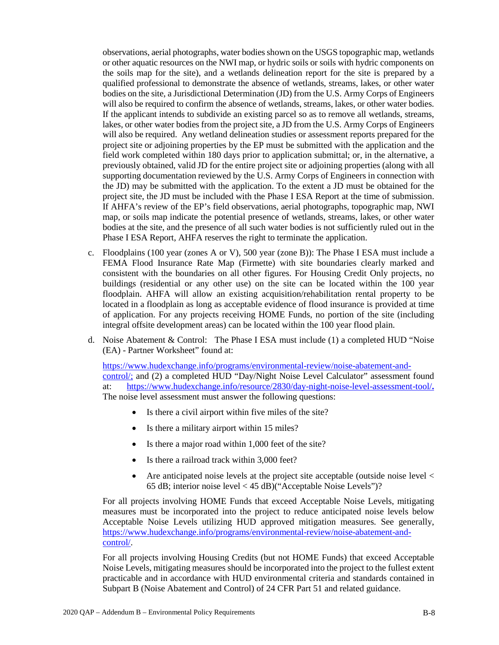observations, aerial photographs, water bodies shown on the USGS topographic map, wetlands or other aquatic resources on the NWI map, or hydric soils or soils with hydric components on the soils map for the site), and a wetlands delineation report for the site is prepared by a qualified professional to demonstrate the absence of wetlands, streams, lakes, or other water bodies on the site, a Jurisdictional Determination (JD) from the U.S. Army Corps of Engineers will also be required to confirm the absence of wetlands, streams, lakes, or other water bodies. If the applicant intends to subdivide an existing parcel so as to remove all wetlands, streams, lakes, or other water bodies from the project site, a JD from the U.S. Army Corps of Engineers will also be required. Any wetland delineation studies or assessment reports prepared for the project site or adjoining properties by the EP must be submitted with the application and the field work completed within 180 days prior to application submittal; or, in the alternative, a previously obtained, valid JD for the entire project site or adjoining properties (along with all supporting documentation reviewed by the U.S. Army Corps of Engineers in connection with the JD) may be submitted with the application. To the extent a JD must be obtained for the project site, the JD must be included with the Phase I ESA Report at the time of submission. If AHFA's review of the EP's field observations, aerial photographs, topographic map, NWI map, or soils map indicate the potential presence of wetlands, streams, lakes, or other water bodies at the site, and the presence of all such water bodies is not sufficiently ruled out in the Phase I ESA Report, AHFA reserves the right to terminate the application.

- c. Floodplains (100 year (zones A or V), 500 year (zone B)): The Phase I ESA must include a FEMA Flood Insurance Rate Map (Firmette) with site boundaries clearly marked and consistent with the boundaries on all other figures. For Housing Credit Only projects, no buildings (residential or any other use) on the site can be located within the 100 year floodplain. AHFA will allow an existing acquisition/rehabilitation rental property to be located in a floodplain as long as acceptable evidence of flood insurance is provided at time of application. For any projects receiving HOME Funds, no portion of the site (including integral offsite development areas) can be located within the 100 year flood plain.
- d. Noise Abatement & Control: The Phase I ESA must include (1) a completed HUD "Noise (EA) - Partner Worksheet" found at:

https://www.hudexchange.info/programs/environmental-review/noise-abatement-andcontrol/; and (2) a completed HUD "Day/Night Noise Level Calculator" assessment found at: https://www.hudexchange.info/resource/2830/day-night-noise-level-assessment-tool/**.** The noise level assessment must answer the following questions:

- Is there a civil airport within five miles of the site?
- Is there a military airport within 15 miles?
- Is there a major road within 1,000 feet of the site?
- Is there a railroad track within 3,000 feet?
- Are anticipated noise levels at the project site acceptable (outside noise level  $\lt$ 65 dB; interior noise level < 45 dB)("Acceptable Noise Levels")?

For all projects involving HOME Funds that exceed Acceptable Noise Levels, mitigating measures must be incorporated into the project to reduce anticipated noise levels below Acceptable Noise Levels utilizing HUD approved mitigation measures. See generally, https://www.hudexchange.info/programs/environmental-review/noise-abatement-andcontrol/.

For all projects involving Housing Credits (but not HOME Funds) that exceed Acceptable Noise Levels, mitigating measures should be incorporated into the project to the fullest extent practicable and in accordance with HUD environmental criteria and standards contained in Subpart B (Noise Abatement and Control) of 24 CFR Part 51 and related guidance.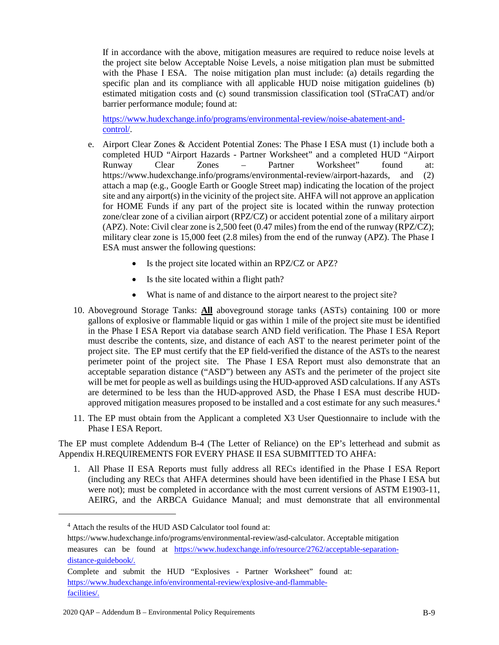If in accordance with the above, mitigation measures are required to reduce noise levels at the project site below Acceptable Noise Levels, a noise mitigation plan must be submitted with the Phase I ESA. The noise mitigation plan must include: (a) details regarding the specific plan and its compliance with all applicable HUD noise mitigation guidelines (b) estimated mitigation costs and (c) sound transmission classification tool (STraCAT) and/or barrier performance module; found at:

https://www.hudexchange.info/programs/environmental-review/noise-abatement-andcontrol/.

- e. Airport Clear Zones & Accident Potential Zones: The Phase I ESA must (1) include both a completed HUD "Airport Hazards - Partner Worksheet" and a completed HUD "Airport Runway Clear Zones – Partner Worksheet" found at: https://www.hudexchange.info/programs/environmental-review/airport-hazards, and (2) attach a map (e.g., Google Earth or Google Street map) indicating the location of the project site and any airport(s) in the vicinity of the project site. AHFA will not approve an application for HOME Funds if any part of the project site is located within the runway protection zone/clear zone of a civilian airport (RPZ/CZ) or accident potential zone of a military airport (APZ). Note: Civil clear zone is 2,500 feet (0.47 miles) from the end of the runway (RPZ/CZ); military clear zone is 15,000 feet (2.8 miles) from the end of the runway (APZ). The Phase I ESA must answer the following questions:
	- Is the project site located within an RPZ/CZ or APZ?
	- Is the site located within a flight path?
	- What is name of and distance to the airport nearest to the project site?
- 10. Aboveground Storage Tanks: **All** aboveground storage tanks (ASTs) containing 100 or more gallons of explosive or flammable liquid or gas within 1 mile of the project site must be identified in the Phase I ESA Report via database search AND field verification. The Phase I ESA Report must describe the contents, size, and distance of each AST to the nearest perimeter point of the project site. The EP must certify that the EP field-verified the distance of the ASTs to the nearest perimeter point of the project site. The Phase I ESA Report must also demonstrate that an acceptable separation distance ("ASD") between any ASTs and the perimeter of the project site will be met for people as well as buildings using the HUD-approved ASD calculations. If any ASTs are determined to be less than the HUD-approved ASD, the Phase I ESA must describe HUD-approved mitigation measures proposed to be installed and a cost estimate for any such measures.<sup>[4](#page-49-0)</sup>
- 11. The EP must obtain from the Applicant a completed X3 User Questionnaire to include with the Phase I ESA Report.

The EP must complete Addendum B-4 (The Letter of Reliance) on the EP's letterhead and submit as Appendix H.REQUIREMENTS FOR EVERY PHASE II ESA SUBMITTED TO AHFA:

1. All Phase II ESA Reports must fully address all RECs identified in the Phase I ESA Report (including any RECs that AHFA determines should have been identified in the Phase I ESA but were not); must be completed in accordance with the most current versions of ASTM E1903-11, AEIRG, and the ARBCA Guidance Manual; and must demonstrate that all environmental

<span id="page-49-0"></span> $\overline{a}$ 

<sup>&</sup>lt;sup>4</sup> Attach the results of the HUD ASD Calculator tool found at:

https://www.hudexchange.info/programs/environmental-review/asd-calculator. Acceptable mitigation measures can be found at https://www.hudexchange.info/resource/2762/acceptable-separationdistance-guidebook/.

Complete and submit the HUD "Explosives - Partner Worksheet" found at: https://www.hudexchange.info/environmental-review/explosive-and-flammablefacilities/.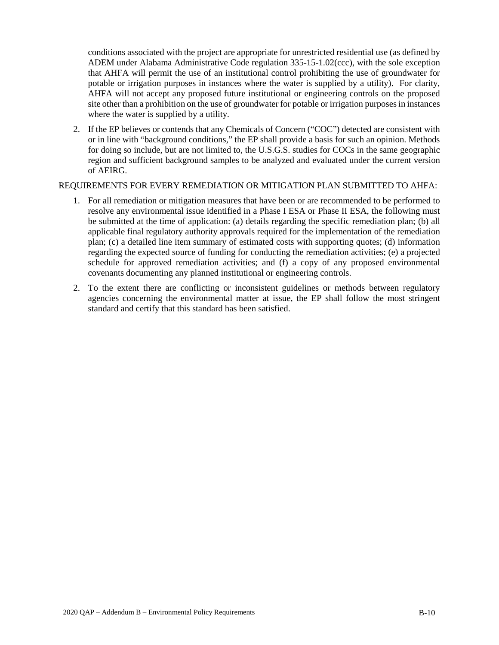conditions associated with the project are appropriate for unrestricted residential use (as defined by ADEM under Alabama Administrative Code regulation 335-15-1.02(ccc), with the sole exception that AHFA will permit the use of an institutional control prohibiting the use of groundwater for potable or irrigation purposes in instances where the water is supplied by a utility). For clarity, AHFA will not accept any proposed future institutional or engineering controls on the proposed site other than a prohibition on the use of groundwater for potable or irrigation purposes in instances where the water is supplied by a utility.

2. If the EP believes or contends that any Chemicals of Concern ("COC") detected are consistent with or in line with "background conditions," the EP shall provide a basis for such an opinion. Methods for doing so include, but are not limited to, the U.S.G.S. studies for COCs in the same geographic region and sufficient background samples to be analyzed and evaluated under the current version of AEIRG.

### REQUIREMENTS FOR EVERY REMEDIATION OR MITIGATION PLAN SUBMITTED TO AHFA:

- 1. For all remediation or mitigation measures that have been or are recommended to be performed to resolve any environmental issue identified in a Phase I ESA or Phase II ESA, the following must be submitted at the time of application: (a) details regarding the specific remediation plan; (b) all applicable final regulatory authority approvals required for the implementation of the remediation plan; (c) a detailed line item summary of estimated costs with supporting quotes; (d) information regarding the expected source of funding for conducting the remediation activities; (e) a projected schedule for approved remediation activities; and (f) a copy of any proposed environmental covenants documenting any planned institutional or engineering controls.
- 2. To the extent there are conflicting or inconsistent guidelines or methods between regulatory agencies concerning the environmental matter at issue, the EP shall follow the most stringent standard and certify that this standard has been satisfied.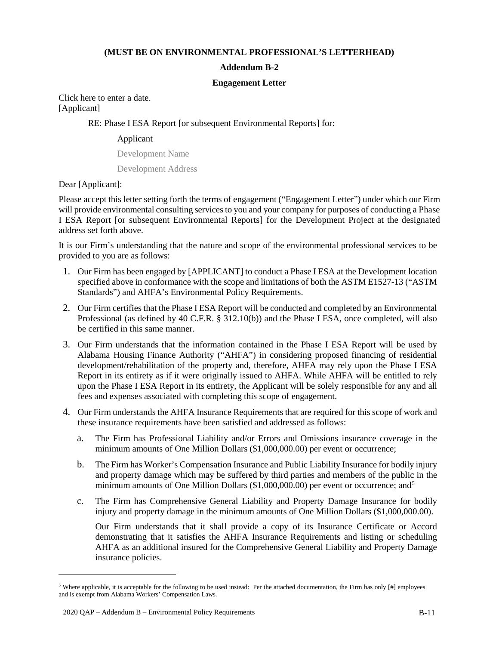### **(MUST BE ON ENVIRONMENTAL PROFESSIONAL'S LETTERHEAD)**

### **Addendum B-2**

#### **Engagement Letter**

Click here to enter a date. [Applicant]

### RE: Phase I ESA Report [or subsequent Environmental Reports] for:

### Applicant

Development Name

Development Address

Dear [Applicant]:

Please accept this letter setting forth the terms of engagement ("Engagement Letter") under which our Firm will provide environmental consulting services to you and your company for purposes of conducting a Phase I ESA Report [or subsequent Environmental Reports] for the Development Project at the designated address set forth above.

It is our Firm's understanding that the nature and scope of the environmental professional services to be provided to you are as follows:

- 1. Our Firm has been engaged by [APPLICANT] to conduct a Phase I ESA at the Development location specified above in conformance with the scope and limitations of both the ASTM E1527-13 ("ASTM Standards") and AHFA's Environmental Policy Requirements.
- 2. Our Firm certifies that the Phase I ESA Report will be conducted and completed by an Environmental Professional (as defined by 40 C.F.R. § 312.10(b)) and the Phase I ESA, once completed, will also be certified in this same manner.
- 3. Our Firm understands that the information contained in the Phase I ESA Report will be used by Alabama Housing Finance Authority ("AHFA") in considering proposed financing of residential development/rehabilitation of the property and, therefore, AHFA may rely upon the Phase I ESA Report in its entirety as if it were originally issued to AHFA. While AHFA will be entitled to rely upon the Phase I ESA Report in its entirety, the Applicant will be solely responsible for any and all fees and expenses associated with completing this scope of engagement.
- 4. Our Firm understands the AHFA Insurance Requirements that are required for this scope of work and these insurance requirements have been satisfied and addressed as follows:
	- a. The Firm has Professional Liability and/or Errors and Omissions insurance coverage in the minimum amounts of One Million Dollars (\$1,000,000.00) per event or occurrence;
	- b. The Firm has Worker's Compensation Insurance and Public Liability Insurance for bodily injury and property damage which may be suffered by third parties and members of the public in the minimum amounts of One Million Dollars (\$1,000,000.00) per event or occurrence; and<sup>5</sup>
	- c. The Firm has Comprehensive General Liability and Property Damage Insurance for bodily injury and property damage in the minimum amounts of One Million Dollars (\$1,000,000.00).

Our Firm understands that it shall provide a copy of its Insurance Certificate or Accord demonstrating that it satisfies the AHFA Insurance Requirements and listing or scheduling AHFA as an additional insured for the Comprehensive General Liability and Property Damage insurance policies.

 $\overline{a}$ 

<span id="page-51-0"></span><sup>&</sup>lt;sup>5</sup> Where applicable, it is acceptable for the following to be used instead: Per the attached documentation, the Firm has only  $[#]$  employees and is exempt from Alabama Workers' Compensation Laws.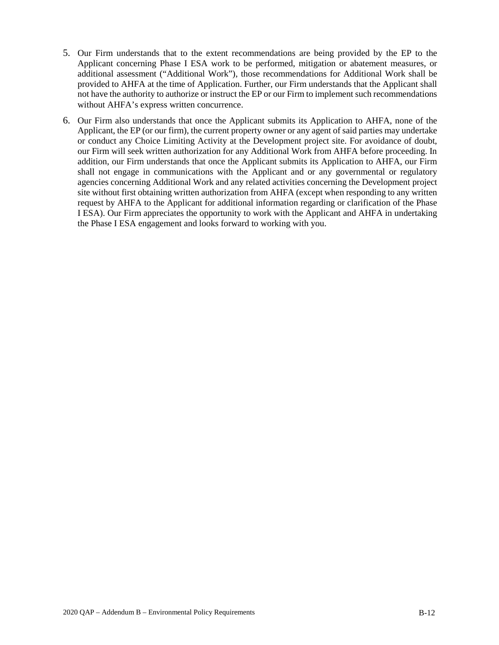- 5. Our Firm understands that to the extent recommendations are being provided by the EP to the Applicant concerning Phase I ESA work to be performed, mitigation or abatement measures, or additional assessment ("Additional Work"), those recommendations for Additional Work shall be provided to AHFA at the time of Application. Further, our Firm understands that the Applicant shall not have the authority to authorize or instruct the EP or our Firm to implement such recommendations without AHFA's express written concurrence.
- 6. Our Firm also understands that once the Applicant submits its Application to AHFA, none of the Applicant, the EP (or our firm), the current property owner or any agent of said parties may undertake or conduct any Choice Limiting Activity at the Development project site. For avoidance of doubt, our Firm will seek written authorization for any Additional Work from AHFA before proceeding. In addition, our Firm understands that once the Applicant submits its Application to AHFA, our Firm shall not engage in communications with the Applicant and or any governmental or regulatory agencies concerning Additional Work and any related activities concerning the Development project site without first obtaining written authorization from AHFA (except when responding to any written request by AHFA to the Applicant for additional information regarding or clarification of the Phase I ESA). Our Firm appreciates the opportunity to work with the Applicant and AHFA in undertaking the Phase I ESA engagement and looks forward to working with you.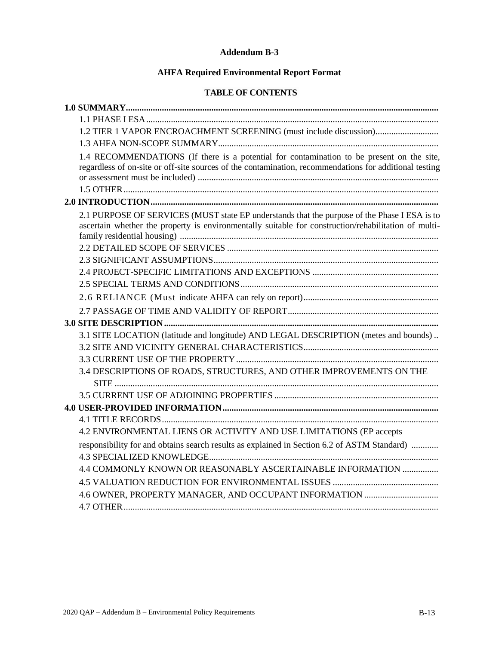### **Addendum B-3**

# **AHFA Required Environmental Report Format**

# **TABLE OF CONTENTS**

| 1.2 TIER 1 VAPOR ENCROACHMENT SCREENING (must include discussion)                                                                                                                                    |
|------------------------------------------------------------------------------------------------------------------------------------------------------------------------------------------------------|
|                                                                                                                                                                                                      |
| 1.4 RECOMMENDATIONS (If there is a potential for contamination to be present on the site,<br>regardless of on-site or off-site sources of the contamination, recommendations for additional testing  |
|                                                                                                                                                                                                      |
| 2.1 PURPOSE OF SERVICES (MUST state EP understands that the purpose of the Phase I ESA is to<br>ascertain whether the property is environmentally suitable for construction/rehabilitation of multi- |
|                                                                                                                                                                                                      |
|                                                                                                                                                                                                      |
|                                                                                                                                                                                                      |
| 3.1 SITE LOCATION (latitude and longitude) AND LEGAL DESCRIPTION (metes and bounds)                                                                                                                  |
| 3.4 DESCRIPTIONS OF ROADS, STRUCTURES, AND OTHER IMPROVEMENTS ON THE                                                                                                                                 |
|                                                                                                                                                                                                      |
|                                                                                                                                                                                                      |
| 4.2 ENVIRONMENTAL LIENS OR ACTIVITY AND USE LIMITATIONS (EP accepts                                                                                                                                  |
| responsibility for and obtains search results as explained in Section 6.2 of ASTM Standard)<br>4.4 COMMONLY KNOWN OR REASONABLY ASCERTAINABLE INFORMATION                                            |
|                                                                                                                                                                                                      |
|                                                                                                                                                                                                      |
|                                                                                                                                                                                                      |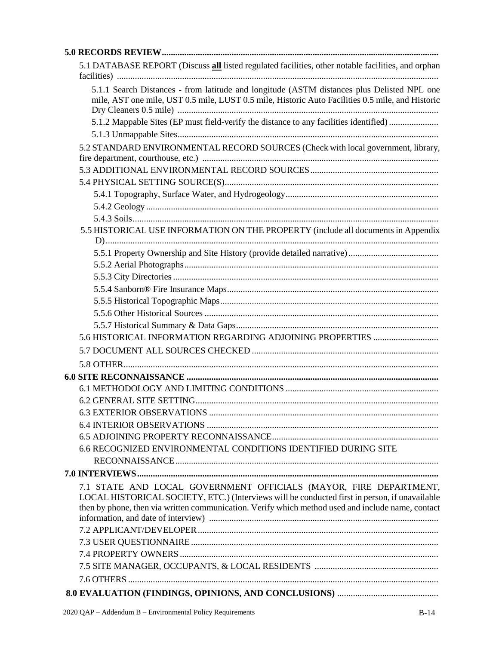| 5.1 DATABASE REPORT (Discuss all listed regulated facilities, other notable facilities, and orphan                                                                                                 |
|----------------------------------------------------------------------------------------------------------------------------------------------------------------------------------------------------|
| 5.1.1 Search Distances - from latitude and longitude (ASTM distances plus Delisted NPL one<br>mile, AST one mile, UST 0.5 mile, LUST 0.5 mile, Historic Auto Facilities 0.5 mile, and Historic     |
| 5.1.2 Mappable Sites (EP must field-verify the distance to any facilities identified)                                                                                                              |
| 5.2 STANDARD ENVIRONMENTAL RECORD SOURCES (Check with local government, library,                                                                                                                   |
|                                                                                                                                                                                                    |
|                                                                                                                                                                                                    |
| 5.5 HISTORICAL USE INFORMATION ON THE PROPERTY (include all documents in Appendix                                                                                                                  |
|                                                                                                                                                                                                    |
|                                                                                                                                                                                                    |
|                                                                                                                                                                                                    |
|                                                                                                                                                                                                    |
|                                                                                                                                                                                                    |
|                                                                                                                                                                                                    |
| 5.6 HISTORICAL INFORMATION REGARDING ADJOINING PROPERTIES                                                                                                                                          |
|                                                                                                                                                                                                    |
|                                                                                                                                                                                                    |
|                                                                                                                                                                                                    |
|                                                                                                                                                                                                    |
|                                                                                                                                                                                                    |
|                                                                                                                                                                                                    |
|                                                                                                                                                                                                    |
|                                                                                                                                                                                                    |
| 6.6 RECOGNIZED ENVIRONMENTAL CONDITIONS IDENTIFIED DURING SITE                                                                                                                                     |
|                                                                                                                                                                                                    |
|                                                                                                                                                                                                    |
| 7.1 STATE AND LOCAL GOVERNMENT OFFICIALS (MAYOR, FIRE DEPARTMENT,                                                                                                                                  |
| LOCAL HISTORICAL SOCIETY, ETC.) (Interviews will be conducted first in person, if unavailable<br>then by phone, then via written communication. Verify which method used and include name, contact |
|                                                                                                                                                                                                    |
|                                                                                                                                                                                                    |
|                                                                                                                                                                                                    |
|                                                                                                                                                                                                    |
|                                                                                                                                                                                                    |
|                                                                                                                                                                                                    |
|                                                                                                                                                                                                    |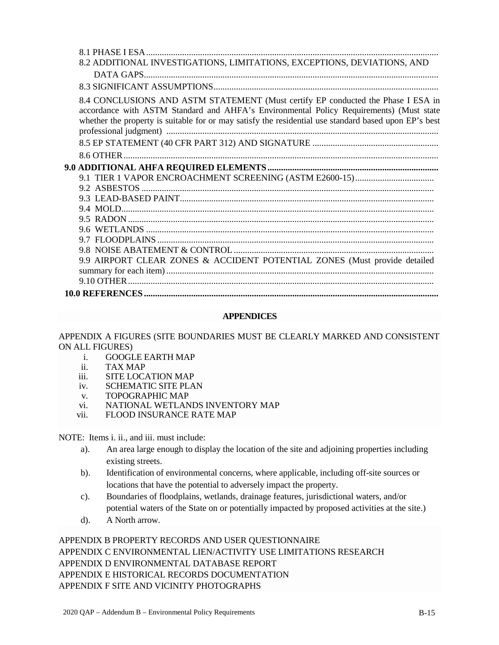| 8.2 ADDITIONAL INVESTIGATIONS, LIMITATIONS, EXCEPTIONS, DEVIATIONS, AND                                                                                                                                                                                                              |
|--------------------------------------------------------------------------------------------------------------------------------------------------------------------------------------------------------------------------------------------------------------------------------------|
|                                                                                                                                                                                                                                                                                      |
|                                                                                                                                                                                                                                                                                      |
| 8.4 CONCLUSIONS AND ASTM STATEMENT (Must certify EP conducted the Phase I ESA in<br>accordance with ASTM Standard and AHFA's Environmental Policy Requirements) (Must state<br>whether the property is suitable for or may satisfy the residential use standard based upon EP's best |
|                                                                                                                                                                                                                                                                                      |
|                                                                                                                                                                                                                                                                                      |
|                                                                                                                                                                                                                                                                                      |
|                                                                                                                                                                                                                                                                                      |
|                                                                                                                                                                                                                                                                                      |
|                                                                                                                                                                                                                                                                                      |
|                                                                                                                                                                                                                                                                                      |
|                                                                                                                                                                                                                                                                                      |
|                                                                                                                                                                                                                                                                                      |
|                                                                                                                                                                                                                                                                                      |
|                                                                                                                                                                                                                                                                                      |
| 9.9 AIRPORT CLEAR ZONES & ACCIDENT POTENTIAL ZONES (Must provide detailed                                                                                                                                                                                                            |
|                                                                                                                                                                                                                                                                                      |
|                                                                                                                                                                                                                                                                                      |
|                                                                                                                                                                                                                                                                                      |

## **APPENDICES**

## APPENDIX A FIGURES (SITE BOUNDARIES MUST BE CLEARLY MARKED AND CONSISTENT ON ALL FIGURES)

- i. GOOGLE EARTH MAP
- ii. TAX MAP
- iii. SITE LOCATION MAP
- iv. SCHEMATIC SITE PLAN
- v. TOPOGRAPHIC MAP
- vi. NATIONAL WETLANDS INVENTORY MAP
- vii. FLOOD INSURANCE RATE MAP

NOTE: Items i. ii., and iii. must include:

- a). An area large enough to display the location of the site and adjoining properties including existing streets.
- b). Identification of environmental concerns, where applicable, including off-site sources or locations that have the potential to adversely impact the property.
- c). Boundaries of floodplains, wetlands, drainage features, jurisdictional waters, and/or potential waters of the State on or potentially impacted by proposed activities at the site.)
- d). A North arrow.

# APPENDIX B PROPERTY RECORDS AND USER QUESTIONNAIRE APPENDIX C ENVIRONMENTAL LIEN/ACTIVITY USE LIMITATIONS RESEARCH APPENDIX D ENVIRONMENTAL DATABASE REPORT APPENDIX E HISTORICAL RECORDS DOCUMENTATION APPENDIX F SITE AND VICINITY PHOTOGRAPHS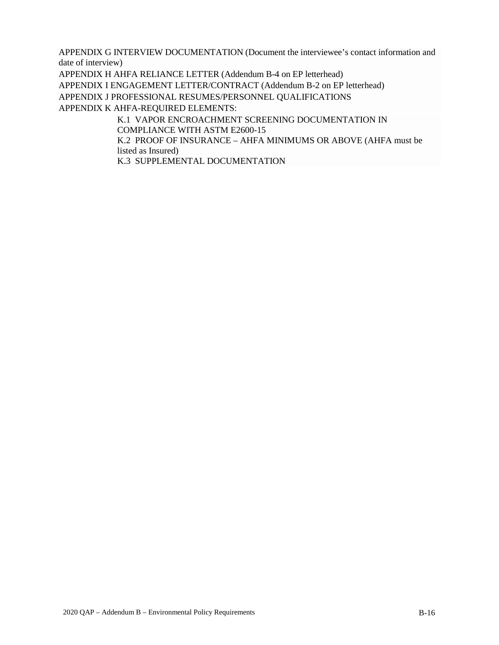APPENDIX G INTERVIEW DOCUMENTATION (Document the interviewee's contact information and date of interview)

APPENDIX H AHFA RELIANCE LETTER (Addendum B-4 on EP letterhead)

APPENDIX I ENGAGEMENT LETTER/CONTRACT (Addendum B-2 on EP letterhead)

APPENDIX J PROFESSIONAL RESUMES/PERSONNEL QUALIFICATIONS

APPENDIX K AHFA-REQUIRED ELEMENTS:

K.1 VAPOR ENCROACHMENT SCREENING DOCUMENTATION IN COMPLIANCE WITH ASTM E2600-15

K.2 PROOF OF INSURANCE – AHFA MINIMUMS OR ABOVE (AHFA must be listed as Insured)

K.3 SUPPLEMENTAL DOCUMENTATION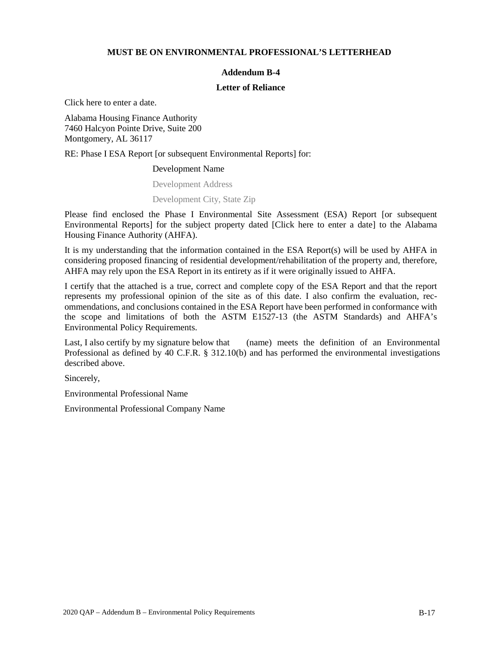#### **MUST BE ON ENVIRONMENTAL PROFESSIONAL'S LETTERHEAD**

### **Addendum B-4**

#### **Letter of Reliance**

Click here to enter a date.

Alabama Housing Finance Authority 7460 Halcyon Pointe Drive, Suite 200 Montgomery, AL 36117

RE: Phase I ESA Report [or subsequent Environmental Reports] for:

#### Development Name

Development Address

#### Development City, State Zip

Please find enclosed the Phase I Environmental Site Assessment (ESA) Report [or subsequent Environmental Reports] for the subject property dated [Click here to enter a date] to the Alabama Housing Finance Authority (AHFA).

It is my understanding that the information contained in the ESA Report(s) will be used by AHFA in considering proposed financing of residential development/rehabilitation of the property and, therefore, AHFA may rely upon the ESA Report in its entirety as if it were originally issued to AHFA.

I certify that the attached is a true, correct and complete copy of the ESA Report and that the report represents my professional opinion of the site as of this date. I also confirm the evaluation, recommendations, and conclusions contained in the ESA Report have been performed in conformance with the scope and limitations of both the ASTM E1527-13 (the ASTM Standards) and AHFA's Environmental Policy Requirements.

Last, I also certify by my signature below that (name) meets the definition of an Environmental Professional as defined by 40 C.F.R. § 312.10(b) and has performed the environmental investigations described above.

Sincerely,

Environmental Professional Name

Environmental Professional Company Name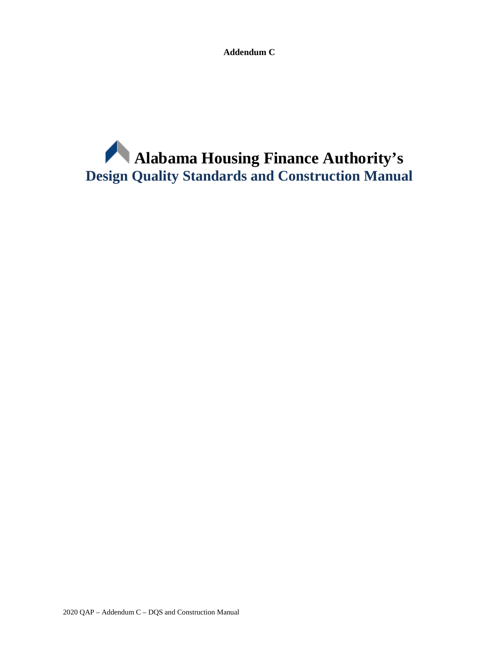**Addendum C**

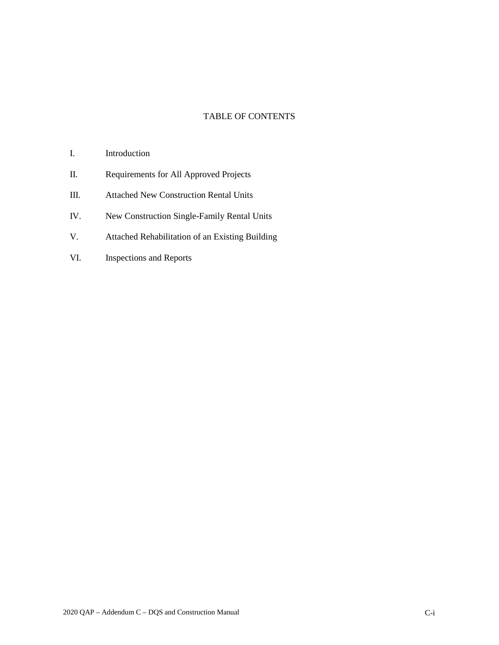## TABLE OF CONTENTS

- I. Introduction
- II. Requirements for All Approved Projects
- III. Attached New Construction Rental Units
- IV. New Construction Single-Family Rental Units
- V. Attached Rehabilitation of an Existing Building
- VI. Inspections and Reports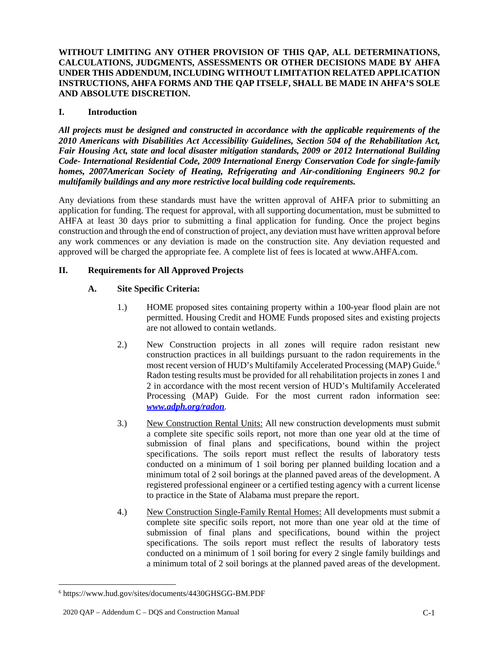**WITHOUT LIMITING ANY OTHER PROVISION OF THIS QAP, ALL DETERMINATIONS, CALCULATIONS, JUDGMENTS, ASSESSMENTS OR OTHER DECISIONS MADE BY AHFA UNDER THIS ADDENDUM, INCLUDING WITHOUT LIMITATION RELATED APPLICATION INSTRUCTIONS, AHFA FORMS AND THE QAP ITSELF, SHALL BE MADE IN AHFA'S SOLE AND ABSOLUTE DISCRETION.**

## **I. Introduction**

*All projects must be designed and constructed in accordance with the applicable requirements of the 2010 Americans with Disabilities Act Accessibility Guidelines, Section 504 of the Rehabilitation Act, Fair Housing Act, state and local disaster mitigation standards, 2009 or 2012 International Building Code- International Residential Code, 2009 International Energy Conservation Code for single-family homes, 2007American Society of Heating, Refrigerating and Air-conditioning Engineers 90.2 for multifamily buildings and any more restrictive local building code requirements.*

Any deviations from these standards must have the written approval of AHFA prior to submitting an application for funding. The request for approval, with all supporting documentation, must be submitted to AHFA at least 30 days prior to submitting a final application for funding. Once the project begins construction and through the end of construction of project, any deviation must have written approval before any work commences or any deviation is made on the construction site. Any deviation requested and approved will be charged the appropriate fee. A complete list of fees is located at www.AHFA.com.

## **II. Requirements for All Approved Projects**

# **A. Site Specific Criteria:**

- 1.) HOME proposed sites containing property within a 100-year flood plain are not permitted. Housing Credit and HOME Funds proposed sites and existing projects are not allowed to contain wetlands.
- 2.) New Construction projects in all zones will require radon resistant new construction practices in all buildings pursuant to the radon requirements in the most recent version of HUD's Multifamily Accelerated Processing (MAP) Guide.<sup>[6](#page-60-0)</sup> Radon testing results must be provided for all rehabilitation projects in zones 1 and 2 in accordance with the most recent version of HUD's Multifamily Accelerated Processing (MAP) Guide. For the most current radon information see: *www.adph.org/radon.*
- 3.) New Construction Rental Units: All new construction developments must submit a complete site specific soils report, not more than one year old at the time of submission of final plans and specifications, bound within the project specifications. The soils report must reflect the results of laboratory tests conducted on a minimum of 1 soil boring per planned building location and a minimum total of 2 soil borings at the planned paved areas of the development. A registered professional engineer or a certified testing agency with a current license to practice in the State of Alabama must prepare the report.
- 4.) New Construction Single-Family Rental Homes: All developments must submit a complete site specific soils report, not more than one year old at the time of submission of final plans and specifications, bound within the project specifications. The soils report must reflect the results of laboratory tests conducted on a minimum of 1 soil boring for every 2 single family buildings and a minimum total of 2 soil borings at the planned paved areas of the development.

<span id="page-60-0"></span> <sup>6</sup> https://www.hud.gov/sites/documents/4430GHSGG-BM.PDF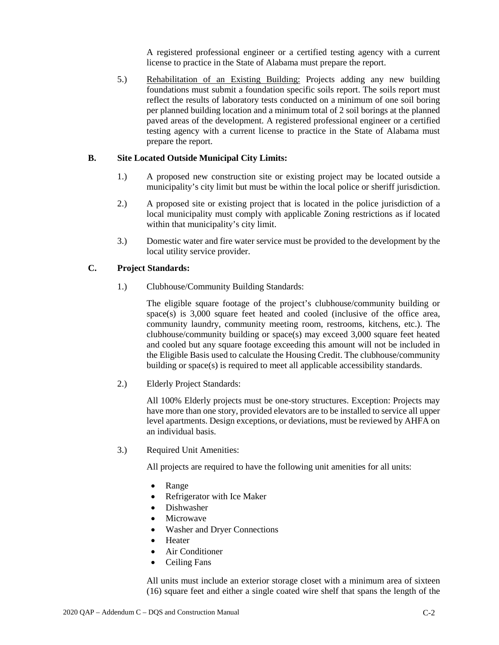A registered professional engineer or a certified testing agency with a current license to practice in the State of Alabama must prepare the report.

5.) Rehabilitation of an Existing Building: Projects adding any new building foundations must submit a foundation specific soils report. The soils report must reflect the results of laboratory tests conducted on a minimum of one soil boring per planned building location and a minimum total of 2 soil borings at the planned paved areas of the development. A registered professional engineer or a certified testing agency with a current license to practice in the State of Alabama must prepare the report.

## **B. Site Located Outside Municipal City Limits:**

- 1.) A proposed new construction site or existing project may be located outside a municipality's city limit but must be within the local police or sheriff jurisdiction.
- 2.) A proposed site or existing project that is located in the police jurisdiction of a local municipality must comply with applicable Zoning restrictions as if located within that municipality's city limit.
- 3.) Domestic water and fire water service must be provided to the development by the local utility service provider.

## **C. Project Standards:**

1.) Clubhouse/Community Building Standards:

The eligible square footage of the project's clubhouse/community building or space(s) is 3,000 square feet heated and cooled (inclusive of the office area, community laundry, community meeting room, restrooms, kitchens, etc.). The clubhouse/community building or space(s) may exceed 3,000 square feet heated and cooled but any square footage exceeding this amount will not be included in the Eligible Basis used to calculate the Housing Credit. The clubhouse/community building or space(s) is required to meet all applicable accessibility standards.

2.) Elderly Project Standards:

All 100% Elderly projects must be one-story structures. Exception: Projects may have more than one story, provided elevators are to be installed to service all upper level apartments. Design exceptions, or deviations, must be reviewed by AHFA on an individual basis.

3.) Required Unit Amenities:

All projects are required to have the following unit amenities for all units:

- Range
- Refrigerator with Ice Maker
- Dishwasher
- **Microwave**
- Washer and Dryer Connections
- Heater
- Air Conditioner
- Ceiling Fans

All units must include an exterior storage closet with a minimum area of sixteen (16) square feet and either a single coated wire shelf that spans the length of the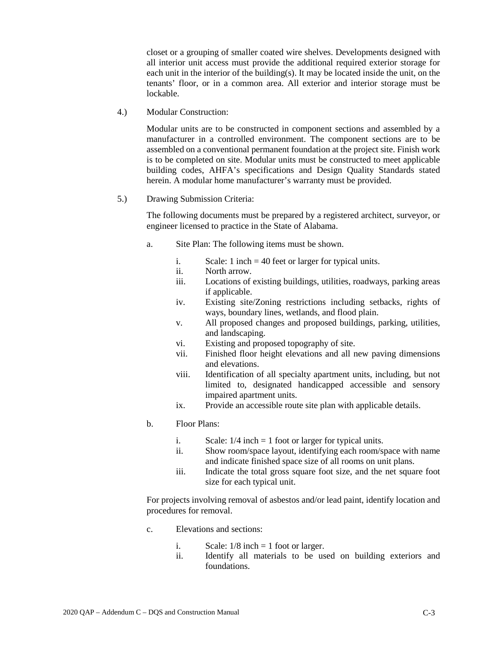closet or a grouping of smaller coated wire shelves. Developments designed with all interior unit access must provide the additional required exterior storage for each unit in the interior of the building(s). It may be located inside the unit, on the tenants' floor, or in a common area. All exterior and interior storage must be lockable.

4.) Modular Construction:

Modular units are to be constructed in component sections and assembled by a manufacturer in a controlled environment. The component sections are to be assembled on a conventional permanent foundation at the project site. Finish work is to be completed on site. Modular units must be constructed to meet applicable building codes, AHFA's specifications and Design Quality Standards stated herein. A modular home manufacturer's warranty must be provided.

5.) Drawing Submission Criteria:

The following documents must be prepared by a registered architect, surveyor, or engineer licensed to practice in the State of Alabama.

- a. Site Plan: The following items must be shown.
	- i. Scale: 1 inch = 40 feet or larger for typical units.
	- ii. North arrow.
	- iii. Locations of existing buildings, utilities, roadways, parking areas if applicable.
	- iv. Existing site/Zoning restrictions including setbacks, rights of ways, boundary lines, wetlands, and flood plain.
	- v. All proposed changes and proposed buildings, parking, utilities, and landscaping.
	- vi. Existing and proposed topography of site.
	- vii. Finished floor height elevations and all new paving dimensions and elevations.
	- viii. Identification of all specialty apartment units, including, but not limited to, designated handicapped accessible and sensory impaired apartment units.
	- ix. Provide an accessible route site plan with applicable details.
- b. Floor Plans:
	- i. Scale:  $1/4$  inch = 1 foot or larger for typical units.
	- ii. Show room/space layout, identifying each room/space with name and indicate finished space size of all rooms on unit plans.
	- iii. Indicate the total gross square foot size, and the net square foot size for each typical unit.

For projects involving removal of asbestos and/or lead paint, identify location and procedures for removal.

- c. Elevations and sections:
	- i. Scale:  $1/8$  inch = 1 foot or larger.
	- ii. Identify all materials to be used on building exteriors and foundations.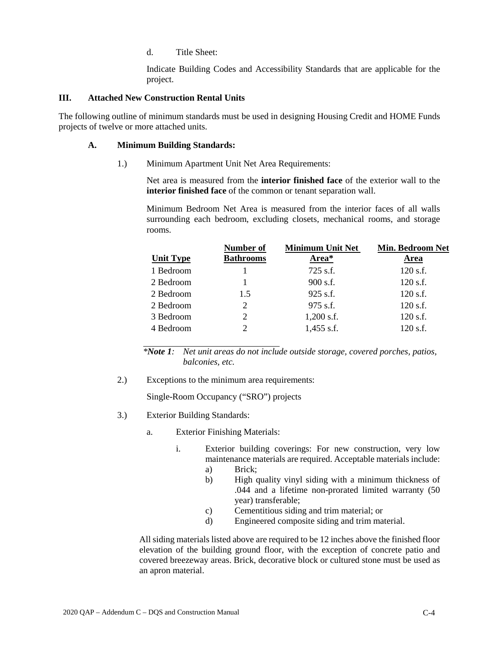d. Title Sheet:

Indicate Building Codes and Accessibility Standards that are applicable for the project.

### **III. Attached New Construction Rental Units**

The following outline of minimum standards must be used in designing Housing Credit and HOME Funds projects of twelve or more attached units.

### **A. Minimum Building Standards:**

1.) Minimum Apartment Unit Net Area Requirements:

Net area is measured from the **interior finished face** of the exterior wall to the **interior finished face** of the common or tenant separation wall.

Minimum Bedroom Net Area is measured from the interior faces of all walls surrounding each bedroom, excluding closets, mechanical rooms, and storage rooms.

|                  | Number of        | <b>Minimum Unit Net</b> | <b>Min. Bedroom Net</b> |
|------------------|------------------|-------------------------|-------------------------|
| <b>Unit Type</b> | <b>Bathrooms</b> | Area*                   | Area                    |
| 1 Bedroom        |                  | $725$ s.f.              | 120 s.f.                |
| 2 Bedroom        |                  | $900$ s.f.              | 120 s.f.                |
| 2 Bedroom        | 1.5              | $925$ s.f.              | $120$ s.f.              |
| 2 Bedroom        | 2                | 975 s.f.                | 120 s.f.                |
| 3 Bedroom        | 2                | $1,200$ s.f.            | 120 s.f.                |
| 4 Bedroom        | 2                | $1,455$ s.f.            | 120 s.f.                |

*\*Note 1: Net unit areas do not include outside storage, covered porches, patios, balconies, etc.*

2.) Exceptions to the minimum area requirements:

Single-Room Occupancy ("SRO") projects

- 3.) Exterior Building Standards:
	- a. Exterior Finishing Materials:
		- i. Exterior building coverings: For new construction, very low maintenance materials are required. Acceptable materials include:
			- a) Brick;
			- b) High quality vinyl siding with a minimum thickness of .044 and a lifetime non-prorated limited warranty (50 year) transferable;
			- c) Cementitious siding and trim material; or
			- d) Engineered composite siding and trim material.

All siding materials listed above are required to be 12 inches above the finished floor elevation of the building ground floor, with the exception of concrete patio and covered breezeway areas. Brick, decorative block or cultured stone must be used as an apron material.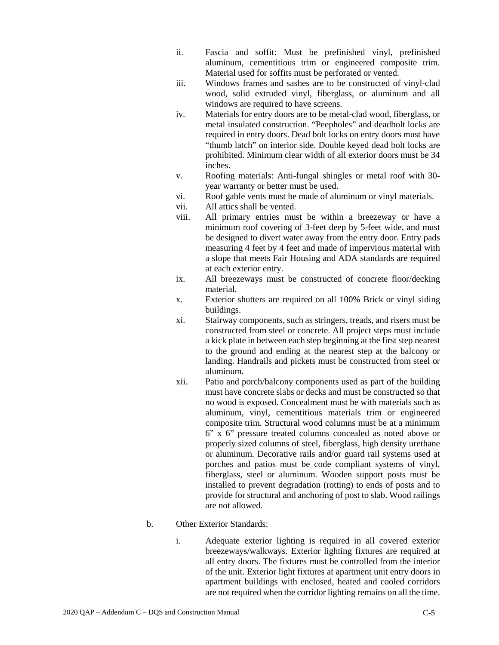- ii. Fascia and soffit: Must be prefinished vinyl, prefinished aluminum, cementitious trim or engineered composite trim. Material used for soffits must be perforated or vented.
- iii. Windows frames and sashes are to be constructed of vinyl-clad wood, solid extruded vinyl, fiberglass, or aluminum and all windows are required to have screens.
- iv. Materials for entry doors are to be metal-clad wood, fiberglass, or metal insulated construction. "Peepholes" and deadbolt locks are required in entry doors. Dead bolt locks on entry doors must have "thumb latch" on interior side. Double keyed dead bolt locks are prohibited. Minimum clear width of all exterior doors must be 34 inches.
- v. Roofing materials: Anti-fungal shingles or metal roof with 30 year warranty or better must be used.
- vi. Roof gable vents must be made of aluminum or vinyl materials.
- vii. All attics shall be vented.
- viii. All primary entries must be within a breezeway or have a minimum roof covering of 3-feet deep by 5-feet wide, and must be designed to divert water away from the entry door. Entry pads measuring 4 feet by 4 feet and made of impervious material with a slope that meets Fair Housing and ADA standards are required at each exterior entry.
- ix. All breezeways must be constructed of concrete floor/decking material.
- x. Exterior shutters are required on all 100% Brick or vinyl siding buildings.
- xi. Stairway components, such as stringers, treads, and risers must be constructed from steel or concrete. All project steps must include a kick plate in between each step beginning at the first step nearest to the ground and ending at the nearest step at the balcony or landing. Handrails and pickets must be constructed from steel or aluminum.
- xii. Patio and porch/balcony components used as part of the building must have concrete slabs or decks and must be constructed so that no wood is exposed. Concealment must be with materials such as aluminum, vinyl, cementitious materials trim or engineered composite trim. Structural wood columns must be at a minimum 6" x 6" pressure treated columns concealed as noted above or properly sized columns of steel, fiberglass, high density urethane or aluminum. Decorative rails and/or guard rail systems used at porches and patios must be code compliant systems of vinyl, fiberglass, steel or aluminum. Wooden support posts must be installed to prevent degradation (rotting) to ends of posts and to provide for structural and anchoring of post to slab. Wood railings are not allowed.

# b. Other Exterior Standards:

i. Adequate exterior lighting is required in all covered exterior breezeways/walkways. Exterior lighting fixtures are required at all entry doors. The fixtures must be controlled from the interior of the unit. Exterior light fixtures at apartment unit entry doors in apartment buildings with enclosed, heated and cooled corridors are not required when the corridor lighting remains on all the time.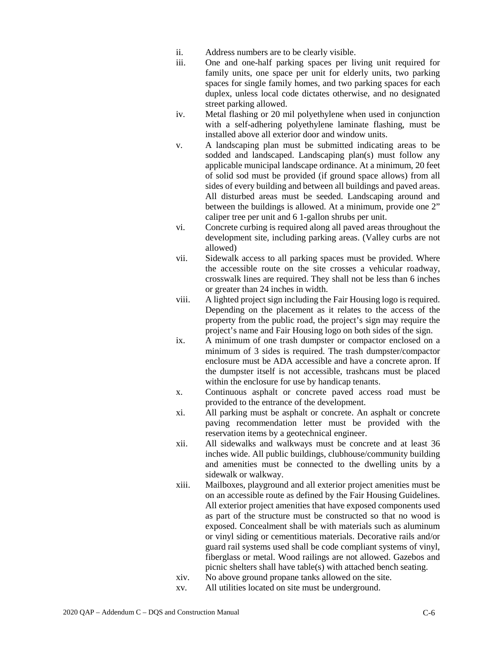- ii. Address numbers are to be clearly visible.
- iii. One and one-half parking spaces per living unit required for family units, one space per unit for elderly units, two parking spaces for single family homes, and two parking spaces for each duplex, unless local code dictates otherwise, and no designated street parking allowed.
- iv. Metal flashing or 20 mil polyethylene when used in conjunction with a self-adhering polyethylene laminate flashing, must be installed above all exterior door and window units.
- v. A landscaping plan must be submitted indicating areas to be sodded and landscaped. Landscaping plan(s) must follow any applicable municipal landscape ordinance. At a minimum, 20 feet of solid sod must be provided (if ground space allows) from all sides of every building and between all buildings and paved areas. All disturbed areas must be seeded. Landscaping around and between the buildings is allowed. At a minimum, provide one 2" caliper tree per unit and 6 1-gallon shrubs per unit.
- vi. Concrete curbing is required along all paved areas throughout the development site, including parking areas. (Valley curbs are not allowed)
- vii. Sidewalk access to all parking spaces must be provided. Where the accessible route on the site crosses a vehicular roadway, crosswalk lines are required. They shall not be less than 6 inches or greater than 24 inches in width.
- viii. A lighted project sign including the Fair Housing logo is required. Depending on the placement as it relates to the access of the property from the public road, the project's sign may require the project's name and Fair Housing logo on both sides of the sign.
- ix. A minimum of one trash dumpster or compactor enclosed on a minimum of 3 sides is required. The trash dumpster/compactor enclosure must be ADA accessible and have a concrete apron. If the dumpster itself is not accessible, trashcans must be placed within the enclosure for use by handicap tenants.
- x. Continuous asphalt or concrete paved access road must be provided to the entrance of the development.
- xi. All parking must be asphalt or concrete. An asphalt or concrete paving recommendation letter must be provided with the reservation items by a geotechnical engineer.
- xii. All sidewalks and walkways must be concrete and at least 36 inches wide. All public buildings, clubhouse/community building and amenities must be connected to the dwelling units by a sidewalk or walkway.
- xiii. Mailboxes, playground and all exterior project amenities must be on an accessible route as defined by the Fair Housing Guidelines. All exterior project amenities that have exposed components used as part of the structure must be constructed so that no wood is exposed. Concealment shall be with materials such as aluminum or vinyl siding or cementitious materials. Decorative rails and/or guard rail systems used shall be code compliant systems of vinyl, fiberglass or metal. Wood railings are not allowed. Gazebos and picnic shelters shall have table(s) with attached bench seating.
- xiv. No above ground propane tanks allowed on the site.
- xv. All utilities located on site must be underground.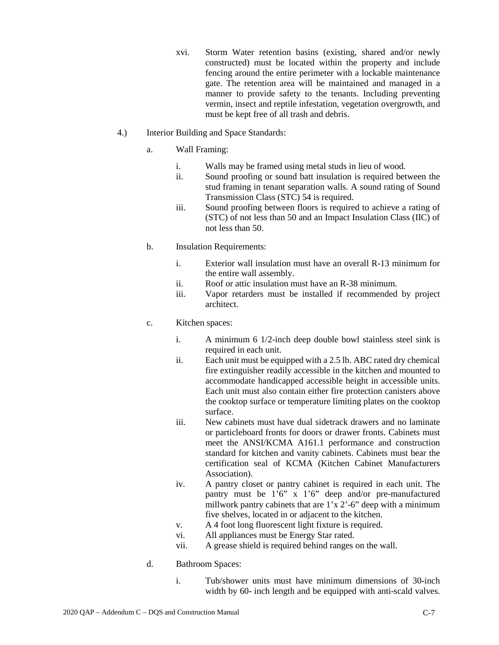- xvi. Storm Water retention basins (existing, shared and/or newly constructed) must be located within the property and include fencing around the entire perimeter with a lockable maintenance gate. The retention area will be maintained and managed in a manner to provide safety to the tenants. Including preventing vermin, insect and reptile infestation, vegetation overgrowth, and must be kept free of all trash and debris.
- 4.) Interior Building and Space Standards:
	- a. Wall Framing:
		- i. Walls may be framed using metal studs in lieu of wood.
		- ii. Sound proofing or sound batt insulation is required between the stud framing in tenant separation walls. A sound rating of Sound Transmission Class (STC) 54 is required.
		- iii. Sound proofing between floors is required to achieve a rating of (STC) of not less than 50 and an Impact Insulation Class (IIC) of not less than 50.
	- b. Insulation Requirements:
		- i. Exterior wall insulation must have an overall R-13 minimum for the entire wall assembly.
		- ii. Roof or attic insulation must have an R-38 minimum.
		- iii. Vapor retarders must be installed if recommended by project architect.
	- c. Kitchen spaces:
		- i. A minimum 6 1/2-inch deep double bowl stainless steel sink is required in each unit.
		- ii. Each unit must be equipped with a 2.5 lb. ABC rated dry chemical fire extinguisher readily accessible in the kitchen and mounted to accommodate handicapped accessible height in accessible units. Each unit must also contain either fire protection canisters above the cooktop surface or temperature limiting plates on the cooktop surface.
		- iii. New cabinets must have dual sidetrack drawers and no laminate or particleboard fronts for doors or drawer fronts. Cabinets must meet the ANSI/KCMA A161.1 performance and construction standard for kitchen and vanity cabinets. Cabinets must bear the certification seal of KCMA (Kitchen Cabinet Manufacturers Association).
		- iv. A pantry closet or pantry cabinet is required in each unit. The pantry must be 1'6" x 1'6" deep and/or pre-manufactured millwork pantry cabinets that are 1'x 2'-6" deep with a minimum five shelves, located in or adjacent to the kitchen.
		- v. A 4 foot long fluorescent light fixture is required.
		- vi. All appliances must be Energy Star rated.
		- vii. A grease shield is required behind ranges on the wall.
	- d. Bathroom Spaces:
		- i. Tub/shower units must have minimum dimensions of 30-inch width by 60- inch length and be equipped with anti-scald valves.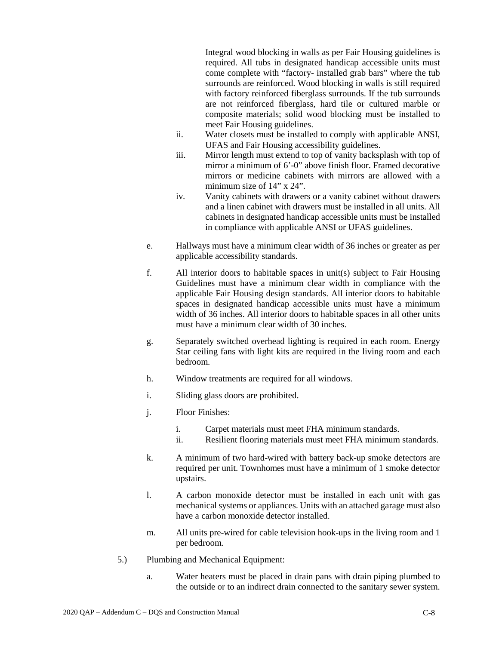Integral wood blocking in walls as per Fair Housing guidelines is required. All tubs in designated handicap accessible units must come complete with "factory- installed grab bars" where the tub surrounds are reinforced. Wood blocking in walls is still required with factory reinforced fiberglass surrounds. If the tub surrounds are not reinforced fiberglass, hard tile or cultured marble or composite materials; solid wood blocking must be installed to meet Fair Housing guidelines.

- ii. Water closets must be installed to comply with applicable ANSI, UFAS and Fair Housing accessibility guidelines.
- iii. Mirror length must extend to top of vanity backsplash with top of mirror a minimum of 6'-0" above finish floor. Framed decorative mirrors or medicine cabinets with mirrors are allowed with a minimum size of 14" x 24".
- iv. Vanity cabinets with drawers or a vanity cabinet without drawers and a linen cabinet with drawers must be installed in all units. All cabinets in designated handicap accessible units must be installed in compliance with applicable ANSI or UFAS guidelines.
- e. Hallways must have a minimum clear width of 36 inches or greater as per applicable accessibility standards.
- f. All interior doors to habitable spaces in unit(s) subject to Fair Housing Guidelines must have a minimum clear width in compliance with the applicable Fair Housing design standards. All interior doors to habitable spaces in designated handicap accessible units must have a minimum width of 36 inches. All interior doors to habitable spaces in all other units must have a minimum clear width of 30 inches.
- g. Separately switched overhead lighting is required in each room. Energy Star ceiling fans with light kits are required in the living room and each bedroom.
- h. Window treatments are required for all windows.
- i. Sliding glass doors are prohibited.
- j. Floor Finishes:
	- i. Carpet materials must meet FHA minimum standards.
	- ii. Resilient flooring materials must meet FHA minimum standards.
- k. A minimum of two hard-wired with battery back-up smoke detectors are required per unit. Townhomes must have a minimum of 1 smoke detector upstairs.
- l. A carbon monoxide detector must be installed in each unit with gas mechanical systems or appliances. Units with an attached garage must also have a carbon monoxide detector installed.
- m. All units pre-wired for cable television hook-ups in the living room and 1 per bedroom.
- 5.) Plumbing and Mechanical Equipment:
	- a. Water heaters must be placed in drain pans with drain piping plumbed to the outside or to an indirect drain connected to the sanitary sewer system.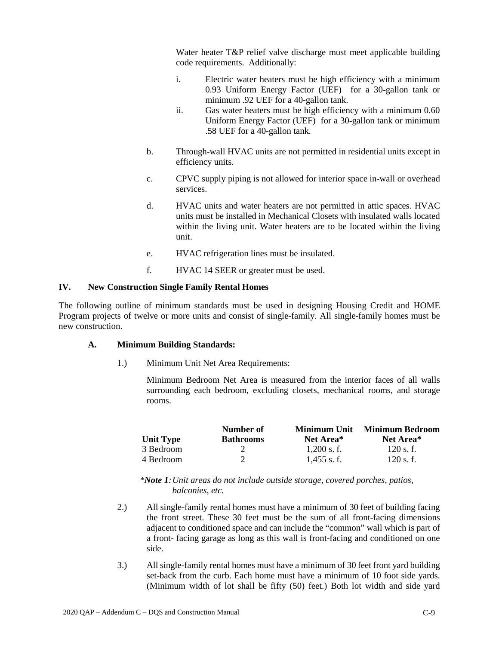Water heater T&P relief valve discharge must meet applicable building code requirements. Additionally:

- i. Electric water heaters must be high efficiency with a minimum 0.93 Uniform Energy Factor (UEF) for a 30-gallon tank or minimum .92 UEF for a 40-gallon tank.
- ii. Gas water heaters must be high efficiency with a minimum 0.60 Uniform Energy Factor (UEF) for a 30-gallon tank or minimum .58 UEF for a 40-gallon tank.
- b. Through-wall HVAC units are not permitted in residential units except in efficiency units.
- c. CPVC supply piping is not allowed for interior space in-wall or overhead services.
- d. HVAC units and water heaters are not permitted in attic spaces. HVAC units must be installed in Mechanical Closets with insulated walls located within the living unit. Water heaters are to be located within the living unit.
- e. HVAC refrigeration lines must be insulated.
- f. HVAC 14 SEER or greater must be used.

## **IV. New Construction Single Family Rental Homes**

The following outline of minimum standards must be used in designing Housing Credit and HOME Program projects of twelve or more units and consist of single-family. All single-family homes must be new construction.

## **A. Minimum Building Standards:**

1.) Minimum Unit Net Area Requirements:

Minimum Bedroom Net Area is measured from the interior faces of all walls surrounding each bedroom, excluding closets, mechanical rooms, and storage rooms.

|                  | Number of        | Minimum Unit          | <b>Minimum Bedroom</b> |
|------------------|------------------|-----------------------|------------------------|
| <b>Unit Type</b> | <b>Bathrooms</b> | Net Area <sup>*</sup> | Net Area*              |
| 3 Bedroom        |                  | $1.200$ s. f.         | $120$ s. f.            |
| 4 Bedroom        |                  | $1.455$ s.f.          | $120$ s. f.            |

*\*Note 1:Unit areas do not include outside storage, covered porches, patios, balconies, etc.*

- 2.) All single-family rental homes must have a minimum of 30 feet of building facing the front street. These 30 feet must be the sum of all front-facing dimensions adjacent to conditioned space and can include the "common" wall which is part of a front- facing garage as long as this wall is front-facing and conditioned on one side.
- 3.) All single-family rental homes must have a minimum of 30 feet front yard building set-back from the curb. Each home must have a minimum of 10 foot side yards. (Minimum width of lot shall be fifty (50) feet.) Both lot width and side yard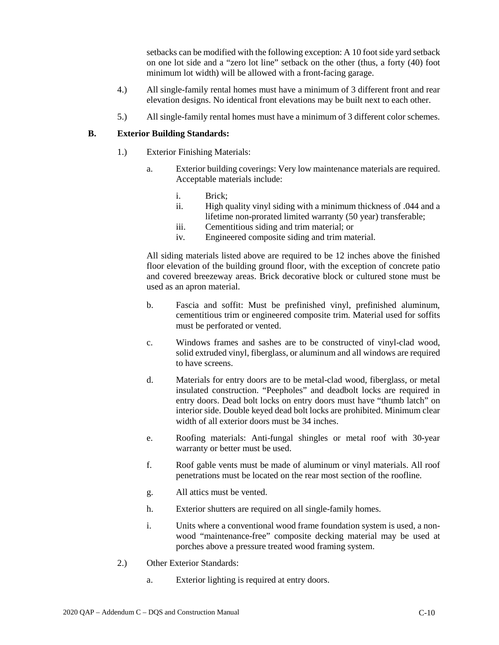setbacks can be modified with the following exception: A 10 foot side yard setback on one lot side and a "zero lot line" setback on the other (thus, a forty (40) foot minimum lot width) will be allowed with a front-facing garage.

- 4.) All single-family rental homes must have a minimum of 3 different front and rear elevation designs. No identical front elevations may be built next to each other.
- 5.) All single-family rental homes must have a minimum of 3 different color schemes.

## **B. Exterior Building Standards:**

- 1.) Exterior Finishing Materials:
	- a. Exterior building coverings: Very low maintenance materials are required. Acceptable materials include:
		- i. Brick;
		- ii. High quality vinyl siding with a minimum thickness of .044 and a lifetime non-prorated limited warranty (50 year) transferable;
		- iii. Cementitious siding and trim material; or
		- iv. Engineered composite siding and trim material.

All siding materials listed above are required to be 12 inches above the finished floor elevation of the building ground floor, with the exception of concrete patio and covered breezeway areas. Brick decorative block or cultured stone must be used as an apron material.

- b. Fascia and soffit: Must be prefinished vinyl, prefinished aluminum, cementitious trim or engineered composite trim. Material used for soffits must be perforated or vented.
- c. Windows frames and sashes are to be constructed of vinyl-clad wood, solid extruded vinyl, fiberglass, or aluminum and all windows are required to have screens.
- d. Materials for entry doors are to be metal-clad wood, fiberglass, or metal insulated construction. "Peepholes" and deadbolt locks are required in entry doors. Dead bolt locks on entry doors must have "thumb latch" on interior side. Double keyed dead bolt locks are prohibited. Minimum clear width of all exterior doors must be 34 inches.
- e. Roofing materials: Anti-fungal shingles or metal roof with 30-year warranty or better must be used.
- f. Roof gable vents must be made of aluminum or vinyl materials. All roof penetrations must be located on the rear most section of the roofline.
- g. All attics must be vented.
- h. Exterior shutters are required on all single-family homes.
- i. Units where a conventional wood frame foundation system is used, a nonwood "maintenance-free" composite decking material may be used at porches above a pressure treated wood framing system.
- 2.) Other Exterior Standards:
	- a. Exterior lighting is required at entry doors.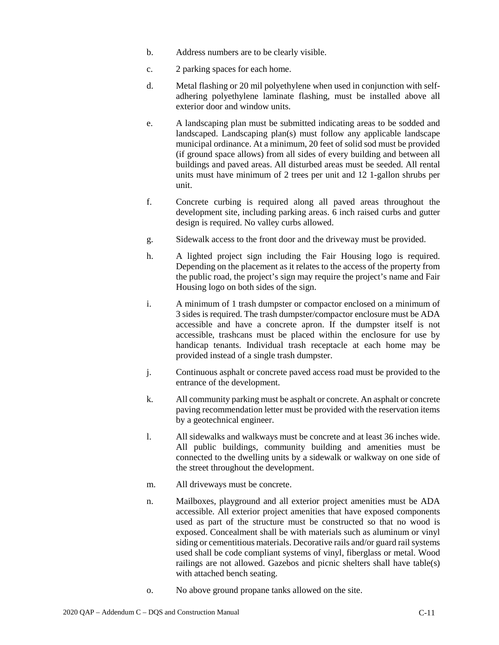- b. Address numbers are to be clearly visible.
- c. 2 parking spaces for each home.
- d. Metal flashing or 20 mil polyethylene when used in conjunction with selfadhering polyethylene laminate flashing, must be installed above all exterior door and window units.
- e. A landscaping plan must be submitted indicating areas to be sodded and landscaped. Landscaping plan(s) must follow any applicable landscape municipal ordinance. At a minimum, 20 feet of solid sod must be provided (if ground space allows) from all sides of every building and between all buildings and paved areas. All disturbed areas must be seeded. All rental units must have minimum of 2 trees per unit and 12 1-gallon shrubs per unit.
- f. Concrete curbing is required along all paved areas throughout the development site, including parking areas. 6 inch raised curbs and gutter design is required. No valley curbs allowed.
- g. Sidewalk access to the front door and the driveway must be provided.
- h. A lighted project sign including the Fair Housing logo is required. Depending on the placement as it relates to the access of the property from the public road, the project's sign may require the project's name and Fair Housing logo on both sides of the sign.
- i. A minimum of 1 trash dumpster or compactor enclosed on a minimum of 3 sides is required. The trash dumpster/compactor enclosure must be ADA accessible and have a concrete apron. If the dumpster itself is not accessible, trashcans must be placed within the enclosure for use by handicap tenants. Individual trash receptacle at each home may be provided instead of a single trash dumpster.
- j. Continuous asphalt or concrete paved access road must be provided to the entrance of the development.
- k. All community parking must be asphalt or concrete. An asphalt or concrete paving recommendation letter must be provided with the reservation items by a geotechnical engineer.
- l. All sidewalks and walkways must be concrete and at least 36 inches wide. All public buildings, community building and amenities must be connected to the dwelling units by a sidewalk or walkway on one side of the street throughout the development.
- m. All driveways must be concrete.
- n. Mailboxes, playground and all exterior project amenities must be ADA accessible. All exterior project amenities that have exposed components used as part of the structure must be constructed so that no wood is exposed. Concealment shall be with materials such as aluminum or vinyl siding or cementitious materials. Decorative rails and/or guard rail systems used shall be code compliant systems of vinyl, fiberglass or metal. Wood railings are not allowed. Gazebos and picnic shelters shall have table(s) with attached bench seating.
- o. No above ground propane tanks allowed on the site.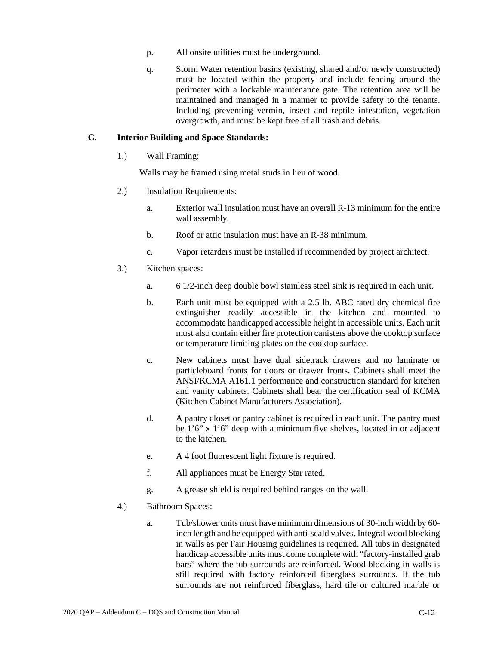- p. All onsite utilities must be underground.
- q. Storm Water retention basins (existing, shared and/or newly constructed) must be located within the property and include fencing around the perimeter with a lockable maintenance gate. The retention area will be maintained and managed in a manner to provide safety to the tenants. Including preventing vermin, insect and reptile infestation, vegetation overgrowth, and must be kept free of all trash and debris.

### **C. Interior Building and Space Standards:**

1.) Wall Framing:

Walls may be framed using metal studs in lieu of wood.

- 2.) Insulation Requirements:
	- a. Exterior wall insulation must have an overall R-13 minimum for the entire wall assembly.
	- b. Roof or attic insulation must have an R-38 minimum.
	- c. Vapor retarders must be installed if recommended by project architect.
- 3.) Kitchen spaces:
	- a. 6 1/2-inch deep double bowl stainless steel sink is required in each unit.
	- b. Each unit must be equipped with a 2.5 lb. ABC rated dry chemical fire extinguisher readily accessible in the kitchen and mounted to accommodate handicapped accessible height in accessible units. Each unit must also contain either fire protection canisters above the cooktop surface or temperature limiting plates on the cooktop surface.
	- c. New cabinets must have dual sidetrack drawers and no laminate or particleboard fronts for doors or drawer fronts. Cabinets shall meet the ANSI/KCMA A161.1 performance and construction standard for kitchen and vanity cabinets. Cabinets shall bear the certification seal of KCMA (Kitchen Cabinet Manufacturers Association).
	- d. A pantry closet or pantry cabinet is required in each unit. The pantry must be 1'6" x 1'6" deep with a minimum five shelves, located in or adjacent to the kitchen.
	- e. A 4 foot fluorescent light fixture is required.
	- f. All appliances must be Energy Star rated.
	- g. A grease shield is required behind ranges on the wall.
- 4.) Bathroom Spaces:
	- a. Tub/shower units must have minimum dimensions of 30-inch width by 60 inch length and be equipped with anti-scald valves. Integral wood blocking in walls as per Fair Housing guidelines is required. All tubs in designated handicap accessible units must come complete with "factory-installed grab bars" where the tub surrounds are reinforced. Wood blocking in walls is still required with factory reinforced fiberglass surrounds. If the tub surrounds are not reinforced fiberglass, hard tile or cultured marble or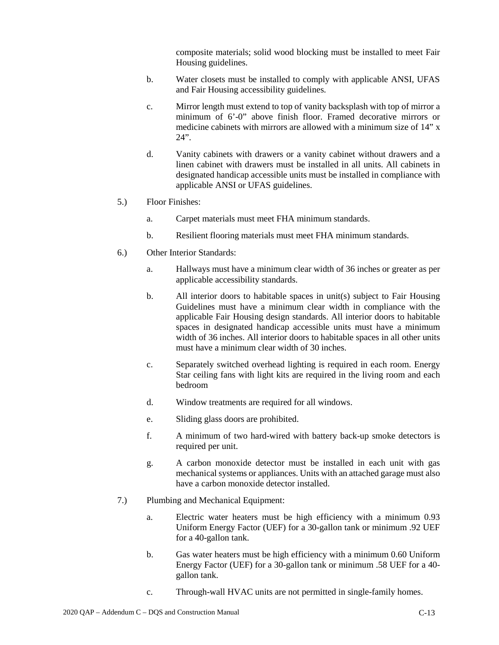composite materials; solid wood blocking must be installed to meet Fair Housing guidelines.

- b. Water closets must be installed to comply with applicable ANSI, UFAS and Fair Housing accessibility guidelines.
- c. Mirror length must extend to top of vanity backsplash with top of mirror a minimum of 6'-0" above finish floor. Framed decorative mirrors or medicine cabinets with mirrors are allowed with a minimum size of 14" x 24".
- d. Vanity cabinets with drawers or a vanity cabinet without drawers and a linen cabinet with drawers must be installed in all units. All cabinets in designated handicap accessible units must be installed in compliance with applicable ANSI or UFAS guidelines.
- 5.) Floor Finishes:
	- a. Carpet materials must meet FHA minimum standards.
	- b. Resilient flooring materials must meet FHA minimum standards.
- 6.) Other Interior Standards:
	- a. Hallways must have a minimum clear width of 36 inches or greater as per applicable accessibility standards.
	- b. All interior doors to habitable spaces in unit(s) subject to Fair Housing Guidelines must have a minimum clear width in compliance with the applicable Fair Housing design standards. All interior doors to habitable spaces in designated handicap accessible units must have a minimum width of 36 inches. All interior doors to habitable spaces in all other units must have a minimum clear width of 30 inches.
	- c. Separately switched overhead lighting is required in each room. Energy Star ceiling fans with light kits are required in the living room and each bedroom
	- d. Window treatments are required for all windows.
	- e. Sliding glass doors are prohibited.
	- f. A minimum of two hard-wired with battery back-up smoke detectors is required per unit.
	- g. A carbon monoxide detector must be installed in each unit with gas mechanical systems or appliances. Units with an attached garage must also have a carbon monoxide detector installed.
- 7.) Plumbing and Mechanical Equipment:
	- a. Electric water heaters must be high efficiency with a minimum 0.93 Uniform Energy Factor (UEF) for a 30-gallon tank or minimum .92 UEF for a 40-gallon tank.
	- b. Gas water heaters must be high efficiency with a minimum 0.60 Uniform Energy Factor (UEF) for a 30-gallon tank or minimum .58 UEF for a 40 gallon tank.
	- c. Through-wall HVAC units are not permitted in single-family homes.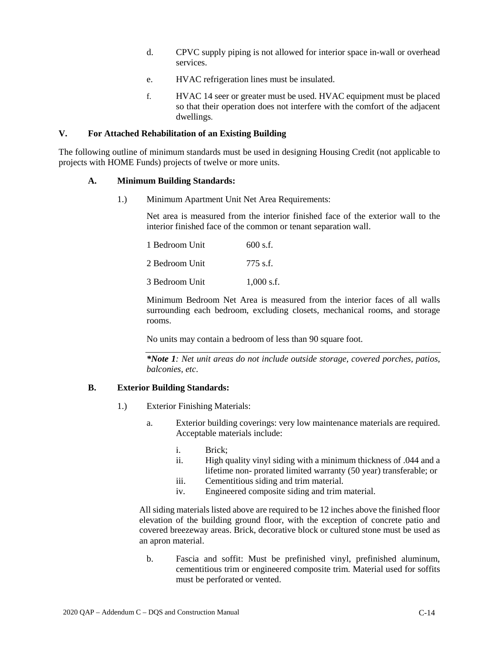- d. CPVC supply piping is not allowed for interior space in-wall or overhead services.
- e. HVAC refrigeration lines must be insulated.
- f. HVAC 14 seer or greater must be used. HVAC equipment must be placed so that their operation does not interfere with the comfort of the adjacent dwellings.

#### **V. For Attached Rehabilitation of an Existing Building**

The following outline of minimum standards must be used in designing Housing Credit (not applicable to projects with HOME Funds) projects of twelve or more units.

#### **A. Minimum Building Standards:**

1.) Minimum Apartment Unit Net Area Requirements:

Net area is measured from the interior finished face of the exterior wall to the interior finished face of the common or tenant separation wall.

| 1 Bedroom Unit | $600$ s.f.   |
|----------------|--------------|
| 2 Bedroom Unit | 775 s.f.     |
| 3 Bedroom Unit | $1.000$ s.f. |

Minimum Bedroom Net Area is measured from the interior faces of all walls surrounding each bedroom, excluding closets, mechanical rooms, and storage rooms.

No units may contain a bedroom of less than 90 square foot.

*\*Note 1: Net unit areas do not include outside storage, covered porches, patios, balconies, etc*.

### **B. Exterior Building Standards:**

- 1.) Exterior Finishing Materials:
	- a. Exterior building coverings: very low maintenance materials are required. Acceptable materials include:
		- i. Brick;
		- ii. High quality vinyl siding with a minimum thickness of .044 and a lifetime non- prorated limited warranty (50 year) transferable; or
		- iii. Cementitious siding and trim material.
		- iv. Engineered composite siding and trim material.

All siding materials listed above are required to be 12 inches above the finished floor elevation of the building ground floor, with the exception of concrete patio and covered breezeway areas. Brick, decorative block or cultured stone must be used as an apron material.

b. Fascia and soffit: Must be prefinished vinyl, prefinished aluminum, cementitious trim or engineered composite trim. Material used for soffits must be perforated or vented.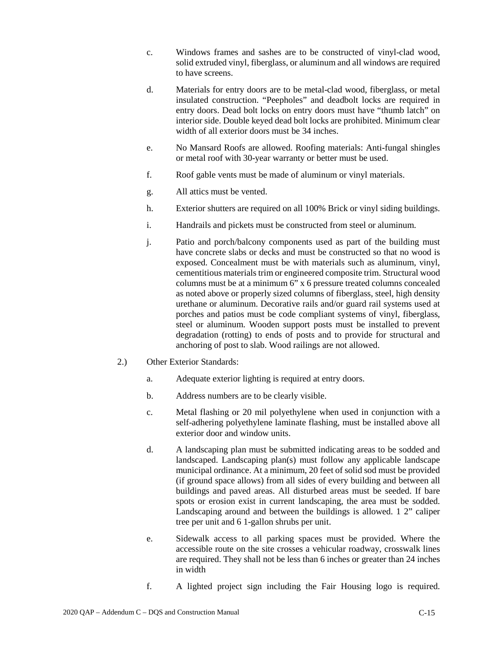- c. Windows frames and sashes are to be constructed of vinyl-clad wood, solid extruded vinyl, fiberglass, or aluminum and all windows are required to have screens.
- d. Materials for entry doors are to be metal-clad wood, fiberglass, or metal insulated construction. "Peepholes" and deadbolt locks are required in entry doors. Dead bolt locks on entry doors must have "thumb latch" on interior side. Double keyed dead bolt locks are prohibited. Minimum clear width of all exterior doors must be 34 inches.
- e. No Mansard Roofs are allowed. Roofing materials: Anti-fungal shingles or metal roof with 30-year warranty or better must be used.
- f. Roof gable vents must be made of aluminum or vinyl materials.
- g. All attics must be vented.
- h. Exterior shutters are required on all 100% Brick or vinyl siding buildings.
- i. Handrails and pickets must be constructed from steel or aluminum.
- j. Patio and porch/balcony components used as part of the building must have concrete slabs or decks and must be constructed so that no wood is exposed. Concealment must be with materials such as aluminum, vinyl, cementitious materials trim or engineered composite trim. Structural wood columns must be at a minimum 6" x 6 pressure treated columns concealed as noted above or properly sized columns of fiberglass, steel, high density urethane or aluminum. Decorative rails and/or guard rail systems used at porches and patios must be code compliant systems of vinyl, fiberglass, steel or aluminum. Wooden support posts must be installed to prevent degradation (rotting) to ends of posts and to provide for structural and anchoring of post to slab. Wood railings are not allowed.
- 2.) Other Exterior Standards:
	- a. Adequate exterior lighting is required at entry doors.
	- b. Address numbers are to be clearly visible.
	- c. Metal flashing or 20 mil polyethylene when used in conjunction with a self-adhering polyethylene laminate flashing, must be installed above all exterior door and window units.
	- d. A landscaping plan must be submitted indicating areas to be sodded and landscaped. Landscaping plan(s) must follow any applicable landscape municipal ordinance. At a minimum, 20 feet of solid sod must be provided (if ground space allows) from all sides of every building and between all buildings and paved areas. All disturbed areas must be seeded. If bare spots or erosion exist in current landscaping, the area must be sodded. Landscaping around and between the buildings is allowed. 1 2" caliper tree per unit and 6 1-gallon shrubs per unit.
	- e. Sidewalk access to all parking spaces must be provided. Where the accessible route on the site crosses a vehicular roadway, crosswalk lines are required. They shall not be less than 6 inches or greater than 24 inches in width
	- f. A lighted project sign including the Fair Housing logo is required.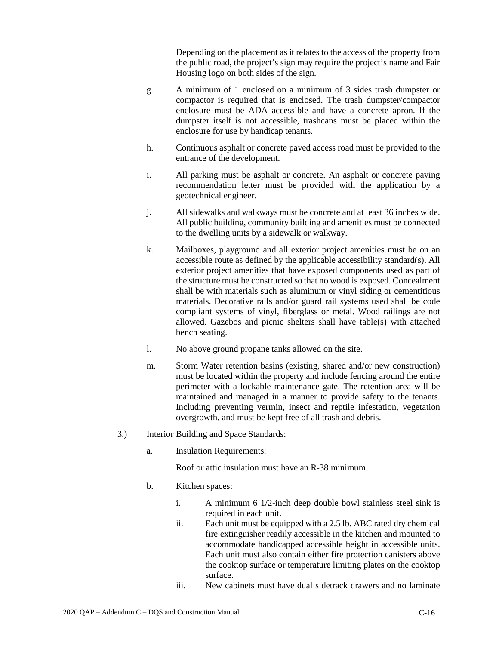Depending on the placement as it relates to the access of the property from the public road, the project's sign may require the project's name and Fair Housing logo on both sides of the sign.

- g. A minimum of 1 enclosed on a minimum of 3 sides trash dumpster or compactor is required that is enclosed. The trash dumpster/compactor enclosure must be ADA accessible and have a concrete apron. If the dumpster itself is not accessible, trashcans must be placed within the enclosure for use by handicap tenants.
- h. Continuous asphalt or concrete paved access road must be provided to the entrance of the development.
- i. All parking must be asphalt or concrete. An asphalt or concrete paving recommendation letter must be provided with the application by a geotechnical engineer.
- j. All sidewalks and walkways must be concrete and at least 36 inches wide. All public building, community building and amenities must be connected to the dwelling units by a sidewalk or walkway.
- k. Mailboxes, playground and all exterior project amenities must be on an accessible route as defined by the applicable accessibility standard(s). All exterior project amenities that have exposed components used as part of the structure must be constructed so that no wood is exposed. Concealment shall be with materials such as aluminum or vinyl siding or cementitious materials. Decorative rails and/or guard rail systems used shall be code compliant systems of vinyl, fiberglass or metal. Wood railings are not allowed. Gazebos and picnic shelters shall have table(s) with attached bench seating.
- l. No above ground propane tanks allowed on the site.
- m. Storm Water retention basins (existing, shared and/or new construction) must be located within the property and include fencing around the entire perimeter with a lockable maintenance gate. The retention area will be maintained and managed in a manner to provide safety to the tenants. Including preventing vermin, insect and reptile infestation, vegetation overgrowth, and must be kept free of all trash and debris.
- 3.) Interior Building and Space Standards:
	- a. Insulation Requirements:

Roof or attic insulation must have an R-38 minimum.

- b. Kitchen spaces:
	- i. A minimum 6 1/2-inch deep double bowl stainless steel sink is required in each unit.
	- ii. Each unit must be equipped with a 2.5 lb. ABC rated dry chemical fire extinguisher readily accessible in the kitchen and mounted to accommodate handicapped accessible height in accessible units. Each unit must also contain either fire protection canisters above the cooktop surface or temperature limiting plates on the cooktop surface.
	- iii. New cabinets must have dual sidetrack drawers and no laminate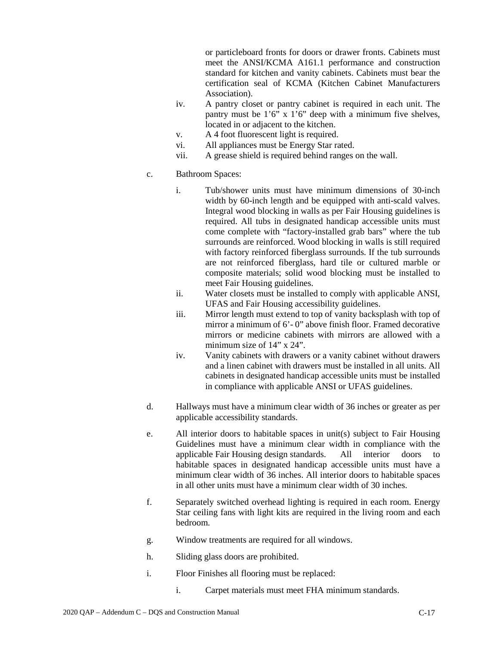or particleboard fronts for doors or drawer fronts. Cabinets must meet the ANSI/KCMA A161.1 performance and construction standard for kitchen and vanity cabinets. Cabinets must bear the certification seal of KCMA (Kitchen Cabinet Manufacturers Association).

- iv. A pantry closet or pantry cabinet is required in each unit. The pantry must be 1'6" x 1'6" deep with a minimum five shelves, located in or adjacent to the kitchen.
- v. A 4 foot fluorescent light is required.
- vi. All appliances must be Energy Star rated.
- vii. A grease shield is required behind ranges on the wall.
- c. Bathroom Spaces:
	- i. Tub/shower units must have minimum dimensions of 30-inch width by 60-inch length and be equipped with anti-scald valves. Integral wood blocking in walls as per Fair Housing guidelines is required. All tubs in designated handicap accessible units must come complete with "factory-installed grab bars" where the tub surrounds are reinforced. Wood blocking in walls is still required with factory reinforced fiberglass surrounds. If the tub surrounds are not reinforced fiberglass, hard tile or cultured marble or composite materials; solid wood blocking must be installed to meet Fair Housing guidelines.
	- ii. Water closets must be installed to comply with applicable ANSI, UFAS and Fair Housing accessibility guidelines.
	- iii. Mirror length must extend to top of vanity backsplash with top of mirror a minimum of 6'- 0" above finish floor. Framed decorative mirrors or medicine cabinets with mirrors are allowed with a minimum size of 14" x 24".
	- iv. Vanity cabinets with drawers or a vanity cabinet without drawers and a linen cabinet with drawers must be installed in all units. All cabinets in designated handicap accessible units must be installed in compliance with applicable ANSI or UFAS guidelines.
- d. Hallways must have a minimum clear width of 36 inches or greater as per applicable accessibility standards.
- e. All interior doors to habitable spaces in unit(s) subject to Fair Housing Guidelines must have a minimum clear width in compliance with the applicable Fair Housing design standards. All interior doors to habitable spaces in designated handicap accessible units must have a minimum clear width of 36 inches. All interior doors to habitable spaces in all other units must have a minimum clear width of 30 inches.
- f. Separately switched overhead lighting is required in each room. Energy Star ceiling fans with light kits are required in the living room and each bedroom.
- g. Window treatments are required for all windows.
- h. Sliding glass doors are prohibited.
- i. Floor Finishes all flooring must be replaced:
	- i. Carpet materials must meet FHA minimum standards.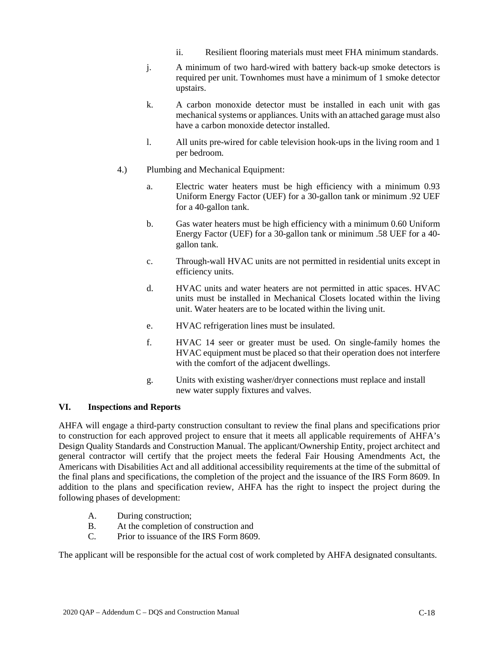- ii. Resilient flooring materials must meet FHA minimum standards.
- j. A minimum of two hard-wired with battery back-up smoke detectors is required per unit. Townhomes must have a minimum of 1 smoke detector upstairs.
- k. A carbon monoxide detector must be installed in each unit with gas mechanical systems or appliances. Units with an attached garage must also have a carbon monoxide detector installed.
- l. All units pre-wired for cable television hook-ups in the living room and 1 per bedroom.
- 4.) Plumbing and Mechanical Equipment:
	- a. Electric water heaters must be high efficiency with a minimum 0.93 Uniform Energy Factor (UEF) for a 30-gallon tank or minimum .92 UEF for a 40-gallon tank.
	- b. Gas water heaters must be high efficiency with a minimum 0.60 Uniform Energy Factor (UEF) for a 30-gallon tank or minimum .58 UEF for a 40 gallon tank.
	- c. Through-wall HVAC units are not permitted in residential units except in efficiency units.
	- d. HVAC units and water heaters are not permitted in attic spaces. HVAC units must be installed in Mechanical Closets located within the living unit. Water heaters are to be located within the living unit.
	- e. HVAC refrigeration lines must be insulated.
	- f. HVAC 14 seer or greater must be used. On single-family homes the HVAC equipment must be placed so that their operation does not interfere with the comfort of the adjacent dwellings.
	- g. Units with existing washer/dryer connections must replace and install new water supply fixtures and valves.

### **VI. Inspections and Reports**

AHFA will engage a third-party construction consultant to review the final plans and specifications prior to construction for each approved project to ensure that it meets all applicable requirements of AHFA's Design Quality Standards and Construction Manual. The applicant/Ownership Entity, project architect and general contractor will certify that the project meets the federal Fair Housing Amendments Act, the Americans with Disabilities Act and all additional accessibility requirements at the time of the submittal of the final plans and specifications, the completion of the project and the issuance of the IRS Form 8609. In addition to the plans and specification review, AHFA has the right to inspect the project during the following phases of development:

- A. During construction;
- B. At the completion of construction and
- C. Prior to issuance of the IRS Form 8609.

The applicant will be responsible for the actual cost of work completed by AHFA designated consultants.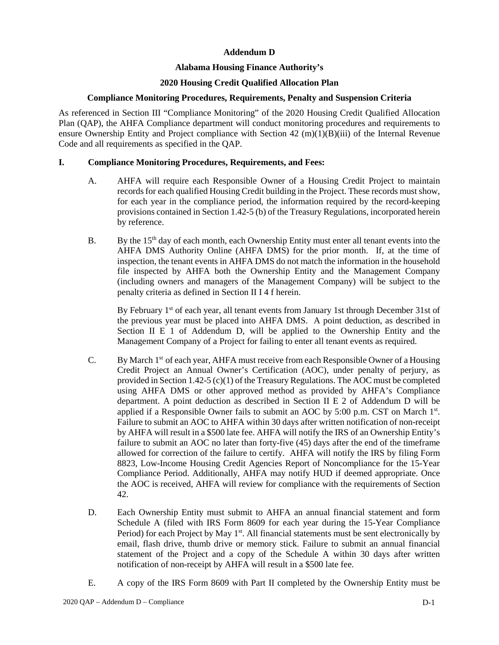## **Addendum D**

# **Alabama Housing Finance Authority's**

# **2020 Housing Credit Qualified Allocation Plan**

### **Compliance Monitoring Procedures, Requirements, Penalty and Suspension Criteria**

As referenced in Section III "Compliance Monitoring" of the 2020 Housing Credit Qualified Allocation Plan (QAP), the AHFA Compliance department will conduct monitoring procedures and requirements to ensure Ownership Entity and Project compliance with Section 42 (m)(1)(B)(iii) of the Internal Revenue Code and all requirements as specified in the QAP.

## **I. Compliance Monitoring Procedures, Requirements, and Fees:**

- A. AHFA will require each Responsible Owner of a Housing Credit Project to maintain records for each qualified Housing Credit building in the Project. These records must show, for each year in the compliance period, the information required by the record-keeping provisions contained in Section 1.42-5 (b) of the Treasury Regulations, incorporated herein by reference.
- B. By the  $15<sup>th</sup>$  day of each month, each Ownership Entity must enter all tenant events into the AHFA DMS Authority Online (AHFA DMS) for the prior month. If, at the time of inspection, the tenant events in AHFA DMS do not match the information in the household file inspected by AHFA both the Ownership Entity and the Management Company (including owners and managers of the Management Company) will be subject to the penalty criteria as defined in Section II I 4 f herein.

By February 1<sup>st</sup> of each year, all tenant events from January 1st through December 31st of the previous year must be placed into AHFA DMS. A point deduction, as described in Section II E 1 of Addendum D, will be applied to the Ownership Entity and the Management Company of a Project for failing to enter all tenant events as required.

- C. By March  $1<sup>st</sup>$  of each year, AHFA must receive from each Responsible Owner of a Housing Credit Project an Annual Owner's Certification (AOC), under penalty of perjury, as provided in Section 1.42-5 (c)(1) of the Treasury Regulations. The AOC must be completed using AHFA DMS or other approved method as provided by AHFA's Compliance department. A point deduction as described in Section II E 2 of Addendum D will be applied if a Responsible Owner fails to submit an AOC by 5:00 p.m. CST on March 1<sup>st</sup>. Failure to submit an AOC to AHFA within 30 days after written notification of non-receipt by AHFA will result in a \$500 late fee. AHFA will notify the IRS of an Ownership Entity's failure to submit an AOC no later than forty-five (45) days after the end of the timeframe allowed for correction of the failure to certify. AHFA will notify the IRS by filing Form 8823, Low-Income Housing Credit Agencies Report of Noncompliance for the 15-Year Compliance Period. Additionally, AHFA may notify HUD if deemed appropriate. Once the AOC is received, AHFA will review for compliance with the requirements of Section 42.
- D. Each Ownership Entity must submit to AHFA an annual financial statement and form Schedule A (filed with IRS Form 8609 for each year during the 15-Year Compliance Period) for each Project by May 1<sup>st</sup>. All financial statements must be sent electronically by email, flash drive, thumb drive or memory stick. Failure to submit an annual financial statement of the Project and a copy of the Schedule A within 30 days after written notification of non-receipt by AHFA will result in a \$500 late fee.
- E. A copy of the IRS Form 8609 with Part II completed by the Ownership Entity must be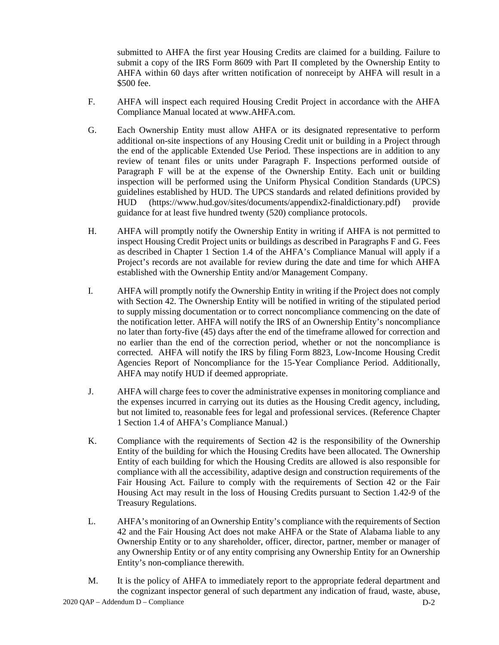submitted to AHFA the first year Housing Credits are claimed for a building. Failure to submit a copy of the IRS Form 8609 with Part II completed by the Ownership Entity to AHFA within 60 days after written notification of nonreceipt by AHFA will result in a \$500 fee.

- F. AHFA will inspect each required Housing Credit Project in accordance with the AHFA Compliance Manual located at www.AHFA.com.
- G. Each Ownership Entity must allow AHFA or its designated representative to perform additional on-site inspections of any Housing Credit unit or building in a Project through the end of the applicable Extended Use Period. These inspections are in addition to any review of tenant files or units under Paragraph F. Inspections performed outside of Paragraph F will be at the expense of the Ownership Entity. Each unit or building inspection will be performed using the Uniform Physical Condition Standards (UPCS) guidelines established by HUD. The UPCS standards and related definitions provided by HUD (https://www.hud.gov/sites/documents/appendix2-finaldictionary.pdf) provide guidance for at least five hundred twenty (520) compliance protocols.
- H. AHFA will promptly notify the Ownership Entity in writing if AHFA is not permitted to inspect Housing Credit Project units or buildings as described in Paragraphs F and G. Fees as described in Chapter 1 Section 1.4 of the AHFA's Compliance Manual will apply if a Project's records are not available for review during the date and time for which AHFA established with the Ownership Entity and/or Management Company.
- I. AHFA will promptly notify the Ownership Entity in writing if the Project does not comply with Section 42. The Ownership Entity will be notified in writing of the stipulated period to supply missing documentation or to correct noncompliance commencing on the date of the notification letter. AHFA will notify the IRS of an Ownership Entity's noncompliance no later than forty-five (45) days after the end of the timeframe allowed for correction and no earlier than the end of the correction period, whether or not the noncompliance is corrected. AHFA will notify the IRS by filing Form 8823, Low-Income Housing Credit Agencies Report of Noncompliance for the 15-Year Compliance Period. Additionally, AHFA may notify HUD if deemed appropriate.
- J. AHFA will charge fees to cover the administrative expenses in monitoring compliance and the expenses incurred in carrying out its duties as the Housing Credit agency, including, but not limited to, reasonable fees for legal and professional services. (Reference Chapter 1 Section 1.4 of AHFA's Compliance Manual.)
- K. Compliance with the requirements of Section 42 is the responsibility of the Ownership Entity of the building for which the Housing Credits have been allocated. The Ownership Entity of each building for which the Housing Credits are allowed is also responsible for compliance with all the accessibility, adaptive design and construction requirements of the Fair Housing Act. Failure to comply with the requirements of Section 42 or the Fair Housing Act may result in the loss of Housing Credits pursuant to Section 1.42-9 of the Treasury Regulations.
- L. AHFA's monitoring of an Ownership Entity's compliance with the requirements of Section 42 and the Fair Housing Act does not make AHFA or the State of Alabama liable to any Ownership Entity or to any shareholder, officer, director, partner, member or manager of any Ownership Entity or of any entity comprising any Ownership Entity for an Ownership Entity's non-compliance therewith.
- 2020 QAP Addendum D Compliance D-2 M. It is the policy of AHFA to immediately report to the appropriate federal department and the cognizant inspector general of such department any indication of fraud, waste, abuse,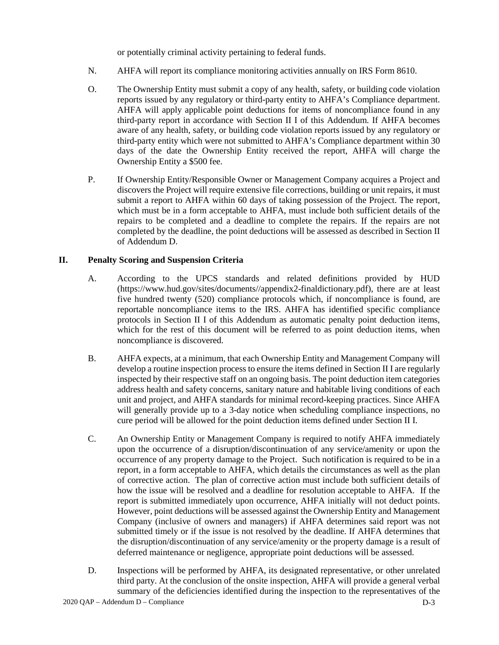or potentially criminal activity pertaining to federal funds.

- N. AHFA will report its compliance monitoring activities annually on IRS Form 8610.
- O. The Ownership Entity must submit a copy of any health, safety, or building code violation reports issued by any regulatory or third-party entity to AHFA's Compliance department. AHFA will apply applicable point deductions for items of noncompliance found in any third-party report in accordance with Section II I of this Addendum. If AHFA becomes aware of any health, safety, or building code violation reports issued by any regulatory or third-party entity which were not submitted to AHFA's Compliance department within 30 days of the date the Ownership Entity received the report, AHFA will charge the Ownership Entity a \$500 fee.
- P. If Ownership Entity/Responsible Owner or Management Company acquires a Project and discovers the Project will require extensive file corrections, building or unit repairs, it must submit a report to AHFA within 60 days of taking possession of the Project. The report, which must be in a form acceptable to AHFA, must include both sufficient details of the repairs to be completed and a deadline to complete the repairs. If the repairs are not completed by the deadline, the point deductions will be assessed as described in Section II of Addendum D.

# **II. Penalty Scoring and Suspension Criteria**

- A. According to the UPCS standards and related definitions provided by HUD (https://www.hud.gov/sites/documents//appendix2-finaldictionary.pdf), there are at least five hundred twenty (520) compliance protocols which, if noncompliance is found, are reportable noncompliance items to the IRS. AHFA has identified specific compliance protocols in Section II I of this Addendum as automatic penalty point deduction items, which for the rest of this document will be referred to as point deduction items, when noncompliance is discovered.
- B. AHFA expects, at a minimum, that each Ownership Entity and Management Company will develop a routine inspection process to ensure the items defined in Section II I are regularly inspected by their respective staff on an ongoing basis. The point deduction item categories address health and safety concerns, sanitary nature and habitable living conditions of each unit and project, and AHFA standards for minimal record-keeping practices. Since AHFA will generally provide up to a 3-day notice when scheduling compliance inspections, no cure period will be allowed for the point deduction items defined under Section II I.
- C. An Ownership Entity or Management Company is required to notify AHFA immediately upon the occurrence of a disruption/discontinuation of any service/amenity or upon the occurrence of any property damage to the Project. Such notification is required to be in a report, in a form acceptable to AHFA, which details the circumstances as well as the plan of corrective action. The plan of corrective action must include both sufficient details of how the issue will be resolved and a deadline for resolution acceptable to AHFA. If the report is submitted immediately upon occurrence, AHFA initially will not deduct points. However, point deductions will be assessed against the Ownership Entity and Management Company (inclusive of owners and managers) if AHFA determines said report was not submitted timely or if the issue is not resolved by the deadline. If AHFA determines that the disruption/discontinuation of any service/amenity or the property damage is a result of deferred maintenance or negligence, appropriate point deductions will be assessed.
- D. Inspections will be performed by AHFA, its designated representative, or other unrelated third party. At the conclusion of the onsite inspection, AHFA will provide a general verbal summary of the deficiencies identified during the inspection to the representatives of the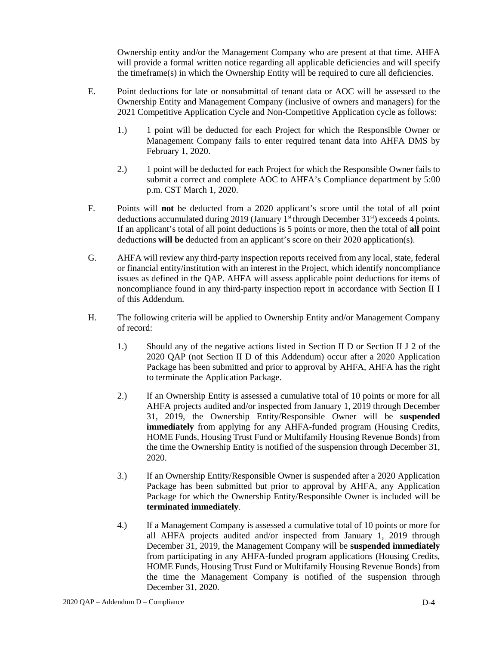Ownership entity and/or the Management Company who are present at that time. AHFA will provide a formal written notice regarding all applicable deficiencies and will specify the timeframe(s) in which the Ownership Entity will be required to cure all deficiencies.

- E. Point deductions for late or nonsubmittal of tenant data or AOC will be assessed to the Ownership Entity and Management Company (inclusive of owners and managers) for the 2021 Competitive Application Cycle and Non-Competitive Application cycle as follows:
	- 1.) 1 point will be deducted for each Project for which the Responsible Owner or Management Company fails to enter required tenant data into AHFA DMS by February 1, 2020.
	- 2.) 1 point will be deducted for each Project for which the Responsible Owner fails to submit a correct and complete AOC to AHFA's Compliance department by 5:00 p.m. CST March 1, 2020.
- F. Points will **not** be deducted from a 2020 applicant's score until the total of all point deductions accumulated during 2019 (January 1<sup>st</sup> through December 31<sup>st</sup>) exceeds 4 points. If an applicant's total of all point deductions is 5 points or more, then the total of **all** point deductions **will be** deducted from an applicant's score on their 2020 application(s).
- G. AHFA will review any third-party inspection reports received from any local, state, federal or financial entity/institution with an interest in the Project, which identify noncompliance issues as defined in the QAP. AHFA will assess applicable point deductions for items of noncompliance found in any third-party inspection report in accordance with Section II I of this Addendum.
- H. The following criteria will be applied to Ownership Entity and/or Management Company of record:
	- 1.) Should any of the negative actions listed in Section II D or Section II J 2 of the 2020 QAP (not Section II D of this Addendum) occur after a 2020 Application Package has been submitted and prior to approval by AHFA, AHFA has the right to terminate the Application Package.
	- 2.) If an Ownership Entity is assessed a cumulative total of 10 points or more for all AHFA projects audited and/or inspected from January 1, 2019 through December 31, 2019, the Ownership Entity/Responsible Owner will be **suspended immediately** from applying for any AHFA-funded program (Housing Credits, HOME Funds, Housing Trust Fund or Multifamily Housing Revenue Bonds) from the time the Ownership Entity is notified of the suspension through December 31, 2020.
	- 3.) If an Ownership Entity/Responsible Owner is suspended after a 2020 Application Package has been submitted but prior to approval by AHFA, any Application Package for which the Ownership Entity/Responsible Owner is included will be **terminated immediately**.
	- 4.) If a Management Company is assessed a cumulative total of 10 points or more for all AHFA projects audited and/or inspected from January 1, 2019 through December 31, 2019, the Management Company will be **suspended immediately**  from participating in any AHFA-funded program applications (Housing Credits, HOME Funds, Housing Trust Fund or Multifamily Housing Revenue Bonds) from the time the Management Company is notified of the suspension through December 31, 2020.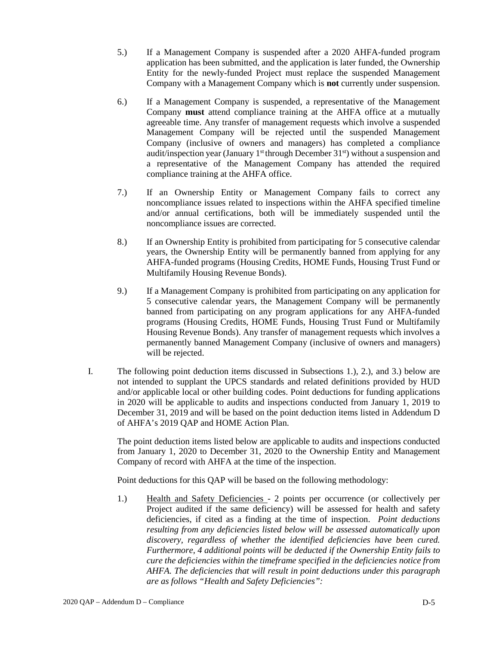- 5.) If a Management Company is suspended after a 2020 AHFA-funded program application has been submitted, and the application is later funded, the Ownership Entity for the newly-funded Project must replace the suspended Management Company with a Management Company which is **not** currently under suspension.
- 6.) If a Management Company is suspended, a representative of the Management Company **must** attend compliance training at the AHFA office at a mutually agreeable time. Any transfer of management requests which involve a suspended Management Company will be rejected until the suspended Management Company (inclusive of owners and managers) has completed a compliance audit/inspection year (January  $1<sup>st</sup>$  through December  $31<sup>st</sup>$ ) without a suspension and a representative of the Management Company has attended the required compliance training at the AHFA office.
- 7.) If an Ownership Entity or Management Company fails to correct any noncompliance issues related to inspections within the AHFA specified timeline and/or annual certifications, both will be immediately suspended until the noncompliance issues are corrected.
- 8.) If an Ownership Entity is prohibited from participating for 5 consecutive calendar years, the Ownership Entity will be permanently banned from applying for any AHFA-funded programs (Housing Credits, HOME Funds, Housing Trust Fund or Multifamily Housing Revenue Bonds).
- 9.) If a Management Company is prohibited from participating on any application for 5 consecutive calendar years, the Management Company will be permanently banned from participating on any program applications for any AHFA-funded programs (Housing Credits, HOME Funds, Housing Trust Fund or Multifamily Housing Revenue Bonds). Any transfer of management requests which involves a permanently banned Management Company (inclusive of owners and managers) will be rejected.
- I. The following point deduction items discussed in Subsections 1.), 2.), and 3.) below are not intended to supplant the UPCS standards and related definitions provided by HUD and/or applicable local or other building codes. Point deductions for funding applications in 2020 will be applicable to audits and inspections conducted from January 1, 2019 to December 31, 2019 and will be based on the point deduction items listed in Addendum D of AHFA's 2019 QAP and HOME Action Plan.

The point deduction items listed below are applicable to audits and inspections conducted from January 1, 2020 to December 31, 2020 to the Ownership Entity and Management Company of record with AHFA at the time of the inspection.

Point deductions for this QAP will be based on the following methodology:

1.) Health and Safety Deficiencies - 2 points per occurrence (or collectively per Project audited if the same deficiency) will be assessed for health and safety deficiencies, if cited as a finding at the time of inspection. *Point deductions resulting from any deficiencies listed below will be assessed automatically upon discovery, regardless of whether the identified deficiencies have been cured. Furthermore, 4 additional points will be deducted if the Ownership Entity fails to cure the deficiencies within the timeframe specified in the deficiencies notice from AHFA. The deficiencies that will result in point deductions under this paragraph are as follows "Health and Safety Deficiencies":*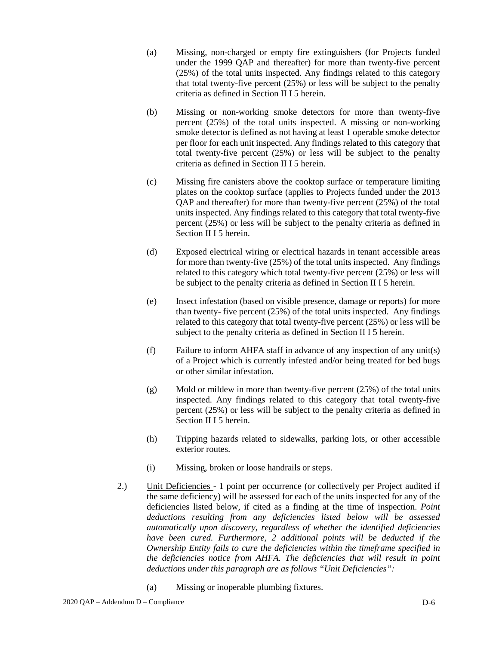- (a) Missing, non-charged or empty fire extinguishers (for Projects funded under the 1999 QAP and thereafter) for more than twenty-five percent (25%) of the total units inspected. Any findings related to this category that total twenty-five percent (25%) or less will be subject to the penalty criteria as defined in Section II I 5 herein.
- (b) Missing or non-working smoke detectors for more than twenty-five percent (25%) of the total units inspected. A missing or non-working smoke detector is defined as not having at least 1 operable smoke detector per floor for each unit inspected. Any findings related to this category that total twenty-five percent (25%) or less will be subject to the penalty criteria as defined in Section II I 5 herein.
- (c) Missing fire canisters above the cooktop surface or temperature limiting plates on the cooktop surface (applies to Projects funded under the 2013 QAP and thereafter) for more than twenty-five percent (25%) of the total units inspected. Any findings related to this category that total twenty-five percent (25%) or less will be subject to the penalty criteria as defined in Section II I 5 herein.
- (d) Exposed electrical wiring or electrical hazards in tenant accessible areas for more than twenty-five (25%) of the total units inspected. Any findings related to this category which total twenty-five percent (25%) or less will be subject to the penalty criteria as defined in Section II I 5 herein.
- (e) Insect infestation (based on visible presence, damage or reports) for more than twenty- five percent (25%) of the total units inspected. Any findings related to this category that total twenty-five percent (25%) or less will be subject to the penalty criteria as defined in Section II I 5 herein.
- (f) Failure to inform AHFA staff in advance of any inspection of any unit(s) of a Project which is currently infested and/or being treated for bed bugs or other similar infestation.
- (g) Mold or mildew in more than twenty-five percent (25%) of the total units inspected. Any findings related to this category that total twenty-five percent (25%) or less will be subject to the penalty criteria as defined in Section II I 5 herein.
- (h) Tripping hazards related to sidewalks, parking lots, or other accessible exterior routes.
- (i) Missing, broken or loose handrails or steps.
- 2.) Unit Deficiencies 1 point per occurrence (or collectively per Project audited if the same deficiency) will be assessed for each of the units inspected for any of the deficiencies listed below, if cited as a finding at the time of inspection. *Point deductions resulting from any deficiencies listed below will be assessed automatically upon discovery, regardless of whether the identified deficiencies have been cured. Furthermore, 2 additional points will be deducted if the Ownership Entity fails to cure the deficiencies within the timeframe specified in the deficiencies notice from AHFA. The deficiencies that will result in point deductions under this paragraph are as follows "Unit Deficiencies":*
	- (a) Missing or inoperable plumbing fixtures.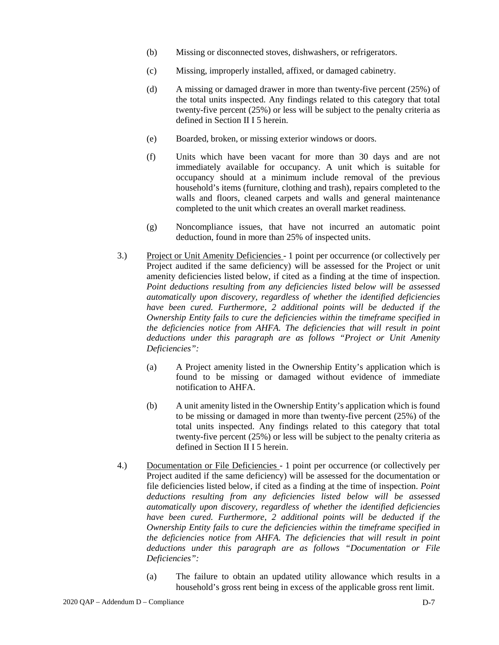- (b) Missing or disconnected stoves, dishwashers, or refrigerators.
- (c) Missing, improperly installed, affixed, or damaged cabinetry.
- (d) A missing or damaged drawer in more than twenty-five percent (25%) of the total units inspected. Any findings related to this category that total twenty-five percent (25%) or less will be subject to the penalty criteria as defined in Section II I 5 herein.
- (e) Boarded, broken, or missing exterior windows or doors.
- (f) Units which have been vacant for more than 30 days and are not immediately available for occupancy. A unit which is suitable for occupancy should at a minimum include removal of the previous household's items (furniture, clothing and trash), repairs completed to the walls and floors, cleaned carpets and walls and general maintenance completed to the unit which creates an overall market readiness.
- (g) Noncompliance issues, that have not incurred an automatic point deduction, found in more than 25% of inspected units.
- 3.) Project or Unit Amenity Deficiencies 1 point per occurrence (or collectively per Project audited if the same deficiency) will be assessed for the Project or unit amenity deficiencies listed below, if cited as a finding at the time of inspection. *Point deductions resulting from any deficiencies listed below will be assessed automatically upon discovery, regardless of whether the identified deficiencies have been cured. Furthermore, 2 additional points will be deducted if the Ownership Entity fails to cure the deficiencies within the timeframe specified in the deficiencies notice from AHFA. The deficiencies that will result in point deductions under this paragraph are as follows "Project or Unit Amenity Deficiencies":*
	- (a) A Project amenity listed in the Ownership Entity's application which is found to be missing or damaged without evidence of immediate notification to AHFA.
	- (b) A unit amenity listed in the Ownership Entity's application which is found to be missing or damaged in more than twenty-five percent (25%) of the total units inspected. Any findings related to this category that total twenty-five percent (25%) or less will be subject to the penalty criteria as defined in Section II I 5 herein.
- 4.) Documentation or File Deficiencies 1 point per occurrence (or collectively per Project audited if the same deficiency) will be assessed for the documentation or file deficiencies listed below, if cited as a finding at the time of inspection. *Point deductions resulting from any deficiencies listed below will be assessed automatically upon discovery, regardless of whether the identified deficiencies have been cured. Furthermore, 2 additional points will be deducted if the Ownership Entity fails to cure the deficiencies within the timeframe specified in the deficiencies notice from AHFA. The deficiencies that will result in point deductions under this paragraph are as follows "Documentation or File Deficiencies":*
	- (a) The failure to obtain an updated utility allowance which results in a household's gross rent being in excess of the applicable gross rent limit.